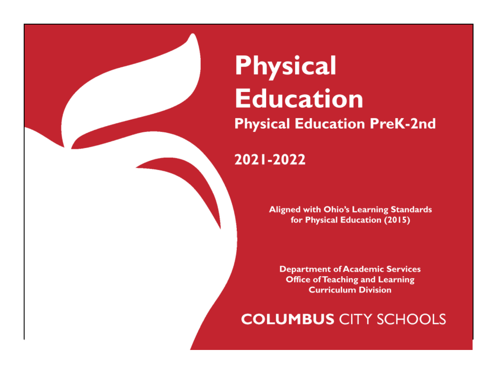# **Physical Education Physical Education PreK-2nd**

# 2021-2022

**Aligned with Ohio's Learning Standards** for Physical Education (2015)

**Department of Academic Services Office of Teaching and Learning Curriculum Division** 

**COLUMBUS CITY SCHOOLS**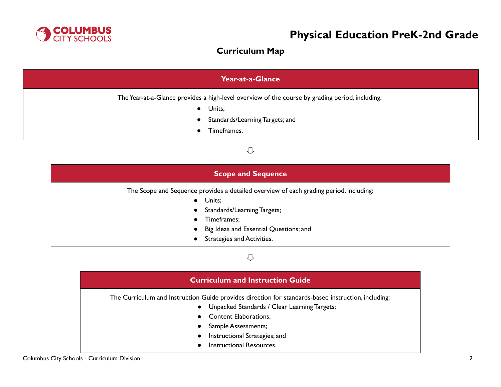

# **Curriculum Map**

| Year-at-a-Glance                                                                                          |  |  |
|-----------------------------------------------------------------------------------------------------------|--|--|
| The Year-at-a-Glance provides a high-level overview of the course by grading period, including:<br>Units; |  |  |
| • Standards/Learning Targets; and<br>Timeframes.                                                          |  |  |

### ⇩

| <b>Scope and Sequence</b> |                                                                                                                                                                                                                        |  |  |
|---------------------------|------------------------------------------------------------------------------------------------------------------------------------------------------------------------------------------------------------------------|--|--|
|                           | The Scope and Sequence provides a detailed overview of each grading period, including:<br>Units;<br>Standards/Learning Targets;<br>Timeframes;<br>Big Ideas and Essential Questions; and<br>Strategies and Activities. |  |  |

# ⇩

# **Curriculum and Instruction Guide** The Curriculum and Instruction Guide provides direction for standards-based instruction, including: ● Unpacked Standards / Clear Learning Targets; ● Content Elaborations; • Sample Assessments; ● Instructional Strategies; and ● Instructional Resources.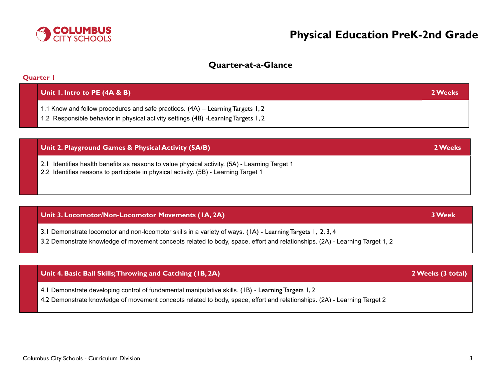

### **Quarter-at-a-Glance**

| Quarter I                                                                                                                                                              |         |
|------------------------------------------------------------------------------------------------------------------------------------------------------------------------|---------|
| Unit I. Intro to PE $(4A & B)$                                                                                                                                         | 2 Weeks |
| 1.1 Know and follow procedures and safe practices. (4A) - Learning Targets 1, 2<br>1.2 Responsible behavior in physical activity settings (4B) - Learning Targets 1, 2 |         |

| Unit 2. Playground Games & Physical Activity (5A/B) | 2 Weeks |
|-----------------------------------------------------|---------|
|                                                     |         |

2.1 Identifies health benefits as reasons to value physical activity. (5A) - Learning Target 1

2.2 Identifies reasons to participate in physical activity. (5B) - Learning Target 1

### **Unit 3. Locomotor/Non-Locomotor Movements (1A, 2A) 3Week**

3.1 Demonstrate locomotor and non-locomotor skills in a variety of ways. (1A) - Learning Targets 1, 2, 3, 4

3.2 Demonstrate knowledge of movement concepts related to body, space, effort and relationships. (2A) - Learning Target 1, 2

### **Unit 4. Basic Ball Skills;Throwing and Catching (1B, 2A) 2Weeks (3 total)**

- 4.1 Demonstrate developing control of fundamental manipulative skills. (1B) Learning Targets 1, 2
- 4.2 Demonstrate knowledge of movement concepts related to body, space, effort and relationships. (2A) Learning Target 2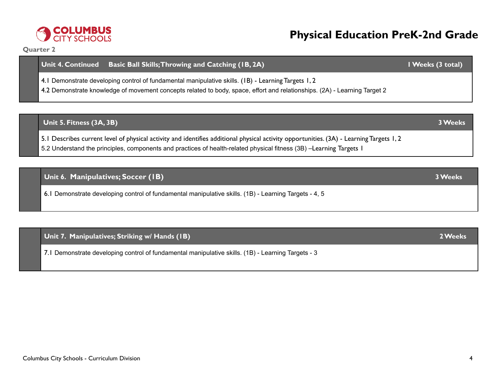

#### **Quarter 2**

# **Unit 4. Continued Basic Ball Skills;Throwing and Catching (1B, 2A) 1Weeks (3 total)**

4.1 Demonstrate developing control of fundamental manipulative skills. (1B) - Learning Targets 1, 2

4.2 Demonstrate knowledge of movement concepts related to body, space, effort and relationships. (2A) - Learning Target 2

# **Unit 5. Fitness (3A, 3B) 3Weeks** 5.1 Describes current level of physical activity and identifies additional physical activity opportunities. (3A) - Learning Targets 1, 2 5.2 Understand the principles, components and practices of health-related physical fitness (3B) –Learning Targets 1

**Unit 6. Manipulatives; Soccer (1B) 3Weeks** 6.1 Demonstrate developing control of fundamental manipulative skills. (1B) - Learning Targets - 4, 5

## **Unit 7. Manipulatives; Striking w/ Hands (1B) 2Weeks**

7.1 Demonstrate developing control of fundamental manipulative skills. (1B) - Learning Targets - 3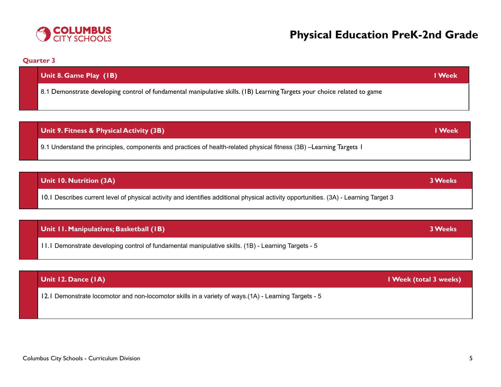

### **Quarter 3**

| Unit 8. Game Play (IB)                                                                                                   | <b>I</b> Week |
|--------------------------------------------------------------------------------------------------------------------------|---------------|
| 8.1 Demonstrate developing control of fundamental manipulative skills. (1B) Learning Targets your choice related to game |               |

| Unit 9. Fitness & Physical Activity (3B)                                                                            | l Week |
|---------------------------------------------------------------------------------------------------------------------|--------|
| 9.1 Understand the principles, components and practices of health-related physical fitness (3B) -Learning Targets I |        |

| Unit 10. Nutrition (3A)                                                                                                               | <b>3 Weeks</b> |
|---------------------------------------------------------------------------------------------------------------------------------------|----------------|
| 10.1 Describes current level of physical activity and identifies additional physical activity opportunities. (3A) - Learning Target 3 |                |

| Unit II. Manipulatives; Basketball (IB)                                                                     | <b>3 Weeks</b> |
|-------------------------------------------------------------------------------------------------------------|----------------|
| $\vert$ 11.1 Demonstrate developing control of fundamental manipulative skills. (1B) - Learning Targets - 5 |                |

## **Unit 12. Dance (1A) 1Week (total 3 weeks)**

12.1 Demonstrate locomotor and non-locomotor skills in a variety of ways.(1A) - Learning Targets - 5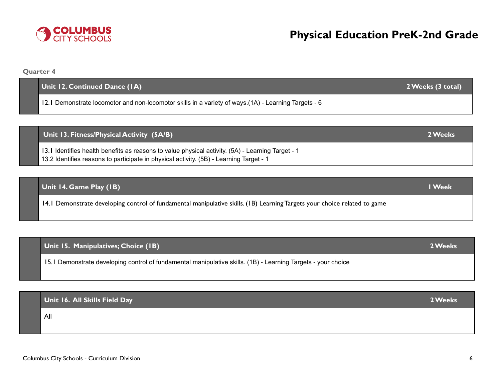**Quarter 4**

| Unit 12. Continued Dance (IA)                                                                         | 2 Weeks (3 total) |
|-------------------------------------------------------------------------------------------------------|-------------------|
| 12.1 Demonstrate locomotor and non-locomotor skills in a variety of ways. (1A) - Learning Targets - 6 |                   |
|                                                                                                       |                   |

**Unit 13. Fitness/Physical Activity (5A/B) 2Weeks**

13.1 Identifies health benefits as reasons to value physical activity. (5A) - Learning Target - 1 13.2 Identifies reasons to participate in physical activity. (5B) - Learning Target - 1

### **Unit 14. Game Play (1B) 1Week**

14.1 Demonstrate developing control of fundamental manipulative skills. (1B) Learning Targets your choice related to game

### **Unit 15. Manipulatives; Choice (1B) 2Weeks**

15.1 Demonstrate developing control of fundamental manipulative skills. (1B) - Learning Targets - your choice

### **Unit 16. All Skills Field Day 2Weeks**

All

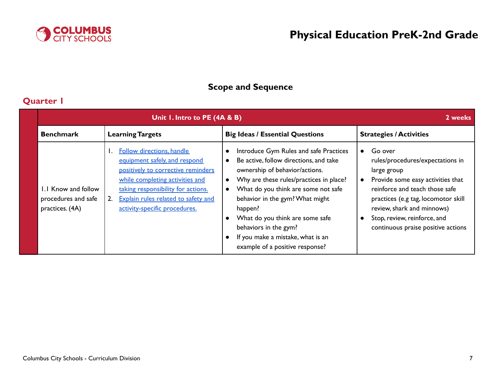

# **Scope and Sequence**

# **Quarter 1**

|                                                               | Unit 1. Intro to PE (4A & B)                                                                                                                                                                                                                                   |                                                                                                                                                                                                                                                                                                                                                                                                                               | 2 weeks                                                                                                                                                                                                                                                                      |  |
|---------------------------------------------------------------|----------------------------------------------------------------------------------------------------------------------------------------------------------------------------------------------------------------------------------------------------------------|-------------------------------------------------------------------------------------------------------------------------------------------------------------------------------------------------------------------------------------------------------------------------------------------------------------------------------------------------------------------------------------------------------------------------------|------------------------------------------------------------------------------------------------------------------------------------------------------------------------------------------------------------------------------------------------------------------------------|--|
| <b>Benchmark</b>                                              | <b>Learning Targets</b>                                                                                                                                                                                                                                        | <b>Big Ideas / Essential Questions</b>                                                                                                                                                                                                                                                                                                                                                                                        | <b>Strategies / Activities</b>                                                                                                                                                                                                                                               |  |
| 1.1 Know and follow<br>procedures and safe<br>practices. (4A) | <b>Follow directions, handle</b><br>equipment safely, and respond<br>positively to corrective reminders<br>while completing activities and<br>taking responsibility for actions.<br>Explain rules related to safety and<br>2.<br>activity-specific procedures. | Introduce Gym Rules and safe Practices<br>Be active, follow directions, and take<br>$\bullet$<br>ownership of behavior/actions.<br>Why are these rules/practices in place?<br>$\bullet$<br>What do you think are some not safe<br>behavior in the gym? What might<br>happen?<br>What do you think are some safe<br>behaviors in the gym?<br>If you make a mistake, what is an<br>$\bullet$<br>example of a positive response? | Go over<br>rules/procedures/expectations in<br>large group<br>Provide some easy activities that<br>reinforce and teach those safe<br>practices (e.g tag, locomotor skill<br>review, shark and minnows)<br>Stop, review, reinforce, and<br>continuous praise positive actions |  |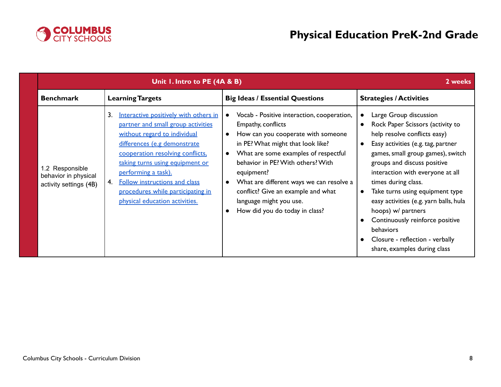

| Unit I. Intro to PE (4A & B)                                      |                                                                                                                                                                                                                                                                                                                                                                      | 2 weeks                                                                                                                                                                                                                                                                                                                                                                                            |                                                                                                                                                                                                                                                                                                                                                                                                                                                                                                                        |
|-------------------------------------------------------------------|----------------------------------------------------------------------------------------------------------------------------------------------------------------------------------------------------------------------------------------------------------------------------------------------------------------------------------------------------------------------|----------------------------------------------------------------------------------------------------------------------------------------------------------------------------------------------------------------------------------------------------------------------------------------------------------------------------------------------------------------------------------------------------|------------------------------------------------------------------------------------------------------------------------------------------------------------------------------------------------------------------------------------------------------------------------------------------------------------------------------------------------------------------------------------------------------------------------------------------------------------------------------------------------------------------------|
| <b>Benchmark</b>                                                  | <b>Learning Targets</b>                                                                                                                                                                                                                                                                                                                                              | <b>Big Ideas / Essential Questions</b>                                                                                                                                                                                                                                                                                                                                                             | <b>Strategies / Activities</b>                                                                                                                                                                                                                                                                                                                                                                                                                                                                                         |
| 1.2 Responsible<br>behavior in physical<br>activity settings (4B) | 3.<br>Interactive positively with others in<br>partner and small group activities<br>without regard to individual<br>differences (e.g demonstrate<br>cooperation resolving conflicts,<br>taking turns using equipment or<br>performing a task).<br><b>Follow instructions and class</b><br>4.<br>procedures while participating in<br>physical education activities. | Vocab - Positive interaction, cooperation,<br>$\bullet$<br>Empathy, conflicts<br>How can you cooperate with someone<br>in PE? What might that look like?<br>What are some examples of respectful<br>behavior in PE? With others? With<br>equipment?<br>What are different ways we can resolve a<br>conflict? Give an example and what<br>language might you use.<br>How did you do today in class? | Large Group discussion<br>Rock Paper Scissors (activity to<br>help resolve conflicts easy)<br>Easy activities (e.g. tag, partner<br>$\bullet$<br>games, small group games), switch<br>groups and discuss positive<br>interaction with everyone at all<br>times during class.<br>Take turns using equipment type<br>$\bullet$<br>easy activities (e.g. yarn balls, hula<br>hoops) w/ partners<br>Continuously reinforce positive<br><b>behaviors</b><br>Closure - reflection - verbally<br>share, examples during class |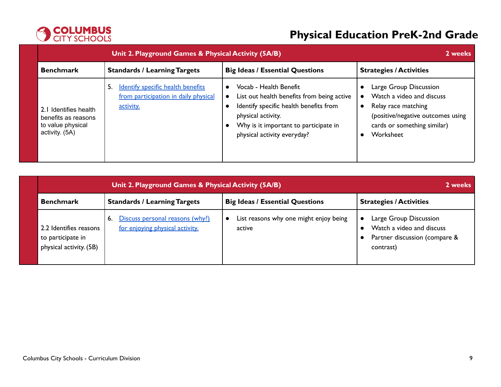

| <b>Unit 2. Playground Games &amp; Physical Activity (5A/B)</b>                       |                                                                                              |                                                                                                                                                                                                                           | 2 weeks                                                                                                                                                                               |  |
|--------------------------------------------------------------------------------------|----------------------------------------------------------------------------------------------|---------------------------------------------------------------------------------------------------------------------------------------------------------------------------------------------------------------------------|---------------------------------------------------------------------------------------------------------------------------------------------------------------------------------------|--|
| <b>Benchmark</b>                                                                     | <b>Standards / Learning Targets</b>                                                          | <b>Big Ideas / Essential Questions</b>                                                                                                                                                                                    | <b>Strategies / Activities</b>                                                                                                                                                        |  |
| 2. I Identifies health<br>benefits as reasons<br>to value physical<br>activity. (5A) | Identify specific health benefits<br>5.<br>from participation in daily physical<br>activity. | Vocab - Health Benefit<br>$\bullet$<br>List out health benefits from being active<br>Identify specific health benefits from<br>physical activity.<br>Why is it important to participate in<br>physical activity everyday? | Large Group Discussion<br>$\bullet$<br>Watch a video and discuss<br>Relay race matching<br>$\bullet$<br>(positive/negative outcomes using<br>cards or something similar)<br>Worksheet |  |

|                                                                        | Unit 2. Playground Games & Physical Activity (5A/B)                      |                                                  |                                                                                                   |  |
|------------------------------------------------------------------------|--------------------------------------------------------------------------|--------------------------------------------------|---------------------------------------------------------------------------------------------------|--|
| <b>Benchmark</b>                                                       | <b>Standards / Learning Targets</b>                                      | <b>Big Ideas / Essential Questions</b>           | <b>Strategies / Activities</b>                                                                    |  |
| 2.2 Identifies reasons<br>to participate in<br>physical activity. (5B) | Discuss personal reasons (why?)<br>6.<br>for enjoying physical activity. | List reasons why one might enjoy being<br>active | Large Group Discussion<br>Watch a video and discuss<br>Partner discussion (compare &<br>contrast) |  |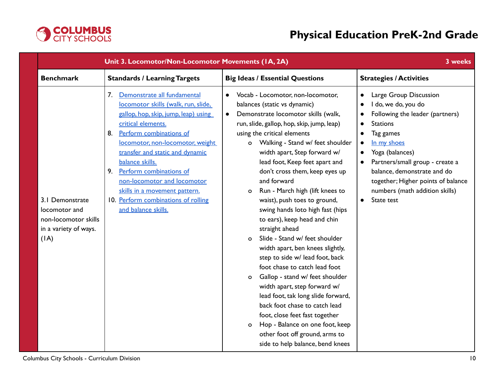

|                                                                                           | Unit 3. Locomotor/Non-Locomotor Movements (IA, 2A)                                                                                                                                                                                                                                                                                                                                                                               |                                                                                                                                                                                                                                                                                                                                                                                                                                                                                                                                                                                                                                                                                                                                                                                                                                                                                                                                                                                                                 | 3 weeks                                                                                                                                                                                                                                                                                                                                           |
|-------------------------------------------------------------------------------------------|----------------------------------------------------------------------------------------------------------------------------------------------------------------------------------------------------------------------------------------------------------------------------------------------------------------------------------------------------------------------------------------------------------------------------------|-----------------------------------------------------------------------------------------------------------------------------------------------------------------------------------------------------------------------------------------------------------------------------------------------------------------------------------------------------------------------------------------------------------------------------------------------------------------------------------------------------------------------------------------------------------------------------------------------------------------------------------------------------------------------------------------------------------------------------------------------------------------------------------------------------------------------------------------------------------------------------------------------------------------------------------------------------------------------------------------------------------------|---------------------------------------------------------------------------------------------------------------------------------------------------------------------------------------------------------------------------------------------------------------------------------------------------------------------------------------------------|
| <b>Benchmark</b>                                                                          | <b>Standards / Learning Targets</b>                                                                                                                                                                                                                                                                                                                                                                                              | <b>Big Ideas / Essential Questions</b>                                                                                                                                                                                                                                                                                                                                                                                                                                                                                                                                                                                                                                                                                                                                                                                                                                                                                                                                                                          | <b>Strategies / Activities</b>                                                                                                                                                                                                                                                                                                                    |
| 3.1 Demonstrate<br>locomotor and<br>non-locomotor skills<br>in a variety of ways.<br>(IA) | Demonstrate all fundamental<br>7.<br>locomotor skills (walk, run, slide,<br>gallop, hop, skip, jump, leap) using<br>critical elements.<br>Perform combinations of<br>8.<br>locomotor, non-locomotor, weight<br>transfer and static and dynamic<br>balance skills.<br>Perform combinations of<br>9.<br>non-locomotor and locomotor<br>skills in a movement pattern.<br>10. Perform combinations of rolling<br>and balance skills. | Vocab - Locomotor, non-locomotor,<br>$\bullet$<br>balances (static vs dynamic)<br>Demonstrate locomotor skills (walk,<br>$\bullet$<br>run, slide, gallop, hop, skip, jump, leap)<br>using the critical elements<br>Walking - Stand w/ feet shoulder<br>o<br>width apart, Step forward w/<br>lead foot, Keep feet apart and<br>don't cross them, keep eyes up<br>and forward<br>Run - March high (lift knees to<br>$\circ$<br>waist), push toes to ground,<br>swing hands loto high fast (hips<br>to ears), keep head and chin<br>straight ahead<br>Slide - Stand w/ feet shoulder<br>$\circ$<br>width apart, ben knees slightly,<br>step to side w/ lead foot, back<br>foot chase to catch lead foot<br>Gallop - stand w/ feet shoulder<br>$\circ$<br>width apart, step forward w/<br>lead foot, tak long slide forward,<br>back foot chase to catch lead<br>foot, close feet fast together<br>Hop - Balance on one foot, keep<br>$\circ$<br>other foot off ground, arms to<br>side to help balance, bend knees | Large Group Discussion<br>$\bullet$<br>I do, we do, you do<br>Following the leader (partners)<br><b>Stations</b><br>$\bullet$<br>Tag games<br>In my shoes<br>Yoga (balances)<br>$\bullet$<br>Partners/small group - create a<br>balance, demonstrate and do<br>together; Higher points of balance<br>numbers (math addition skills)<br>State test |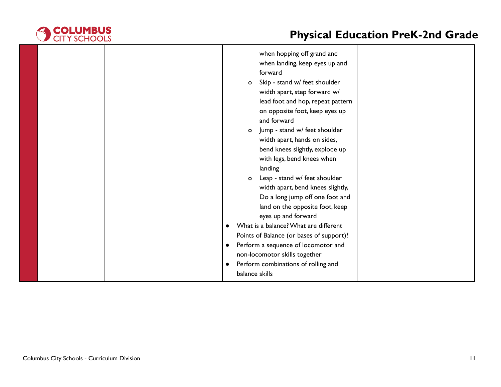

| when hopping off grand and<br>when landing, keep eyes up and<br>forward<br>Skip - stand w/ feet shoulder<br>$\circ$<br>width apart, step forward w/<br>lead foot and hop, repeat pattern<br>on opposite foot, keep eyes up<br>and forward<br>Jump - stand w/ feet shoulder<br>$\circ$<br>width apart, hands on sides,<br>bend knees slightly, explode up<br>with legs, bend knees when<br>landing<br>Leap - stand w/ feet shoulder<br>$\circ$<br>width apart, bend knees slightly,<br>Do a long jump off one foot and<br>land on the opposite foot, keep |
|----------------------------------------------------------------------------------------------------------------------------------------------------------------------------------------------------------------------------------------------------------------------------------------------------------------------------------------------------------------------------------------------------------------------------------------------------------------------------------------------------------------------------------------------------------|
|                                                                                                                                                                                                                                                                                                                                                                                                                                                                                                                                                          |
| eyes up and forward                                                                                                                                                                                                                                                                                                                                                                                                                                                                                                                                      |
| What is a balance? What are different<br>Points of Balance (or bases of support)?                                                                                                                                                                                                                                                                                                                                                                                                                                                                        |
| Perform a sequence of locomotor and<br>$\bullet$                                                                                                                                                                                                                                                                                                                                                                                                                                                                                                         |
| non-locomotor skills together                                                                                                                                                                                                                                                                                                                                                                                                                                                                                                                            |
| Perform combinations of rolling and<br>$\bullet$                                                                                                                                                                                                                                                                                                                                                                                                                                                                                                         |
| balance skills                                                                                                                                                                                                                                                                                                                                                                                                                                                                                                                                           |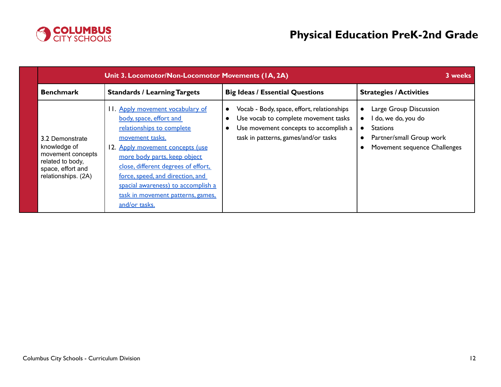

|                                                                                                                      | Unit 3. Locomotor/Non-Locomotor Movements (IA, 2A)                                                                                                                                                                                                                                                                                                     |                                                                                                                                                                                  |                                                                                                                                                        |
|----------------------------------------------------------------------------------------------------------------------|--------------------------------------------------------------------------------------------------------------------------------------------------------------------------------------------------------------------------------------------------------------------------------------------------------------------------------------------------------|----------------------------------------------------------------------------------------------------------------------------------------------------------------------------------|--------------------------------------------------------------------------------------------------------------------------------------------------------|
| <b>Benchmark</b>                                                                                                     | <b>Standards / Learning Targets</b>                                                                                                                                                                                                                                                                                                                    | <b>Big Ideas / Essential Questions</b>                                                                                                                                           | <b>Strategies / Activities</b>                                                                                                                         |
| 3.2 Demonstrate<br>knowledge of<br>movement concepts<br>related to body,<br>space, effort and<br>relationships. (2A) | 11. Apply movement vocabulary of<br>body, space, effort and<br>relationships to complete<br>movement tasks.<br>12. Apply movement concepts (use<br>more body parts, keep object<br>close, different degrees of effort,<br>force, speed, and direction, and<br>spacial awareness) to accomplish a<br>task in movement patterns, games,<br>and/or tasks. | Vocab - Body, space, effort, relationships<br>$\bullet$<br>Use vocab to complete movement tasks<br>Use movement concepts to accomplish a<br>task in patterns, games/and/or tasks | Large Group Discussion<br>I do, we do, you do<br>$\bullet$<br><b>Stations</b><br>$\bullet$<br>Partner/small Group work<br>Movement sequence Challenges |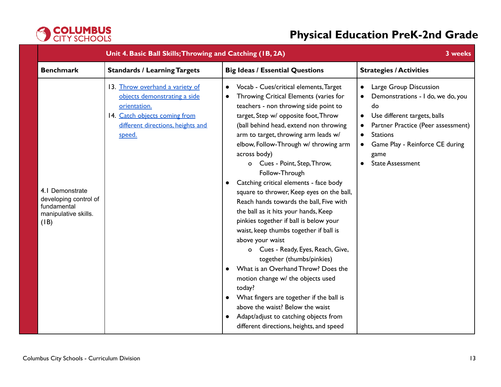

| Unit 4. Basic Ball Skills; Throwing and Catching (IB, 2A)                               |                                                                                                                                                                 |                                                                                                                                                                                                                                                                                                                                                                                                                                                                                                                                                                                                                                                                                                                                                                                                                                                                                                                                                                                                                                    | 3 weeks                                                                                                                                                                                                                                                                 |
|-----------------------------------------------------------------------------------------|-----------------------------------------------------------------------------------------------------------------------------------------------------------------|------------------------------------------------------------------------------------------------------------------------------------------------------------------------------------------------------------------------------------------------------------------------------------------------------------------------------------------------------------------------------------------------------------------------------------------------------------------------------------------------------------------------------------------------------------------------------------------------------------------------------------------------------------------------------------------------------------------------------------------------------------------------------------------------------------------------------------------------------------------------------------------------------------------------------------------------------------------------------------------------------------------------------------|-------------------------------------------------------------------------------------------------------------------------------------------------------------------------------------------------------------------------------------------------------------------------|
| <b>Benchmark</b>                                                                        | <b>Standards / Learning Targets</b>                                                                                                                             | <b>Big Ideas / Essential Questions</b>                                                                                                                                                                                                                                                                                                                                                                                                                                                                                                                                                                                                                                                                                                                                                                                                                                                                                                                                                                                             | <b>Strategies / Activities</b>                                                                                                                                                                                                                                          |
| 4.1 Demonstrate<br>developing control of<br>fundamental<br>manipulative skills.<br>(IB) | 13. Throw overhand a variety of<br>objects demonstrating a side<br>orientation.<br>14. Catch objects coming from<br>different directions, heights and<br>speed. | Vocab - Cues/critical elements, Target<br>$\bullet$<br>Throwing Critical Elements (varies for<br>$\bullet$<br>teachers - non throwing side point to<br>target, Step w/ opposite foot, Throw<br>(ball behind head, extend non throwing<br>arm to target, throwing arm leads w/<br>elbow, Follow-Through w/ throwing arm<br>across body)<br>o Cues - Point, Step, Throw,<br>Follow-Through<br>Catching critical elements - face body<br>$\bullet$<br>square to thrower, Keep eyes on the ball,<br>Reach hands towards the ball, Five with<br>the ball as it hits your hands, Keep<br>pinkies together if ball is below your<br>waist, keep thumbs together if ball is<br>above your waist<br>o Cues - Ready, Eyes, Reach, Give,<br>together (thumbs/pinkies)<br>What is an Overhand Throw? Does the<br>motion change w/ the objects used<br>today?<br>What fingers are together if the ball is<br>$\bullet$<br>above the waist? Below the waist<br>Adapt/adjust to catching objects from<br>different directions, heights, and speed | Large Group Discussion<br>$\bullet$<br>Demonstrations - I do, we do, you<br>do<br>Use different targets, balls<br>$\bullet$<br>Partner Practice (Peer assessment)<br><b>Stations</b><br>Game Play - Reinforce CE during<br>game<br><b>State Assessment</b><br>$\bullet$ |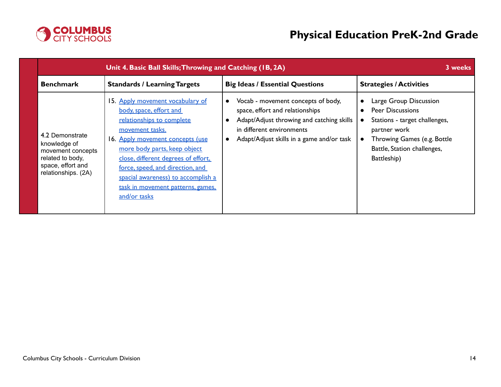

| Unit 4. Basic Ball Skills; Throwing and Catching (IB, 2A)                                                            | 3 weeks                                                                                                                                                                                                                                                                                                                                               |                                                                                                                                                                                                           |                                                                                                                                                                                 |
|----------------------------------------------------------------------------------------------------------------------|-------------------------------------------------------------------------------------------------------------------------------------------------------------------------------------------------------------------------------------------------------------------------------------------------------------------------------------------------------|-----------------------------------------------------------------------------------------------------------------------------------------------------------------------------------------------------------|---------------------------------------------------------------------------------------------------------------------------------------------------------------------------------|
| <b>Benchmark</b>                                                                                                     | <b>Standards / Learning Targets</b>                                                                                                                                                                                                                                                                                                                   | <b>Big Ideas / Essential Questions</b>                                                                                                                                                                    | <b>Strategies / Activities</b>                                                                                                                                                  |
| 4.2 Demonstrate<br>knowledge of<br>movement concepts<br>related to body,<br>space, effort and<br>relationships. (2A) | 15. Apply movement vocabulary of<br>body, space, effort and<br>relationships to complete<br>movement tasks.<br>16. Apply movement concepts (use<br>more body parts, keep object<br>close, different degrees of effort,<br>force, speed, and direction, and<br>spacial awareness) to accomplish a<br>task in movement patterns, games.<br>and/or tasks | Vocab - movement concepts of body,<br>$\bullet$<br>space, effort and relationships<br>Adapt/Adjust throwing and catching skills<br>in different environments<br>Adapt/Adjust skills in a game and/or task | Large Group Discussion<br><b>Peer Discussions</b><br>Stations - target challenges,<br>partner work<br>Throwing Games (e.g. Bottle<br>Battle, Station challenges,<br>Battleship) |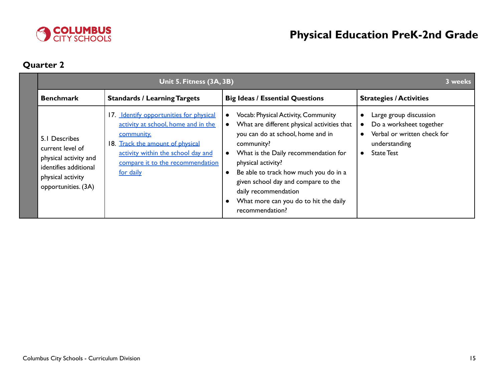

# **Quarter 2**

| Unit 5. Fitness (3A, 3B)                                                                                                        |                                                                                                                                                                                                                         |                                                                                                                                                                                                                                                                                                                                                                                      | 3 weeks                                                                                                                |
|---------------------------------------------------------------------------------------------------------------------------------|-------------------------------------------------------------------------------------------------------------------------------------------------------------------------------------------------------------------------|--------------------------------------------------------------------------------------------------------------------------------------------------------------------------------------------------------------------------------------------------------------------------------------------------------------------------------------------------------------------------------------|------------------------------------------------------------------------------------------------------------------------|
| <b>Benchmark</b>                                                                                                                | <b>Standards / Learning Targets</b>                                                                                                                                                                                     | <b>Big Ideas / Essential Questions</b>                                                                                                                                                                                                                                                                                                                                               | <b>Strategies / Activities</b>                                                                                         |
| 5.1 Describes<br>current level of<br>physical activity and<br>identifies additional<br>physical activity<br>opportunities. (3A) | 17. Identify opportunities for physical<br>activity at school, home and in the<br>community.<br>18. Track the amount of physical<br>activity within the school day and<br>compare it to the recommendation<br>for daily | Vocab: Physical Activity, Community<br>What are different physical activities that<br>you can do at school, home and in<br>community?<br>What is the Daily recommendation for<br>$\bullet$<br>physical activity?<br>Be able to track how much you do in a<br>given school day and compare to the<br>daily recommendation<br>What more can you do to hit the daily<br>recommendation? | Large group discussion<br>Do a worksheet together<br>Verbal or written check for<br>understanding<br><b>State Test</b> |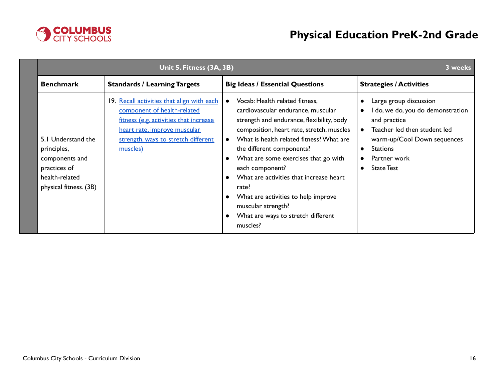

|                                                                                                                 | Unit 5. Fitness (3A, 3B)                                                                                                                                                                               |                                                                                                                                                                                                                                                                                                                                                                                                                                                                                                 |                                                                                                                                                                                                                                      |
|-----------------------------------------------------------------------------------------------------------------|--------------------------------------------------------------------------------------------------------------------------------------------------------------------------------------------------------|-------------------------------------------------------------------------------------------------------------------------------------------------------------------------------------------------------------------------------------------------------------------------------------------------------------------------------------------------------------------------------------------------------------------------------------------------------------------------------------------------|--------------------------------------------------------------------------------------------------------------------------------------------------------------------------------------------------------------------------------------|
| <b>Benchmark</b>                                                                                                | <b>Standards / Learning Targets</b>                                                                                                                                                                    | <b>Big Ideas / Essential Questions</b>                                                                                                                                                                                                                                                                                                                                                                                                                                                          | <b>Strategies / Activities</b>                                                                                                                                                                                                       |
| 5.1 Understand the<br>principles,<br>components and<br>practices of<br>health-related<br>physical fitness. (3B) | 19. Recall activities that align with each<br>component of health-related<br>fitness (e.g. activities that increase<br>heart rate, improve muscular<br>strength, ways to stretch different<br>muscles) | Vocab: Health related fitness,<br>$\bullet$<br>cardiovascular endurance, muscular<br>strength and endurance, flexibility, body<br>composition, heart rate, stretch, muscles<br>What is health related fitness? What are<br>$\bullet$<br>the different components?<br>What are some exercises that go with<br>each component?<br>What are activities that increase heart<br>rate?<br>What are activities to help improve<br>muscular strength?<br>What are ways to stretch different<br>muscles? | Large group discussion<br>I do, we do, you do demonstration<br>$\bullet$<br>and practice<br>Teacher led then student led<br>$\bullet$<br>warm-up/Cool Down sequences<br>• Stations<br>Partner work<br><b>State Test</b><br>$\bullet$ |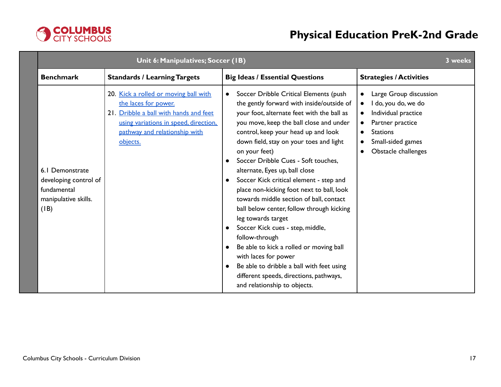

| Unit 6: Manipulatives; Soccer (IB)                                                      |                                                                                                                                                                                               |                                                                                                                                                                                                                                                                                                                                                                                                                                                                                                                                                                                                                                                                                                                                                                                                                                           | 3 weeks                                                                                                                                                                                                                    |  |
|-----------------------------------------------------------------------------------------|-----------------------------------------------------------------------------------------------------------------------------------------------------------------------------------------------|-------------------------------------------------------------------------------------------------------------------------------------------------------------------------------------------------------------------------------------------------------------------------------------------------------------------------------------------------------------------------------------------------------------------------------------------------------------------------------------------------------------------------------------------------------------------------------------------------------------------------------------------------------------------------------------------------------------------------------------------------------------------------------------------------------------------------------------------|----------------------------------------------------------------------------------------------------------------------------------------------------------------------------------------------------------------------------|--|
| <b>Benchmark</b>                                                                        | <b>Standards / Learning Targets</b>                                                                                                                                                           | <b>Big Ideas / Essential Questions</b>                                                                                                                                                                                                                                                                                                                                                                                                                                                                                                                                                                                                                                                                                                                                                                                                    | <b>Strategies / Activities</b>                                                                                                                                                                                             |  |
| 6.1 Demonstrate<br>developing control of<br>fundamental<br>manipulative skills.<br>(IB) | 20. Kick a rolled or moving ball with<br>the laces for power.<br>21. Dribble a ball with hands and feet<br>using variations in speed, direction.<br>pathway and relationship with<br>objects. | Soccer Dribble Critical Elements (push<br>$\bullet$<br>the gently forward with inside/outside of<br>your foot, alternate feet with the ball as<br>you move, keep the ball close and under<br>control, keep your head up and look<br>down field, stay on your toes and light<br>on your feet)<br>Soccer Dribble Cues - Soft touches,<br>alternate, Eyes up, ball close<br>Soccer Kick critical element - step and<br>place non-kicking foot next to ball, look<br>towards middle section of ball, contact<br>ball below center, follow through kicking<br>leg towards target<br>Soccer Kick cues - step, middle,<br>$\bullet$<br>follow-through<br>Be able to kick a rolled or moving ball<br>with laces for power<br>Be able to dribble a ball with feet using<br>different speeds, directions, pathways,<br>and relationship to objects. | • Large Group discussion<br>I do, you do, we do<br>$\bullet$<br>Individual practice<br>$\bullet$<br>Partner practice<br>$\bullet$<br><b>Stations</b><br>$\bullet$<br>Small-sided games<br>$\bullet$<br>Obstacle challenges |  |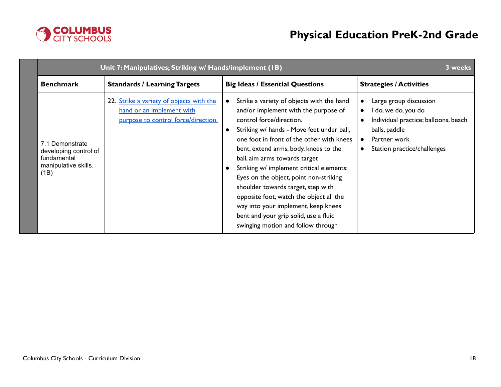

| Unit 7: Manipulatives; Striking w/ Hands/implement (IB)                                 | 3 weeks                                                                                                      |                                                                                                                                                                                                                                                                                                                                                                                                                                                                                                                                                                                             |                                                                                                                                                                                 |
|-----------------------------------------------------------------------------------------|--------------------------------------------------------------------------------------------------------------|---------------------------------------------------------------------------------------------------------------------------------------------------------------------------------------------------------------------------------------------------------------------------------------------------------------------------------------------------------------------------------------------------------------------------------------------------------------------------------------------------------------------------------------------------------------------------------------------|---------------------------------------------------------------------------------------------------------------------------------------------------------------------------------|
| <b>Benchmark</b>                                                                        | <b>Standards / Learning Targets</b>                                                                          | <b>Big Ideas / Essential Questions</b>                                                                                                                                                                                                                                                                                                                                                                                                                                                                                                                                                      | <b>Strategies / Activities</b>                                                                                                                                                  |
| 7.1 Demonstrate<br>developing control of<br>fundamental<br>manipulative skills.<br>(1B) | 22. Strike a variety of objects with the<br>hand or an implement with<br>purpose to control force/direction. | Strike a variety of objects with the hand<br>$\bullet$<br>and/or implement with the purpose of<br>control force/direction.<br>Striking w/ hands - Move feet under ball,<br>one foot in front of the other with knees<br>bent, extend arms, body, knees to the<br>ball, aim arms towards target<br>Striking w/ implement critical elements:<br>Eyes on the object, point non-striking<br>shoulder towards target, step with<br>opposite foot, watch the object all the<br>way into your implement, keep knees<br>bent and your grip solid, use a fluid<br>swinging motion and follow through | Large group discussion<br>I do, we do, you do<br>$\bullet$<br>Individual practice; balloons, beach<br>balls, paddle<br>Partner work<br>$\bullet$<br>Station practice/challenges |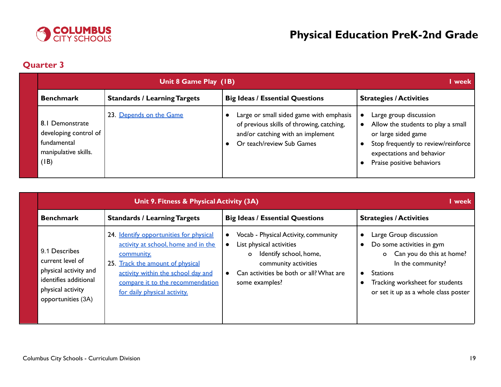

# **Quarter 3**

|      | Unit 8 Game Play (IB)                                                           |                                     |                                                                                                                                                        | l week                                                                                                                                                                               |
|------|---------------------------------------------------------------------------------|-------------------------------------|--------------------------------------------------------------------------------------------------------------------------------------------------------|--------------------------------------------------------------------------------------------------------------------------------------------------------------------------------------|
|      | <b>Benchmark</b>                                                                | <b>Standards / Learning Targets</b> | <b>Big Ideas / Essential Questions</b>                                                                                                                 | <b>Strategies / Activities</b>                                                                                                                                                       |
| (IB) | 8.1 Demonstrate<br>developing control of<br>fundamental<br>manipulative skills. | 23. Depends on the Game             | Large or small sided game with emphasis<br>of previous skills of throwing, catching,<br>and/or catching with an implement<br>Or teach/review Sub Games | Large group discussion<br>Allow the students to play a small<br>or large sided game<br>Stop frequently to review/reinforce<br>expectations and behavior<br>Praise positive behaviors |

|                                                                                                                                | I week                                                                                                                                                                                                                                     |                                                                                                                                                                                                         |                                                                                                                                                                                               |
|--------------------------------------------------------------------------------------------------------------------------------|--------------------------------------------------------------------------------------------------------------------------------------------------------------------------------------------------------------------------------------------|---------------------------------------------------------------------------------------------------------------------------------------------------------------------------------------------------------|-----------------------------------------------------------------------------------------------------------------------------------------------------------------------------------------------|
| <b>Benchmark</b>                                                                                                               | <b>Standards / Learning Targets</b>                                                                                                                                                                                                        | <b>Big Ideas / Essential Questions</b>                                                                                                                                                                  | <b>Strategies / Activities</b>                                                                                                                                                                |
| 9.1 Describes<br>current level of<br>physical activity and<br>identifies additional<br>physical activity<br>opportunities (3A) | 24. Identify opportunities for physical<br>activity at school, home and in the<br>community.<br>25. Track the amount of physical<br>activity within the school day and<br>compare it to the recommendation<br>for daily physical activity. | Vocab - Physical Activity, community<br>$\bullet$<br>List physical activities<br>Identify school, home,<br>$\circ$<br>community activities<br>Can activities be both or all? What are<br>some examples? | Large Group discussion<br>Do some activities in gym<br>o Can you do this at home?<br>In the community?<br>Stations<br>Tracking worksheet for students<br>or set it up as a whole class poster |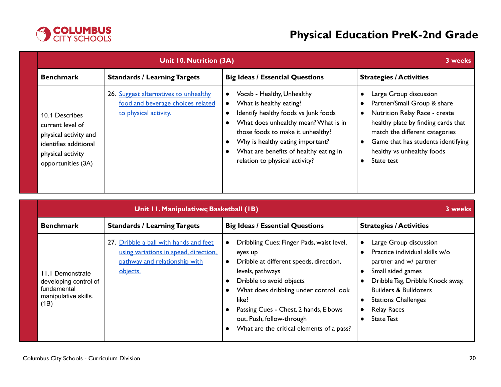

|                                                                                                                                 | Unit 10. Nutrition (3A)<br>3 weeks                                                                  |                                                                                                                                                                                                                                                                                                         |                                                                                                                                                                                                                                                                                                            |  |
|---------------------------------------------------------------------------------------------------------------------------------|-----------------------------------------------------------------------------------------------------|---------------------------------------------------------------------------------------------------------------------------------------------------------------------------------------------------------------------------------------------------------------------------------------------------------|------------------------------------------------------------------------------------------------------------------------------------------------------------------------------------------------------------------------------------------------------------------------------------------------------------|--|
| <b>Benchmark</b>                                                                                                                | <b>Standards / Learning Targets</b>                                                                 | <b>Big Ideas / Essential Questions</b>                                                                                                                                                                                                                                                                  | <b>Strategies / Activities</b>                                                                                                                                                                                                                                                                             |  |
| 10.1 Describes<br>current level of<br>physical activity and<br>identifies additional<br>physical activity<br>opportunities (3A) | 26. Suggest alternatives to unhealthy<br>food and beverage choices related<br>to physical activity. | Vocab - Healthy, Unhealthy<br>$\bullet$<br>What is healthy eating?<br>Identify healthy foods vs Junk foods<br>What does unhealthy mean? What is in<br>those foods to make it unhealthy?<br>Why is healthy eating important?<br>What are benefits of healthy eating in<br>relation to physical activity? | Large Group discussion<br>€<br>Partner/Small Group & share<br>$\bullet$<br>Nutrition Relay Race - create<br>$\bullet$<br>healthy plate by finding cards that<br>match the different categories<br>Game that has students identifying<br>$\bullet$<br>healthy vs unhealthy foods<br>State test<br>$\bullet$ |  |

|                                                                                          | 3 weeks                                                                                                                      |                                                                                                                                                                                                                                                                                                                       |                                                                                                                                                                                                                                                                                    |
|------------------------------------------------------------------------------------------|------------------------------------------------------------------------------------------------------------------------------|-----------------------------------------------------------------------------------------------------------------------------------------------------------------------------------------------------------------------------------------------------------------------------------------------------------------------|------------------------------------------------------------------------------------------------------------------------------------------------------------------------------------------------------------------------------------------------------------------------------------|
| <b>Benchmark</b>                                                                         | <b>Standards / Learning Targets</b>                                                                                          | <b>Big Ideas / Essential Questions</b>                                                                                                                                                                                                                                                                                | <b>Strategies / Activities</b>                                                                                                                                                                                                                                                     |
| II.I Demonstrate<br>developing control of<br>fundamental<br>manipulative skills.<br>(1B) | 27. Dribble a ball with hands and feet<br>using variations in speed, direction,<br>pathway and relationship with<br>objects. | Dribbling Cues: Finger Pads, waist level,<br>eyes up<br>Dribble at different speeds, direction,<br>levels, pathways<br>Dribble to avoid objects<br>What does dribbling under control look<br>like?<br>Passing Cues - Chest, 2 hands, Elbows<br>out, Push, follow-through<br>What are the critical elements of a pass? | Large Group discussion<br>Practice individual skills w/o<br>partner and w/ partner<br>Small sided games<br>Dribble Tag, Dribble Knock away,<br>$\bullet$<br><b>Builders &amp; Bulldozers</b><br><b>Stations Challenges</b><br><b>Relay Races</b><br>$\bullet$<br><b>State Test</b> |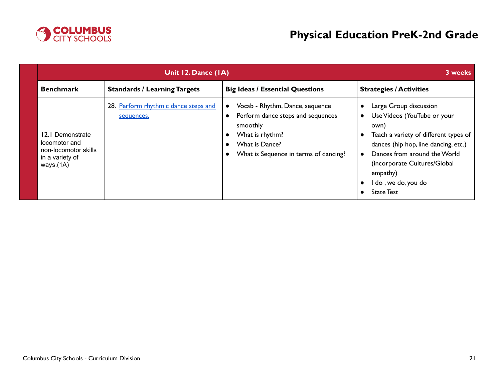

|                                                                                           | 3 weeks                                            |                                                                                                                                                                                                                                 |                                                                                                                                                                                                                                                                        |
|-------------------------------------------------------------------------------------------|----------------------------------------------------|---------------------------------------------------------------------------------------------------------------------------------------------------------------------------------------------------------------------------------|------------------------------------------------------------------------------------------------------------------------------------------------------------------------------------------------------------------------------------------------------------------------|
| <b>Benchmark</b>                                                                          | <b>Standards / Learning Targets</b>                | <b>Big Ideas / Essential Questions</b>                                                                                                                                                                                          | <b>Strategies / Activities</b>                                                                                                                                                                                                                                         |
| 12.1 Demonstrate<br>locomotor and<br>non-locomotor skills<br>in a variety of<br>ways.(1A) | 28. Perform rhythmic dance steps and<br>sequences. | Vocab - Rhythm, Dance, sequence<br>$\bullet$<br>Perform dance steps and sequences<br>$\bullet$<br>smoothly<br>What is rhythm?<br>$\bullet$<br>What is Dance?<br>$\bullet$<br>What is Sequence in terms of dancing?<br>$\bullet$ | Large Group discussion<br>Use Videos (YouTube or your<br>own)<br>Teach a variety of different types of<br>dances (hip hop, line dancing, etc.)<br>Dances from around the World<br>(incorporate Cultures/Global<br>empathy)<br>I do, we do, you do<br><b>State Test</b> |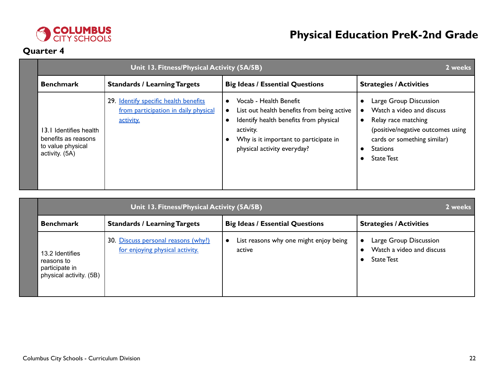

# **Quarter 4**

|                                                                                      | Unit 13. Fitness/Physical Activity (5A/5B)<br>2 weeks                                      |                                                                                                                                                                                                                               |                                                                                                                                                                                        |  |
|--------------------------------------------------------------------------------------|--------------------------------------------------------------------------------------------|-------------------------------------------------------------------------------------------------------------------------------------------------------------------------------------------------------------------------------|----------------------------------------------------------------------------------------------------------------------------------------------------------------------------------------|--|
| <b>Benchmark</b>                                                                     | <b>Standards / Learning Targets</b>                                                        | <b>Big Ideas / Essential Questions</b>                                                                                                                                                                                        | <b>Strategies / Activities</b>                                                                                                                                                         |  |
| I3.I Identifies health<br>benefits as reasons<br>to value physical<br>activity. (5A) | 29. Identify specific health benefits<br>from participation in daily physical<br>activity. | Vocab - Health Benefit<br>$\bullet$<br>List out health benefits from being active<br>$\bullet$<br>Identify health benefits from physical<br>activity.<br>Why is it important to participate in<br>physical activity everyday? | Large Group Discussion<br>Watch a video and discuss<br>Relay race matching<br>(positive/negative outcomes using<br>cards or something similar)<br><b>Stations</b><br><b>State Test</b> |  |

|                                                                            | 2 weeks                                                                |                                                               |                                                                          |
|----------------------------------------------------------------------------|------------------------------------------------------------------------|---------------------------------------------------------------|--------------------------------------------------------------------------|
| <b>Benchmark</b>                                                           | <b>Standards / Learning Targets</b>                                    | <b>Big Ideas / Essential Questions</b>                        | <b>Strategies / Activities</b>                                           |
| 13.2 Identifies<br>reasons to<br>participate in<br>physical activity. (5B) | 30. Discuss personal reasons (why?)<br>for enjoying physical activity. | List reasons why one might enjoy being<br>$\bullet$<br>active | Large Group Discussion<br>Watch a video and discuss<br><b>State Test</b> |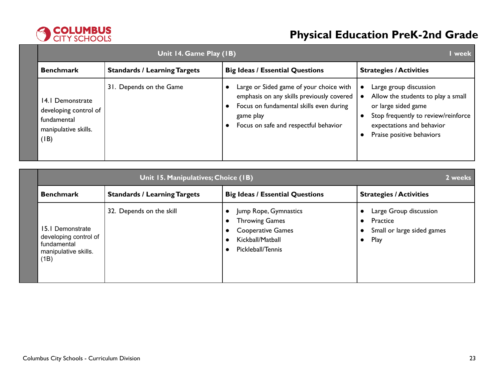

| Unit 14. Game Play (1B)                                                                  |                                     |                                                                                                                                                                                       |                                                                                                                                                                                      |
|------------------------------------------------------------------------------------------|-------------------------------------|---------------------------------------------------------------------------------------------------------------------------------------------------------------------------------------|--------------------------------------------------------------------------------------------------------------------------------------------------------------------------------------|
| <b>Benchmark</b>                                                                         | <b>Standards / Learning Targets</b> | <b>Big Ideas / Essential Questions</b>                                                                                                                                                | <b>Strategies / Activities</b>                                                                                                                                                       |
| 14.1 Demonstrate<br>developing control of<br>fundamental<br>manipulative skills.<br>(IB) | 31. Depends on the Game             | Large or Sided game of your choice with<br>emphasis on any skills previously covered<br>Focus on fundamental skills even during<br>game play<br>Focus on safe and respectful behavior | Large group discussion<br>Allow the students to play a small<br>or large sided game<br>Stop frequently to review/reinforce<br>expectations and behavior<br>Praise positive behaviors |

|                                                                                          | Unit 15. Manipulatives; Choice (IB)<br>2 weeks |                                                                                                                                                            |                                                                                       |  |  |
|------------------------------------------------------------------------------------------|------------------------------------------------|------------------------------------------------------------------------------------------------------------------------------------------------------------|---------------------------------------------------------------------------------------|--|--|
| <b>Benchmark</b>                                                                         | <b>Standards / Learning Targets</b>            | <b>Big Ideas / Essential Questions</b>                                                                                                                     | <b>Strategies / Activities</b>                                                        |  |  |
| 15.1 Demonstrate<br>developing control of<br>fundamental<br>manipulative skills.<br>(1B) | 32. Depends on the skill                       | Jump Rope, Gymnastics<br><b>Throwing Games</b><br><b>Cooperative Games</b><br>$\bullet$<br>Kickball/Matball<br>$\bullet$<br>Pickleball/Tennis<br>$\bullet$ | Large Group discussion<br>Practice<br>Small or large sided games<br>Play<br>$\bullet$ |  |  |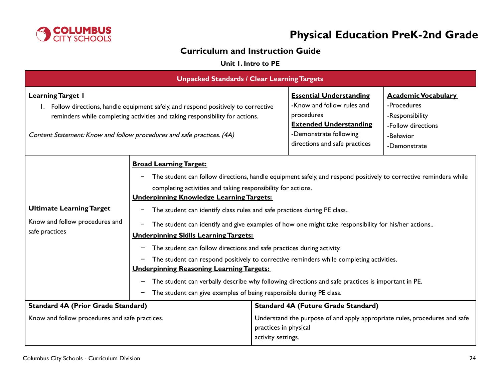

# **Curriculum and Instruction Guide**

### **Unit 1. Intro to PE**

<span id="page-23-0"></span>

| <b>Unpacked Standards / Clear Learning Targets</b>                                                                                                                                                                                                                        |                                                                                                                                                                                                                                                                                                                                                                                                                                                                                                                                                                                                                                                                                                                                                                                                                                                                                                                               |                                                                                                                                                                        |                                                                                                                 |  |
|---------------------------------------------------------------------------------------------------------------------------------------------------------------------------------------------------------------------------------------------------------------------------|-------------------------------------------------------------------------------------------------------------------------------------------------------------------------------------------------------------------------------------------------------------------------------------------------------------------------------------------------------------------------------------------------------------------------------------------------------------------------------------------------------------------------------------------------------------------------------------------------------------------------------------------------------------------------------------------------------------------------------------------------------------------------------------------------------------------------------------------------------------------------------------------------------------------------------|------------------------------------------------------------------------------------------------------------------------------------------------------------------------|-----------------------------------------------------------------------------------------------------------------|--|
| <b>Learning Target I</b><br>1. Follow directions, handle equipment safely, and respond positively to corrective<br>reminders while completing activities and taking responsibility for actions.<br>Content Statement: Know and follow procedures and safe practices. (4A) |                                                                                                                                                                                                                                                                                                                                                                                                                                                                                                                                                                                                                                                                                                                                                                                                                                                                                                                               | <b>Essential Understanding</b><br>-Know and follow rules and<br>procedures<br><b>Extended Understanding</b><br>-Demonstrate following<br>directions and safe practices | <b>Academic Vocabulary</b><br>-Procedures<br>-Responsibility<br>-Follow directions<br>-Behavior<br>-Demonstrate |  |
| <b>Ultimate Learning Target</b><br>Know and follow procedures and<br>safe practices                                                                                                                                                                                       | <b>Broad Learning Target:</b><br>The student can follow directions, handle equipment safely, and respond positively to corrective reminders while<br>completing activities and taking responsibility for actions.<br><b>Underpinning Knowledge Learning Targets:</b><br>The student can identify class rules and safe practices during PE class<br>The student can identify and give examples of how one might take responsibility for his/her actions<br>-<br><b>Underpinning Skills Learning Targets:</b><br>The student can follow directions and safe practices during activity.<br>-<br>The student can respond positively to corrective reminders while completing activities.<br><b>Underpinning Reasoning Learning Targets:</b><br>The student can verbally describe why following directions and safe practices is important in PE.<br>-<br>The student can give examples of being responsible during PE class.<br>- |                                                                                                                                                                        |                                                                                                                 |  |
| <b>Standard 4A (Prior Grade Standard)</b><br>Know and follow procedures and safe practices.                                                                                                                                                                               |                                                                                                                                                                                                                                                                                                                                                                                                                                                                                                                                                                                                                                                                                                                                                                                                                                                                                                                               | <b>Standard 4A (Future Grade Standard)</b><br>Understand the purpose of and apply appropriate rules, procedures and safe                                               |                                                                                                                 |  |
|                                                                                                                                                                                                                                                                           |                                                                                                                                                                                                                                                                                                                                                                                                                                                                                                                                                                                                                                                                                                                                                                                                                                                                                                                               | practices in physical<br>activity settings.                                                                                                                            |                                                                                                                 |  |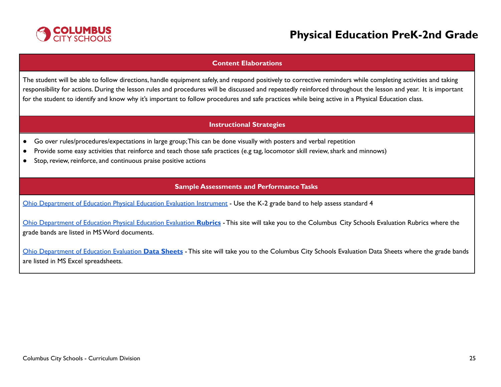

#### **Content Elaborations**

The student will be able to follow directions, handle equipment safely, and respond positively to corrective reminders while completing activities and taking responsibility for actions. During the lesson rules and procedures will be discussed and repeatedly reinforced throughout the lesson and year. It is important for the student to identify and know why it's important to follow procedures and safe practices while being active in a Physical Education class.

### **Instructional Strategies**

- Go over rules/procedures/expectations in large group;This can be done visually with posters and verbal repetition
- Provide some easy activities that reinforce and teach those safe practices (e.g tag, locomotor skill review,shark and minnows)
- Stop, review, reinforce, and continuous praise positive actions

### **Sample Assessments and PerformanceTasks**

Ohio [Department](http://education.ohio.gov/Topics/Learning-in-Ohio/Physical-Education/Physical-Education-Evaluation-updated) of Education Physical Education Evaluation Instrument - Use the K-2 grade band to help assess standard 4

Ohio [Department](https://www.ccsoh.us/Page/2271) of Education Physical Education Evaluation **Rubrics** - This site will take you to the Columbus City Schools Evaluation Rubrics where the grade bands are listed in MSWord documents.

Ohio [Department](https://www.ccsoh.us/Page/2272) of Education Evaluation **Data Sheets** - This site will take you to the Columbus City Schools Evaluation Data Sheets where the grade bands are listed in MS Excel spreadsheets.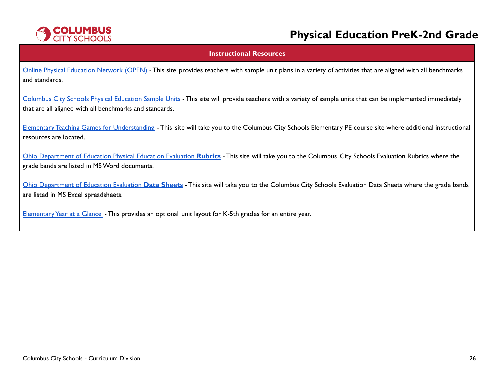

#### **Instructional Resources**

Online Physical [Education](https://openphysed.org/) Network (OPEN) - This site provides teachers with sample unit plans in a variety of activities that are aligned with all benchmarks and standards.

[Columbus](https://www.ccsoh.us/Page/6766) City Schools Physical Education Sample Units - This site will provide teachers with a variety of sample units that can be implemented immediately that are all aligned with all benchmarks and standards.

Elementary Teaching Games for [Understanding](https://www.ccsoh.us/Page/2251) - This site will take you to the Columbus City Schools Elementary PE course site where additional instructional resources are located.

Ohio [Department](https://www.ccsoh.us/Page/2271) of Education Physical Education Evaluation **Rubrics** - This site will take you to the Columbus City Schools Evaluation Rubrics where the grade bands are listed in MSWord documents.

Ohio [Department](https://www.ccsoh.us/Page/2272) of Education Evaluation **Data Sheets** - This site will take you to the Columbus City Schools Evaluation Data Sheets where the grade bands are listed in MS Excel spreadsheets.

Elementary Year at a Glance - This provides an optional unit layout for K-5th grades for an entire year.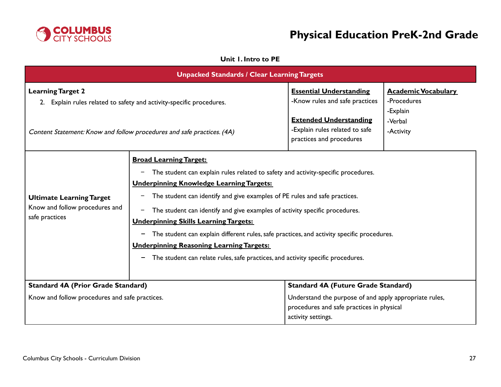

### **Unit 1. Intro to PE**

<span id="page-26-0"></span>

| <b>Unpacked Standards / Clear Learning Targets</b>                                                                                                                         |                                                                                                                                                                                                                                                                                                                                                                                                                                                                                                                                                                                                                        |                                                                                                                                                                 |                                                                               |  |
|----------------------------------------------------------------------------------------------------------------------------------------------------------------------------|------------------------------------------------------------------------------------------------------------------------------------------------------------------------------------------------------------------------------------------------------------------------------------------------------------------------------------------------------------------------------------------------------------------------------------------------------------------------------------------------------------------------------------------------------------------------------------------------------------------------|-----------------------------------------------------------------------------------------------------------------------------------------------------------------|-------------------------------------------------------------------------------|--|
| <b>Learning Target 2</b><br>2. Explain rules related to safety and activity-specific procedures.<br>Content Statement: Know and follow procedures and safe practices. (4A) |                                                                                                                                                                                                                                                                                                                                                                                                                                                                                                                                                                                                                        | <b>Essential Understanding</b><br>-Know rules and safe practices<br><b>Extended Understanding</b><br>-Explain rules related to safe<br>practices and procedures | <b>Academic Vocabulary</b><br>-Procedures<br>-Explain<br>-Verbal<br>-Activity |  |
| <b>Ultimate Learning Target</b><br>Know and follow procedures and<br>safe practices                                                                                        | <b>Broad Learning Target:</b><br>The student can explain rules related to safety and activity-specific procedures.<br><b>Underpinning Knowledge Learning Targets:</b><br>The student can identify and give examples of PE rules and safe practices.<br>The student can identify and give examples of activity specific procedures.<br><b>Underpinning Skills Learning Targets:</b><br>The student can explain different rules, safe practices, and activity specific procedures.<br><b>Underpinning Reasoning Learning Targets:</b><br>The student can relate rules, safe practices, and activity specific procedures. |                                                                                                                                                                 |                                                                               |  |
| <b>Standard 4A (Prior Grade Standard)</b><br>Know and follow procedures and safe practices.                                                                                |                                                                                                                                                                                                                                                                                                                                                                                                                                                                                                                                                                                                                        | <b>Standard 4A (Future Grade Standard)</b><br>Understand the purpose of and apply appropriate rules,<br>procedures and safe practices in physical               |                                                                               |  |
|                                                                                                                                                                            |                                                                                                                                                                                                                                                                                                                                                                                                                                                                                                                                                                                                                        | activity settings.                                                                                                                                              |                                                                               |  |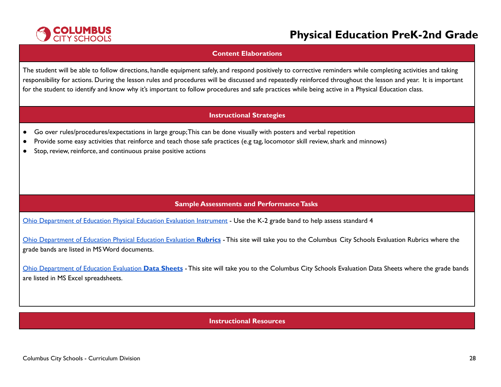

#### **Content Elaborations**

The student will be able to follow directions, handle equipment safely, and respond positively to corrective reminders while completing activities and taking responsibility for actions. During the lesson rules and procedures will be discussed and repeatedly reinforced throughout the lesson and year. It is important for the student to identify and know why it's important to follow procedures and safe practices while being active in a Physical Education class.

### **Instructional Strategies**

- Go over rules/procedures/expectations in large group;This can be done visually with posters and verbal repetition
- Provide some easy activities that reinforce and teach those safe practices (e.g tag, locomotor skill review,shark and minnows)
- Stop, review, reinforce, and continuous praise positive actions

### **Sample Assessments and PerformanceTasks**

Ohio [Department](http://education.ohio.gov/Topics/Learning-in-Ohio/Physical-Education/Physical-Education-Evaluation-updated) of Education Physical Education Evaluation Instrument - Use the K-2 grade band to help assess standard 4

Ohio [Department](https://www.ccsoh.us/Page/2271) of Education Physical Education Evaluation **Rubrics** - This site will take you to the Columbus City Schools Evaluation Rubrics where the grade bands are listed in MSWord documents.

Ohio [Department](https://www.ccsoh.us/Page/2272) of Education Evaluation **Data Sheets** - This site will take you to the Columbus City Schools Evaluation Data Sheets where the grade bands are listed in MS Excel spreadsheets.

#### **Instructional Resources**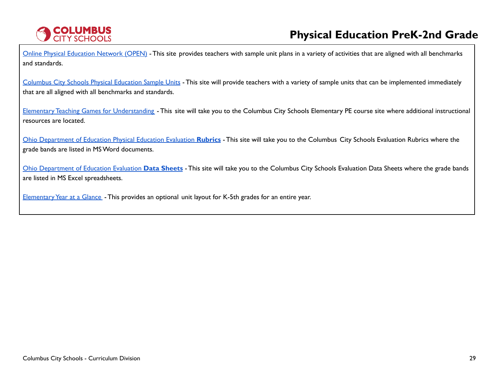

Online Physical [Education](https://openphysed.org/) Network (OPEN) - This site provides teachers with sample unit plans in a variety of activities that are aligned with all benchmarks and standards.

[Columbus](https://www.ccsoh.us/Page/6766) City Schools Physical Education Sample Units - This site will provide teachers with a variety of sample units that can be implemented immediately that are all aligned with all benchmarks and standards.

Elementary Teaching Games for [Understanding](https://www.ccsoh.us/Page/2251) - This site will take you to the Columbus City Schools Elementary PE course site where additional instructional resources are located.

Ohio [Department](https://www.ccsoh.us/Page/2271) of Education Physical Education Evaluation **Rubrics** - This site will take you to the Columbus City Schools Evaluation Rubrics where the grade bands are listed in MSWord documents.

Ohio [Department](https://www.ccsoh.us/Page/2272) of Education Evaluation **Data Sheets** - This site will take you to the Columbus City Schools Evaluation Data Sheets where the grade bands are listed in MS Excel spreadsheets.

Elementary Year at a Glance - This provides an optional unit layout for K-5th grades for an entire year.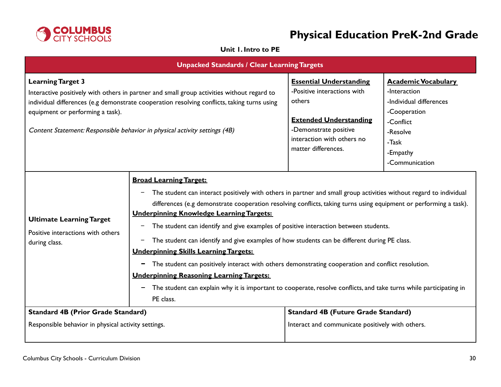

### **Unit 1. Intro to PE**

<span id="page-29-0"></span>

| <b>Unpacked Standards / Clear Learning Targets</b>                                                                                                                                                                                                                                                                                      |                                                                                                                                                                                                                                                                                                                                                                                                                                                                                                                                                                                                                                                                                                                                                                                                                                                                                |                                                                                                                                                                                        |                                                                                                                                                       |  |
|-----------------------------------------------------------------------------------------------------------------------------------------------------------------------------------------------------------------------------------------------------------------------------------------------------------------------------------------|--------------------------------------------------------------------------------------------------------------------------------------------------------------------------------------------------------------------------------------------------------------------------------------------------------------------------------------------------------------------------------------------------------------------------------------------------------------------------------------------------------------------------------------------------------------------------------------------------------------------------------------------------------------------------------------------------------------------------------------------------------------------------------------------------------------------------------------------------------------------------------|----------------------------------------------------------------------------------------------------------------------------------------------------------------------------------------|-------------------------------------------------------------------------------------------------------------------------------------------------------|--|
| <b>Learning Target 3</b><br>Interactive positively with others in partner and small group activities without regard to<br>individual differences (e.g demonstrate cooperation resolving conflicts, taking turns using<br>equipment or performing a task).<br>Content Statement: Responsible behavior in physical activity settings (4B) |                                                                                                                                                                                                                                                                                                                                                                                                                                                                                                                                                                                                                                                                                                                                                                                                                                                                                | <b>Essential Understanding</b><br>-Positive interactions with<br>others<br><b>Extended Understanding</b><br>-Demonstrate positive<br>interaction with others no<br>matter differences. | <b>Academic Vocabulary</b><br>-Interaction<br>-Individual differences<br>-Cooperation<br>-Conflict<br>-Resolve<br>-Task<br>-Empathy<br>-Communication |  |
| <b>Ultimate Learning Target</b><br>Positive interactions with others<br>during class.                                                                                                                                                                                                                                                   | <b>Broad Learning Target:</b><br>The student can interact positively with others in partner and small group activities without regard to individual<br>differences (e.g demonstrate cooperation resolving conflicts, taking turns using equipment or performing a task).<br><b>Underpinning Knowledge Learning Targets:</b><br>The student can identify and give examples of positive interaction between students.<br>-<br>The student can identify and give examples of how students can be different during PE class.<br>-<br><b>Underpinning Skills Learning Targets:</b><br>The student can positively interact with others demonstrating cooperation and conflict resolution.<br>−<br><b>Underpinning Reasoning Learning Targets:</b><br>The student can explain why it is important to cooperate, resolve conflicts, and take turns while participating in<br>PE class. |                                                                                                                                                                                        |                                                                                                                                                       |  |
| <b>Standard 4B (Prior Grade Standard)</b>                                                                                                                                                                                                                                                                                               |                                                                                                                                                                                                                                                                                                                                                                                                                                                                                                                                                                                                                                                                                                                                                                                                                                                                                | <b>Standard 4B (Future Grade Standard)</b>                                                                                                                                             |                                                                                                                                                       |  |
| Responsible behavior in physical activity settings.                                                                                                                                                                                                                                                                                     |                                                                                                                                                                                                                                                                                                                                                                                                                                                                                                                                                                                                                                                                                                                                                                                                                                                                                | Interact and communicate positively with others.                                                                                                                                       |                                                                                                                                                       |  |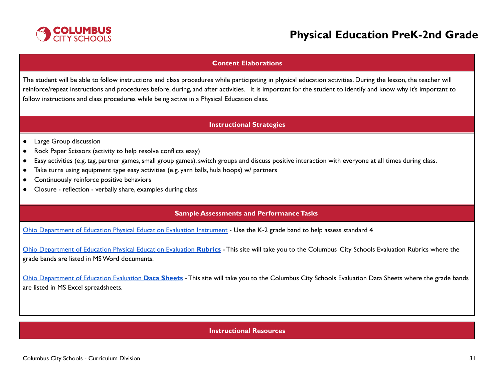

#### **Content Elaborations**

The student will be able to follow instructions and class procedures while participating in physical education activities. During the lesson, the teacher will reinforce/repeat instructions and procedures before, during, and after activities. It is important for the student to identify and know why it's important to follow instructions and class procedures while being active in a Physical Education class.

#### **Instructional Strategies**

- Large Group discussion
- Rock Paper Scissors (activity to help resolve conflicts easy)
- Easy activities (e.g. tag, partner games,small group games),switch groups and discuss positive interaction with everyone at all times during class.
- Take turns using equipment type easy activities (e.g. yarn balls, hula hoops) w/ partners
- Continuously reinforce positive behaviors
- Closure reflection verbally share, examples during class

#### **Sample Assessments and PerformanceTasks**

Ohio [Department](http://education.ohio.gov/Topics/Learning-in-Ohio/Physical-Education/Physical-Education-Evaluation-updated) of Education Physical Education Evaluation Instrument - Use the K-2 grade band to help assess standard 4

Ohio [Department](https://www.ccsoh.us/Page/2271) of Education Physical Education Evaluation **Rubrics** - This site will take you to the Columbus City Schools Evaluation Rubrics where the grade bands are listed in MSWord documents.

Ohio [Department](https://www.ccsoh.us/Page/2272) of Education Evaluation **Data Sheets** - This site will take you to the Columbus City Schools Evaluation Data Sheets where the grade bands are listed in MS Excel spreadsheets.

#### **Instructional Resources**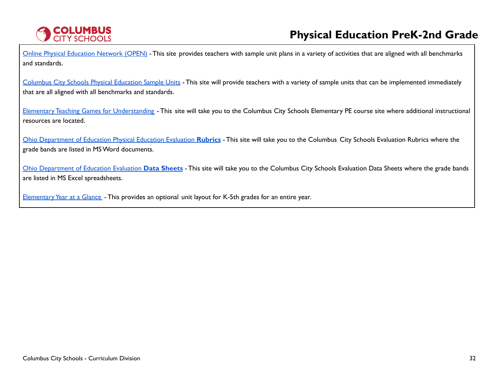

Online Physical [Education](https://openphysed.org/) Network (OPEN) - This site provides teachers with sample unit plans in a variety of activities that are aligned with all benchmarks and standards.

[Columbus](https://www.ccsoh.us/Page/6766) City Schools Physical Education Sample Units - This site will provide teachers with a variety of sample units that can be implemented immediately that are all aligned with all benchmarks and standards.

Elementary Teaching Games for [Understanding](https://www.ccsoh.us/Page/2251) - This site will take you to the Columbus City Schools Elementary PE course site where additional instructional resources are located.

Ohio [Department](https://www.ccsoh.us/Page/2271) of Education Physical Education Evaluation **Rubrics** - This site will take you to the Columbus City Schools Evaluation Rubrics where the grade bands are listed in MSWord documents.

Ohio [Department](https://www.ccsoh.us/Page/2272) of Education Evaluation **Data Sheets** - This site will take you to the Columbus City Schools Evaluation Data Sheets where the grade bands are listed in MS Excel spreadsheets.

Elementary Year at a Glance - This provides an optional unit layout for K-5th grades for an entire year.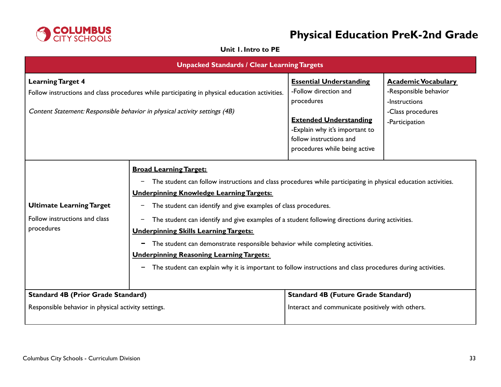

### **Unit 1. Intro to PE**

<span id="page-32-0"></span>

| <b>Unpacked Standards / Clear Learning Targets</b>                                                                                                                                                       |                                                                                                                                                                                                                                                                                                                                                                                                                                                                                                                                                                                                                                                                                                           |                                                                                                                                                                                                      |                                                                                                             |  |
|----------------------------------------------------------------------------------------------------------------------------------------------------------------------------------------------------------|-----------------------------------------------------------------------------------------------------------------------------------------------------------------------------------------------------------------------------------------------------------------------------------------------------------------------------------------------------------------------------------------------------------------------------------------------------------------------------------------------------------------------------------------------------------------------------------------------------------------------------------------------------------------------------------------------------------|------------------------------------------------------------------------------------------------------------------------------------------------------------------------------------------------------|-------------------------------------------------------------------------------------------------------------|--|
| <b>Learning Target 4</b><br>Follow instructions and class procedures while participating in physical education activities.<br>Content Statement: Responsible behavior in physical activity settings (4B) |                                                                                                                                                                                                                                                                                                                                                                                                                                                                                                                                                                                                                                                                                                           | <b>Essential Understanding</b><br>-Follow direction and<br>procedures<br><b>Extended Understanding</b><br>-Explain why it's important to<br>follow instructions and<br>procedures while being active | <b>Academic Vocabulary</b><br>-Responsible behavior<br>-Instructions<br>-Class procedures<br>-Participation |  |
| <b>Ultimate Learning Target</b><br>Follow instructions and class<br>procedures                                                                                                                           | <b>Broad Learning Target:</b><br>The student can follow instructions and class procedures while participating in physical education activities.<br>$\qquad \qquad -$<br><b>Underpinning Knowledge Learning Targets:</b><br>The student can identify and give examples of class procedures.<br>-<br>The student can identify and give examples of a student following directions during activities.<br><b>Underpinning Skills Learning Targets:</b><br>The student can demonstrate responsible behavior while completing activities.<br>-<br><b>Underpinning Reasoning Learning Targets:</b><br>The student can explain why it is important to follow instructions and class procedures during activities. |                                                                                                                                                                                                      |                                                                                                             |  |
| <b>Standard 4B (Prior Grade Standard)</b><br>Responsible behavior in physical activity settings.                                                                                                         |                                                                                                                                                                                                                                                                                                                                                                                                                                                                                                                                                                                                                                                                                                           | <b>Standard 4B (Future Grade Standard)</b><br>Interact and communicate positively with others.                                                                                                       |                                                                                                             |  |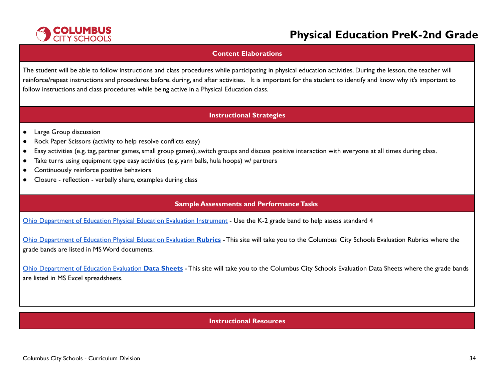

#### **Content Elaborations**

The student will be able to follow instructions and class procedures while participating in physical education activities. During the lesson, the teacher will reinforce/repeat instructions and procedures before, during, and after activities. It is important for the student to identify and know why it's important to follow instructions and class procedures while being active in a Physical Education class.

#### **Instructional Strategies**

- Large Group discussion
- Rock Paper Scissors (activity to help resolve conflicts easy)
- Easy activities (e.g. tag, partner games,small group games),switch groups and discuss positive interaction with everyone at all times during class.
- Take turns using equipment type easy activities (e.g. yarn balls, hula hoops) w/ partners
- Continuously reinforce positive behaviors
- Closure reflection verbally share, examples during class

#### **Sample Assessments and PerformanceTasks**

Ohio [Department](http://education.ohio.gov/Topics/Learning-in-Ohio/Physical-Education/Physical-Education-Evaluation-updated) of Education Physical Education Evaluation Instrument - Use the K-2 grade band to help assess standard 4

Ohio [Department](https://www.ccsoh.us/Page/2271) of Education Physical Education Evaluation **Rubrics** - This site will take you to the Columbus City Schools Evaluation Rubrics where the grade bands are listed in MSWord documents.

Ohio [Department](https://www.ccsoh.us/Page/2272) of Education Evaluation **Data Sheets** - This site will take you to the Columbus City Schools Evaluation Data Sheets where the grade bands are listed in MS Excel spreadsheets.

### **Instructional Resources**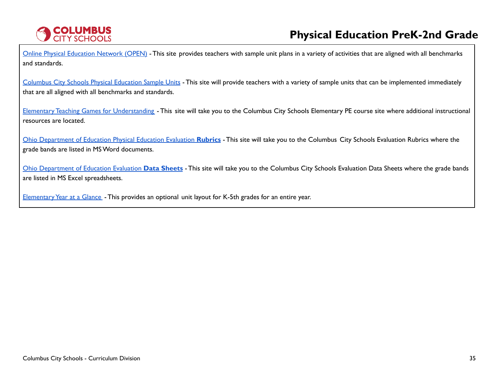

Online Physical [Education](https://openphysed.org/) Network (OPEN) - This site provides teachers with sample unit plans in a variety of activities that are aligned with all benchmarks and standards.

[Columbus](https://www.ccsoh.us/Page/6766) City Schools Physical Education Sample Units - This site will provide teachers with a variety of sample units that can be implemented immediately that are all aligned with all benchmarks and standards.

Elementary Teaching Games for [Understanding](https://www.ccsoh.us/Page/2251) - This site will take you to the Columbus City Schools Elementary PE course site where additional instructional resources are located.

Ohio [Department](https://www.ccsoh.us/Page/2271) of Education Physical Education Evaluation **Rubrics** - This site will take you to the Columbus City Schools Evaluation Rubrics where the grade bands are listed in MSWord documents.

Ohio [Department](https://www.ccsoh.us/Page/2272) of Education Evaluation **Data Sheets** - This site will take you to the Columbus City Schools Evaluation Data Sheets where the grade bands are listed in MS Excel spreadsheets.

Elementary Year at a Glance - This provides an optional unit layout for K-5th grades for an entire year.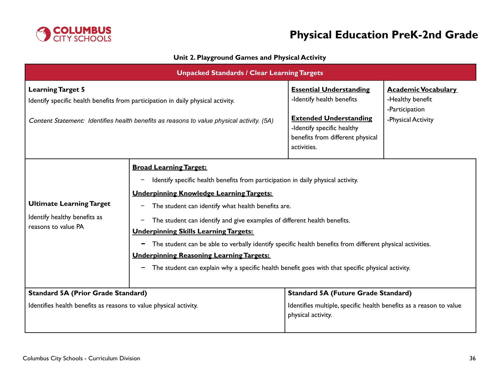

### **Unit 2. Playground Games and Physical Activity**

<span id="page-35-0"></span>

|                                                                                                                                                                                                           | <b>Unpacked Standards / Clear Learning Targets</b>                                                                                                                                                                                                                                                                                                                                                                                                                                                                                                                                                                                               |                                                                                                                                                                               |                                                                                        |  |  |
|-----------------------------------------------------------------------------------------------------------------------------------------------------------------------------------------------------------|--------------------------------------------------------------------------------------------------------------------------------------------------------------------------------------------------------------------------------------------------------------------------------------------------------------------------------------------------------------------------------------------------------------------------------------------------------------------------------------------------------------------------------------------------------------------------------------------------------------------------------------------------|-------------------------------------------------------------------------------------------------------------------------------------------------------------------------------|----------------------------------------------------------------------------------------|--|--|
| <b>Learning Target 5</b><br>Identify specific health benefits from participation in daily physical activity.<br>Content Statement: Identifies health benefits as reasons to value physical activity. (5A) |                                                                                                                                                                                                                                                                                                                                                                                                                                                                                                                                                                                                                                                  | <b>Essential Understanding</b><br>-Identify health benefits<br><b>Extended Understanding</b><br>-Identify specific healthy<br>benefits from different physical<br>activities. | <b>Academic Vocabulary</b><br>-Healthy benefit<br>-Participation<br>-Physical Activity |  |  |
| <b>Ultimate Learning Target</b><br>Identify healthy benefits as<br>reasons to value PA                                                                                                                    | <b>Broad Learning Target:</b><br>Identify specific health benefits from participation in daily physical activity.<br><u>—</u><br><b>Underpinning Knowledge Learning Targets:</b><br>The student can identify what health benefits are.<br>The student can identify and give examples of different health benefits.<br>—<br><b>Underpinning Skills Learning Targets:</b><br>The student can be able to verbally identify specific health benefits from different physical activities.<br>-<br><b>Underpinning Reasoning Learning Targets:</b><br>The student can explain why a specific health benefit goes with that specific physical activity. |                                                                                                                                                                               |                                                                                        |  |  |
| <b>Standard 5A (Prior Grade Standard)</b><br>Identifies health benefits as reasons to value physical activity.                                                                                            |                                                                                                                                                                                                                                                                                                                                                                                                                                                                                                                                                                                                                                                  | <b>Standard 5A (Future Grade Standard)</b><br>Identifies multiple, specific health benefits as a reason to value<br>physical activity.                                        |                                                                                        |  |  |
|                                                                                                                                                                                                           |                                                                                                                                                                                                                                                                                                                                                                                                                                                                                                                                                                                                                                                  |                                                                                                                                                                               |                                                                                        |  |  |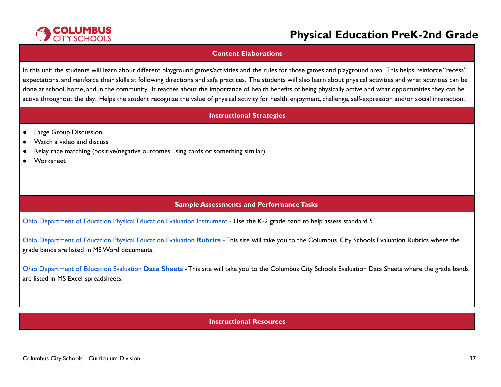

#### **Content Elaborations**

In this unit the students will learn about different playground games/activities and the rules for those games and playground area. This helps reinforce "recess" expectations, and reinforce their skills at following directions and safe practices. The students will also learn about physical activities and what activities can be done at school, home, and in the community. It teaches about the importance of health benefits of being physically active and what opportunities they can be active throughout the day. Helps the student recognize the value of physical activity for health, enjoyment, challenge, self-expression and/or social interaction.

#### **Instructional Strategies**

- Large Group Discussion
- Watch a video and discuss
- Relay race matching (positive/negative outcomes using cards or something similar)
- Worksheet

### **Sample Assessments and PerformanceTasks**

Ohio [Department](http://education.ohio.gov/Topics/Learning-in-Ohio/Physical-Education/Physical-Education-Evaluation-updated) of Education Physical Education Evaluation Instrument - Use the K-2 grade band to help assess standard 5

Ohio [Department](https://www.ccsoh.us/Page/2271) of Education Physical Education Evaluation **Rubrics** - This site will take you to the Columbus City Schools Evaluation Rubrics where the grade bands are listed in MSWord documents.

Ohio [Department](https://www.ccsoh.us/Page/2272) of Education Evaluation **Data Sheets** - This site will take you to the Columbus City Schools Evaluation Data Sheets where the grade bands are listed in MS Excel spreadsheets.

### **Instructional Resources**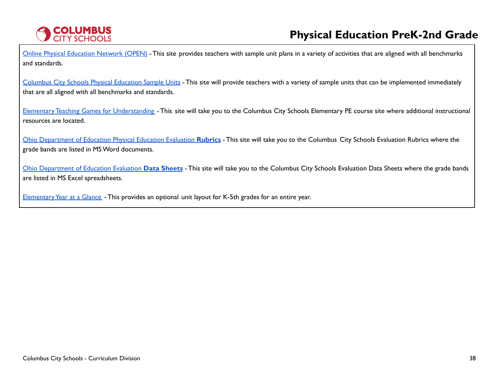

Online Physical [Education](https://openphysed.org/) Network (OPEN) - This site provides teachers with sample unit plans in a variety of activities that are aligned with all benchmarks and standards.

[Columbus](https://www.ccsoh.us/Page/6766) City Schools Physical Education Sample Units - This site will provide teachers with a variety of sample units that can be implemented immediately that are all aligned with all benchmarks and standards.

Elementary Teaching Games for [Understanding](https://www.ccsoh.us/Page/2251) - This site will take you to the Columbus City Schools Elementary PE course site where additional instructional resources are located.

Ohio [Department](https://www.ccsoh.us/Page/2271) of Education Physical Education Evaluation **Rubrics** - This site will take you to the Columbus City Schools Evaluation Rubrics where the grade bands are listed in MSWord documents.

Ohio [Department](https://www.ccsoh.us/Page/2272) of Education Evaluation **Data Sheets** - This site will take you to the Columbus City Schools Evaluation Data Sheets where the grade bands are listed in MS Excel spreadsheets.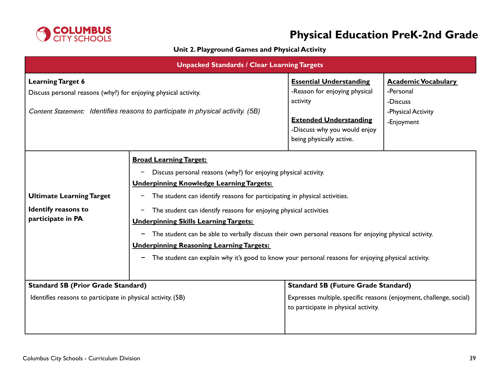

### **Unit 2. Playground Games and Physical Activity**

| <b>Unpacked Standards / Clear Learning Targets</b>                                                                                                                             |                                                                                                                                                                                                                                                                                                                                                                                                                                                                                                                                                                                                                                                      |                                                                                                                                                                          |                                                                                         |
|--------------------------------------------------------------------------------------------------------------------------------------------------------------------------------|------------------------------------------------------------------------------------------------------------------------------------------------------------------------------------------------------------------------------------------------------------------------------------------------------------------------------------------------------------------------------------------------------------------------------------------------------------------------------------------------------------------------------------------------------------------------------------------------------------------------------------------------------|--------------------------------------------------------------------------------------------------------------------------------------------------------------------------|-----------------------------------------------------------------------------------------|
| <b>Learning Target 6</b><br>Discuss personal reasons (why?) for enjoying physical activity.<br>Content Statement: Identifies reasons to participate in physical activity. (5B) |                                                                                                                                                                                                                                                                                                                                                                                                                                                                                                                                                                                                                                                      | <b>Essential Understanding</b><br>-Reason for enjoying physical<br>activity<br><b>Extended Understanding</b><br>-Discuss why you would enjoy<br>being physically active. | <b>Academic Vocabulary</b><br>-Personal<br>-Discuss<br>-Physical Activity<br>-Enjoyment |
| <b>Ultimate Learning Target</b><br><b>Identify reasons to</b><br>participate in PA                                                                                             | <b>Broad Learning Target:</b><br>Discuss personal reasons (why?) for enjoying physical activity.<br><b>Underpinning Knowledge Learning Targets:</b><br>The student can identify reasons for participating in physical activities.<br>-<br>The student can identify reasons for enjoying physical activities<br>$\qquad \qquad -$<br><b>Underpinning Skills Learning Targets:</b><br>The student can be able to verbally discuss their own personal reasons for enjoying physical activity.<br><b>Underpinning Reasoning Learning Targets:</b><br>The student can explain why it's good to know your personal reasons for enjoying physical activity. |                                                                                                                                                                          |                                                                                         |
| <b>Standard 5B (Prior Grade Standard)</b><br>Identifies reasons to participate in physical activity. (5B)                                                                      |                                                                                                                                                                                                                                                                                                                                                                                                                                                                                                                                                                                                                                                      | <b>Standard 5B (Future Grade Standard)</b><br>Expresses multiple, specific reasons (enjoyment, challenge, social)<br>to participate in physical activity.                |                                                                                         |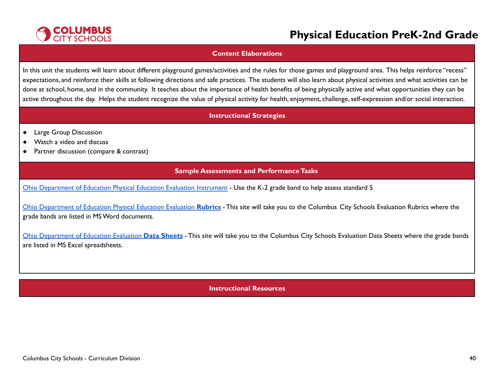

#### **Content Elaborations**

In this unit the students will learn about different playground games/activities and the rules for those games and playground area. This helps reinforce "recess" expectations, and reinforce their skills at following directions and safe practices. The students will also learn about physical activities and what activities can be done at school, home, and in the community. It teaches about the importance of health benefits of being physically active and what opportunities they can be active throughout the day. Helps the student recognize the value of physical activity for health, enjoyment, challenge, self-expression and/or social interaction.

#### **Instructional Strategies**

- Large Group Discussion
- Watch a video and discuss
- Partner discussion (compare & contrast)

#### **Sample Assessments and PerformanceTasks**

Ohio [Department](http://education.ohio.gov/Topics/Learning-in-Ohio/Physical-Education/Physical-Education-Evaluation-updated) of Education Physical Education Evaluation Instrument - Use the K-2 grade band to help assess standard 5

Ohio [Department](https://www.ccsoh.us/Page/2271) of Education Physical Education Evaluation **Rubrics** - This site will take you to the Columbus City Schools Evaluation Rubrics where the grade bands are listed in MSWord documents.

Ohio [Department](https://www.ccsoh.us/Page/2272) of Education Evaluation **Data Sheets** - This site will take you to the Columbus City Schools Evaluation Data Sheets where the grade bands are listed in MS Excel spreadsheets.

#### **Instructional Resources**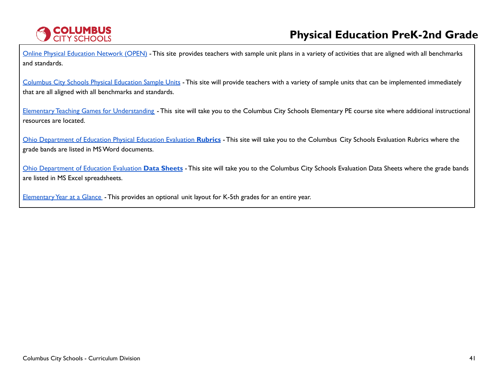

Online Physical [Education](https://openphysed.org/) Network (OPEN) - This site provides teachers with sample unit plans in a variety of activities that are aligned with all benchmarks and standards.

[Columbus](https://www.ccsoh.us/Page/6766) City Schools Physical Education Sample Units - This site will provide teachers with a variety of sample units that can be implemented immediately that are all aligned with all benchmarks and standards.

Elementary Teaching Games for [Understanding](https://www.ccsoh.us/Page/2251) - This site will take you to the Columbus City Schools Elementary PE course site where additional instructional resources are located.

Ohio [Department](https://www.ccsoh.us/Page/2271) of Education Physical Education Evaluation **Rubrics** - This site will take you to the Columbus City Schools Evaluation Rubrics where the grade bands are listed in MSWord documents.

Ohio [Department](https://www.ccsoh.us/Page/2272) of Education Evaluation **Data Sheets** - This site will take you to the Columbus City Schools Evaluation Data Sheets where the grade bands are listed in MS Excel spreadsheets.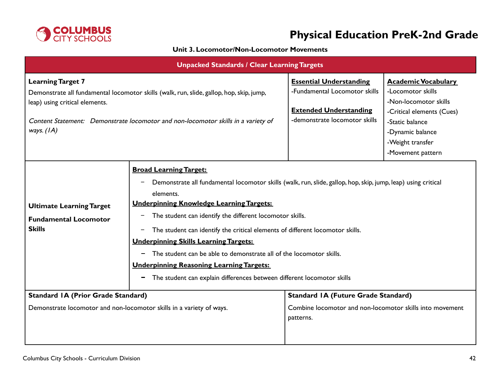

### **Unit 3. Locomotor/Non-Locomotor Movements**

| <b>Unpacked Standards / Clear Learning Targets</b>                                                                                                                                                                                                          |                                                                                                                                                                                                                                                                                                                                                                                                                                                                                                                                                                                                                                                  |                                                                                                                                   |                                                                                                                                                                                       |
|-------------------------------------------------------------------------------------------------------------------------------------------------------------------------------------------------------------------------------------------------------------|--------------------------------------------------------------------------------------------------------------------------------------------------------------------------------------------------------------------------------------------------------------------------------------------------------------------------------------------------------------------------------------------------------------------------------------------------------------------------------------------------------------------------------------------------------------------------------------------------------------------------------------------------|-----------------------------------------------------------------------------------------------------------------------------------|---------------------------------------------------------------------------------------------------------------------------------------------------------------------------------------|
| <b>Learning Target 7</b><br>Demonstrate all fundamental locomotor skills (walk, run, slide, gallop, hop, skip, jump,<br>leap) using critical elements.<br>Content Statement: Demonstrate locomotor and non-locomotor skills in a variety of<br>ways. $(IA)$ |                                                                                                                                                                                                                                                                                                                                                                                                                                                                                                                                                                                                                                                  | <b>Essential Understanding</b><br>-Fundamental Locomotor skills<br><b>Extended Understanding</b><br>-demonstrate locomotor skills | <b>Academic Vocabulary</b><br>-Locomotor skills<br>-Non-locomotor skills<br>-Critical elements (Cues)<br>-Static balance<br>-Dynamic balance<br>-Weight transfer<br>-Movement pattern |
| <b>Ultimate Learning Target</b><br><b>Fundamental Locomotor</b><br><b>Skills</b>                                                                                                                                                                            | <b>Broad Learning Target:</b><br>Demonstrate all fundamental locomotor skills (walk, run, slide, gallop, hop, skip, jump, leap) using critical<br>elements.<br><b>Underpinning Knowledge Learning Targets:</b><br>The student can identify the different locomotor skills.<br>The student can identify the critical elements of different locomotor skills.<br>$\overline{\phantom{a}}$<br><b>Underpinning Skills Learning Targets:</b><br>The student can be able to demonstrate all of the locomotor skills.<br><b>Underpinning Reasoning Learning Targets:</b><br>The student can explain differences between different locomotor skills<br>- |                                                                                                                                   |                                                                                                                                                                                       |
| <b>Standard IA (Prior Grade Standard)</b><br>Demonstrate locomotor and non-locomotor skills in a variety of ways.                                                                                                                                           |                                                                                                                                                                                                                                                                                                                                                                                                                                                                                                                                                                                                                                                  | <b>Standard IA (Future Grade Standard)</b><br>Combine locomotor and non-locomotor skills into movement<br>patterns.               |                                                                                                                                                                                       |
|                                                                                                                                                                                                                                                             |                                                                                                                                                                                                                                                                                                                                                                                                                                                                                                                                                                                                                                                  |                                                                                                                                   |                                                                                                                                                                                       |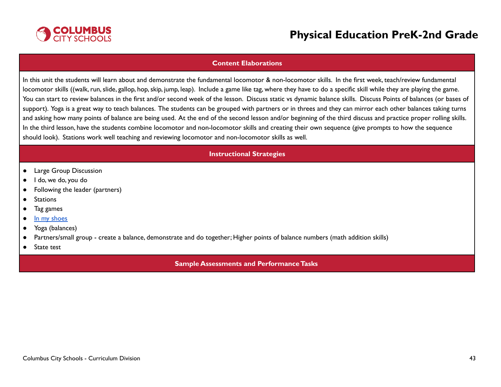

#### **Content Elaborations**

In this unit the students will learn about and demonstrate the fundamental locomotor & non-locomotor skills. In the first week, teach/review fundamental locomotor skills ((walk, run, slide, gallop, hop, skip, jump, leap). Include a game like tag, where they have to do a specific skill while they are playing the game. You can start to review balances in the first and/or second week of the lesson. Discuss static vs dynamic balance skills. Discuss Points of balances (or bases of support). Yoga is a great way to teach balances. The students can be grouped with partners or in threes and they can mirror each other balances taking turns and asking how many points of balance are being used. At the end of the second lesson and/or beginning of the third discuss and practice proper rolling skills. In the third lesson, have the students combine locomotor and non-locomotor skills and creating their own sequence (give prompts to how the sequence should look). Stations work well teaching and reviewing locomotor and non-locomotor skills as well.

#### **Instructional Strategies**

- Large Group Discussion
- I do, we do, you do
- Following the leader (partners)
- Stations
- Tag games
- In my [shoes](https://www.actionforhealthykids.org/activity/exploring-empathy-with-physical-activity/)
- Yoga (balances)
- Partners/small group create a balance, demonstrate and do together; Higher points of balance numbers (math addition skills)
- State test

#### **Sample Assessments and PerformanceTasks**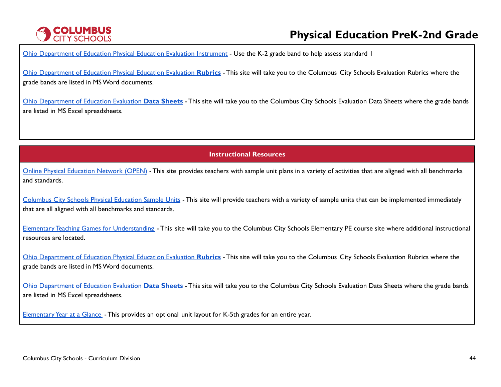# **COLUMBUS**<br>CITY SCHOOLS

# **Physical Education PreK-2nd Grade**

Ohio [Department](http://education.ohio.gov/Topics/Learning-in-Ohio/Physical-Education/Physical-Education-Evaluation-updated) of Education Physical Education Evaluation Instrument - Use the K-2 grade band to help assess standard I

Ohio [Department](https://www.ccsoh.us/Page/2271) of Education Physical Education Evaluation **Rubrics** - This site will take you to the Columbus City Schools Evaluation Rubrics where the grade bands are listed in MSWord documents.

Ohio [Department](https://www.ccsoh.us/Page/2272) of Education Evaluation **Data Sheets** - This site will take you to the Columbus City Schools Evaluation Data Sheets where the grade bands are listed in MS Excel spreadsheets.

**Instructional Resources**

Online Physical [Education](https://openphysed.org/) Network (OPEN) - This site provides teachers with sample unit plans in a variety of activities that are aligned with all benchmarks and standards.

[Columbus](https://www.ccsoh.us/Page/6766) City Schools Physical Education Sample Units - This site will provide teachers with a variety of sample units that can be implemented immediately that are all aligned with all benchmarks and standards.

Elementary Teaching Games for [Understanding](https://www.ccsoh.us/Page/2251) - This site will take you to the Columbus City Schools Elementary PE course site where additional instructional resources are located.

Ohio [Department](https://www.ccsoh.us/Page/2271) of Education Physical Education Evaluation **Rubrics** - This site will take you to the Columbus City Schools Evaluation Rubrics where the grade bands are listed in MSWord documents.

Ohio [Department](https://www.ccsoh.us/Page/2272) of Education Evaluation **Data Sheets** - This site will take you to the Columbus City Schools Evaluation Data Sheets where the grade bands are listed in MS Excel spreadsheets.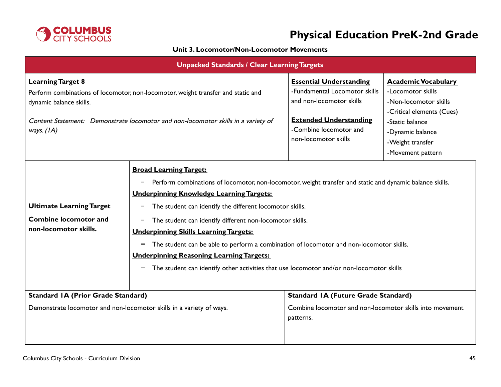

### **Unit 3. Locomotor/Non-Locomotor Movements**

| <b>Unpacked Standards / Clear Learning Targets</b>                                                                                                                                                                                           |                                                                                                                                                                                                                                                                                                                                                                                                                                                                                                                                                                                                                               |                                                                                                                                                                                |                                                                                                                                                                                       |
|----------------------------------------------------------------------------------------------------------------------------------------------------------------------------------------------------------------------------------------------|-------------------------------------------------------------------------------------------------------------------------------------------------------------------------------------------------------------------------------------------------------------------------------------------------------------------------------------------------------------------------------------------------------------------------------------------------------------------------------------------------------------------------------------------------------------------------------------------------------------------------------|--------------------------------------------------------------------------------------------------------------------------------------------------------------------------------|---------------------------------------------------------------------------------------------------------------------------------------------------------------------------------------|
| <b>Learning Target 8</b><br>Perform combinations of locomotor, non-locomotor, weight transfer and static and<br>dynamic balance skills.<br>Content Statement: Demonstrate locomotor and non-locomotor skills in a variety of<br>ways. $(IA)$ |                                                                                                                                                                                                                                                                                                                                                                                                                                                                                                                                                                                                                               | <b>Essential Understanding</b><br>-Fundamental Locomotor skills<br>and non-locomotor skills<br><b>Extended Understanding</b><br>-Combine locomotor and<br>non-locomotor skills | <b>Academic Vocabulary</b><br>-Locomotor skills<br>-Non-locomotor skills<br>-Critical elements (Cues)<br>-Static balance<br>-Dynamic balance<br>-Weight transfer<br>-Movement pattern |
| <b>Ultimate Learning Target</b><br><b>Combine locomotor and</b><br>non-locomotor skills.                                                                                                                                                     | <b>Broad Learning Target:</b><br>Perform combinations of locomotor, non-locomotor, weight transfer and static and dynamic balance skills.<br>-<br><b>Underpinning Knowledge Learning Targets:</b><br>The student can identify the different locomotor skills.<br>The student can identify different non-locomotor skills.<br>-<br><b>Underpinning Skills Learning Targets:</b><br>The student can be able to perform a combination of locomotor and non-locomotor skills.<br>-<br><b>Underpinning Reasoning Learning Targets:</b><br>The student can identify other activities that use locomotor and/or non-locomotor skills |                                                                                                                                                                                |                                                                                                                                                                                       |
| <b>Standard IA (Prior Grade Standard)</b><br>Demonstrate locomotor and non-locomotor skills in a variety of ways.                                                                                                                            |                                                                                                                                                                                                                                                                                                                                                                                                                                                                                                                                                                                                                               | <b>Standard IA (Future Grade Standard)</b><br>Combine locomotor and non-locomotor skills into movement                                                                         |                                                                                                                                                                                       |
|                                                                                                                                                                                                                                              |                                                                                                                                                                                                                                                                                                                                                                                                                                                                                                                                                                                                                               | patterns.                                                                                                                                                                      |                                                                                                                                                                                       |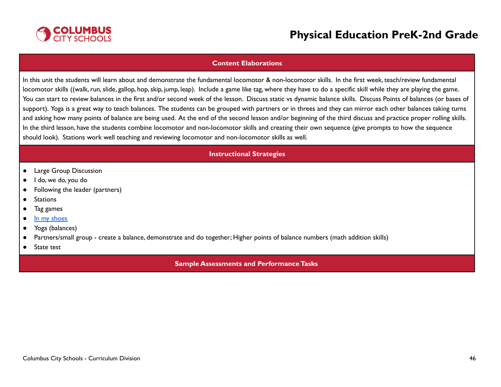

#### **Content Elaborations**

In this unit the students will learn about and demonstrate the fundamental locomotor & non-locomotor skills. In the first week, teach/review fundamental locomotor skills ((walk, run, slide, gallop, hop, skip, jump, leap). Include a game like tag, where they have to do a specific skill while they are playing the game. You can start to review balances in the first and/or second week of the lesson. Discuss static vs dynamic balance skills. Discuss Points of balances (or bases of support). Yoga is a great way to teach balances. The students can be grouped with partners or in threes and they can mirror each other balances taking turns and asking how many points of balance are being used. At the end of the second lesson and/or beginning of the third discuss and practice proper rolling skills. In the third lesson, have the students combine locomotor and non-locomotor skills and creating their own sequence (give prompts to how the sequence should look). Stations work well teaching and reviewing locomotor and non-locomotor skills as well.

#### **Instructional Strategies**

- Large Group Discussion
- I do, we do, you do
- Following the leader (partners)
- Stations
- Tag games
- In my [shoes](https://www.actionforhealthykids.org/activity/exploring-empathy-with-physical-activity/)
- Yoga (balances)
- Partners/small group create a balance, demonstrate and do together; Higher points of balance numbers (math addition skills)
- State test

#### **Sample Assessments and PerformanceTasks**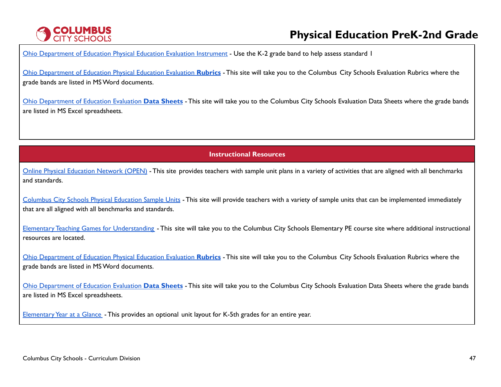# **COLUMBUS**<br>CITY SCHOOLS

# **Physical Education PreK-2nd Grade**

Ohio [Department](http://education.ohio.gov/Topics/Learning-in-Ohio/Physical-Education/Physical-Education-Evaluation-updated) of Education Physical Education Evaluation Instrument - Use the K-2 grade band to help assess standard I

Ohio [Department](https://www.ccsoh.us/Page/2271) of Education Physical Education Evaluation **Rubrics** - This site will take you to the Columbus City Schools Evaluation Rubrics where the grade bands are listed in MSWord documents.

Ohio [Department](https://www.ccsoh.us/Page/2272) of Education Evaluation **Data Sheets** - This site will take you to the Columbus City Schools Evaluation Data Sheets where the grade bands are listed in MS Excel spreadsheets.

**Instructional Resources**

Online Physical [Education](https://openphysed.org/) Network (OPEN) - This site provides teachers with sample unit plans in a variety of activities that are aligned with all benchmarks and standards.

[Columbus](https://www.ccsoh.us/Page/6766) City Schools Physical Education Sample Units - This site will provide teachers with a variety of sample units that can be implemented immediately that are all aligned with all benchmarks and standards.

Elementary Teaching Games for [Understanding](https://www.ccsoh.us/Page/2251) - This site will take you to the Columbus City Schools Elementary PE course site where additional instructional resources are located.

Ohio [Department](https://www.ccsoh.us/Page/2271) of Education Physical Education Evaluation **Rubrics** - This site will take you to the Columbus City Schools Evaluation Rubrics where the grade bands are listed in MSWord documents.

Ohio [Department](https://www.ccsoh.us/Page/2272) of Education Evaluation **Data Sheets** - This site will take you to the Columbus City Schools Evaluation Data Sheets where the grade bands are listed in MS Excel spreadsheets.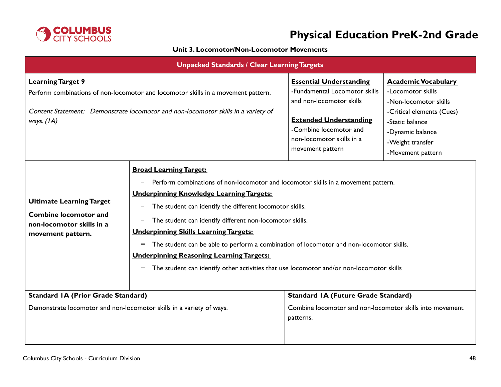

### **Unit 3. Locomotor/Non-Locomotor Movements**

| <b>Unpacked Standards / Clear Learning Targets</b>                                                                                                                                                                 |                                                                                                                                                                                                                                                                                                                                                                                                                                                                                                                                                                                                                                                     |                                                                                                                                                                                                         |                                                                                                                                                                                       |
|--------------------------------------------------------------------------------------------------------------------------------------------------------------------------------------------------------------------|-----------------------------------------------------------------------------------------------------------------------------------------------------------------------------------------------------------------------------------------------------------------------------------------------------------------------------------------------------------------------------------------------------------------------------------------------------------------------------------------------------------------------------------------------------------------------------------------------------------------------------------------------------|---------------------------------------------------------------------------------------------------------------------------------------------------------------------------------------------------------|---------------------------------------------------------------------------------------------------------------------------------------------------------------------------------------|
| <b>Learning Target 9</b><br>Perform combinations of non-locomotor and locomotor skills in a movement pattern.<br>Content Statement: Demonstrate locomotor and non-locomotor skills in a variety of<br>ways. $(IA)$ |                                                                                                                                                                                                                                                                                                                                                                                                                                                                                                                                                                                                                                                     | <b>Essential Understanding</b><br>-Fundamental Locomotor skills<br>and non-locomotor skills<br><b>Extended Understanding</b><br>-Combine locomotor and<br>non-locomotor skills in a<br>movement pattern | <b>Academic Vocabulary</b><br>-Locomotor skills<br>-Non-locomotor skills<br>-Critical elements (Cues)<br>-Static balance<br>-Dynamic balance<br>-Weight transfer<br>-Movement pattern |
| <b>Ultimate Learning Target</b><br><b>Combine locomotor and</b><br>non-locomotor skills in a<br>movement pattern.                                                                                                  | <b>Broad Learning Target:</b><br>Perform combinations of non-locomotor and locomotor skills in a movement pattern.<br>$\qquad \qquad -$<br><b>Underpinning Knowledge Learning Targets:</b><br>The student can identify the different locomotor skills.<br>$\qquad \qquad -$<br>The student can identify different non-locomotor skills.<br><b>Underpinning Skills Learning Targets:</b><br>The student can be able to perform a combination of locomotor and non-locomotor skills.<br>$\blacksquare$<br><b>Underpinning Reasoning Learning Targets:</b><br>The student can identify other activities that use locomotor and/or non-locomotor skills |                                                                                                                                                                                                         |                                                                                                                                                                                       |
| <b>Standard IA (Prior Grade Standard)</b><br>Demonstrate locomotor and non-locomotor skills in a variety of ways.                                                                                                  |                                                                                                                                                                                                                                                                                                                                                                                                                                                                                                                                                                                                                                                     | <b>Standard IA (Future Grade Standard)</b><br>Combine locomotor and non-locomotor skills into movement<br>patterns.                                                                                     |                                                                                                                                                                                       |
|                                                                                                                                                                                                                    |                                                                                                                                                                                                                                                                                                                                                                                                                                                                                                                                                                                                                                                     |                                                                                                                                                                                                         |                                                                                                                                                                                       |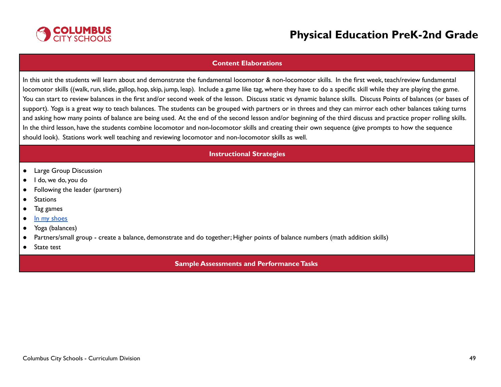

#### **Content Elaborations**

In this unit the students will learn about and demonstrate the fundamental locomotor & non-locomotor skills. In the first week, teach/review fundamental locomotor skills ((walk, run, slide, gallop, hop, skip, jump, leap). Include a game like tag, where they have to do a specific skill while they are playing the game. You can start to review balances in the first and/or second week of the lesson. Discuss static vs dynamic balance skills. Discuss Points of balances (or bases of support). Yoga is a great way to teach balances. The students can be grouped with partners or in threes and they can mirror each other balances taking turns and asking how many points of balance are being used. At the end of the second lesson and/or beginning of the third discuss and practice proper rolling skills. In the third lesson, have the students combine locomotor and non-locomotor skills and creating their own sequence (give prompts to how the sequence should look). Stations work well teaching and reviewing locomotor and non-locomotor skills as well.

#### **Instructional Strategies**

- Large Group Discussion
- I do, we do, you do
- Following the leader (partners)
- Stations
- Tag games
- In my [shoes](https://www.actionforhealthykids.org/activity/exploring-empathy-with-physical-activity/)
- Yoga (balances)
- Partners/small group create a balance, demonstrate and do together; Higher points of balance numbers (math addition skills)
- State test

#### **Sample Assessments and PerformanceTasks**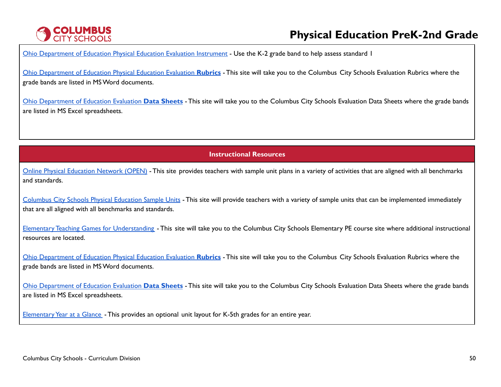# **COLUMBUS**<br>CITY SCHOOLS

# **Physical Education PreK-2nd Grade**

Ohio [Department](http://education.ohio.gov/Topics/Learning-in-Ohio/Physical-Education/Physical-Education-Evaluation-updated) of Education Physical Education Evaluation Instrument - Use the K-2 grade band to help assess standard I

Ohio [Department](https://www.ccsoh.us/Page/2271) of Education Physical Education Evaluation **Rubrics** - This site will take you to the Columbus City Schools Evaluation Rubrics where the grade bands are listed in MSWord documents.

Ohio [Department](https://www.ccsoh.us/Page/2272) of Education Evaluation **Data Sheets** - This site will take you to the Columbus City Schools Evaluation Data Sheets where the grade bands are listed in MS Excel spreadsheets.

**Instructional Resources**

Online Physical [Education](https://openphysed.org/) Network (OPEN) - This site provides teachers with sample unit plans in a variety of activities that are aligned with all benchmarks and standards.

[Columbus](https://www.ccsoh.us/Page/6766) City Schools Physical Education Sample Units - This site will provide teachers with a variety of sample units that can be implemented immediately that are all aligned with all benchmarks and standards.

Elementary Teaching Games for [Understanding](https://www.ccsoh.us/Page/2251) - This site will take you to the Columbus City Schools Elementary PE course site where additional instructional resources are located.

Ohio [Department](https://www.ccsoh.us/Page/2271) of Education Physical Education Evaluation **Rubrics** - This site will take you to the Columbus City Schools Evaluation Rubrics where the grade bands are listed in MSWord documents.

Ohio [Department](https://www.ccsoh.us/Page/2272) of Education Evaluation **Data Sheets** - This site will take you to the Columbus City Schools Evaluation Data Sheets where the grade bands are listed in MS Excel spreadsheets.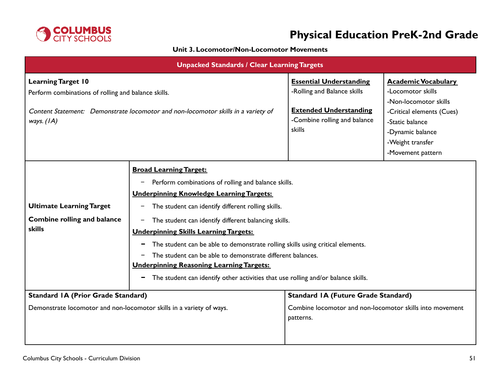

### **Unit 3. Locomotor/Non-Locomotor Movements**

| <b>Unpacked Standards / Clear Learning Targets</b>                                                                                                                                    |                                                                                                                                                                                                                                                                                                                                                                                                                                                                                                                                                                                                                                                |                                                                                                                                          |                                                                                                                                                                                       |
|---------------------------------------------------------------------------------------------------------------------------------------------------------------------------------------|------------------------------------------------------------------------------------------------------------------------------------------------------------------------------------------------------------------------------------------------------------------------------------------------------------------------------------------------------------------------------------------------------------------------------------------------------------------------------------------------------------------------------------------------------------------------------------------------------------------------------------------------|------------------------------------------------------------------------------------------------------------------------------------------|---------------------------------------------------------------------------------------------------------------------------------------------------------------------------------------|
| <b>Learning Target 10</b><br>Perform combinations of rolling and balance skills.<br>Content Statement: Demonstrate locomotor and non-locomotor skills in a variety of<br>ways. $(IA)$ |                                                                                                                                                                                                                                                                                                                                                                                                                                                                                                                                                                                                                                                | <b>Essential Understanding</b><br>-Rolling and Balance skills<br><b>Extended Understanding</b><br>-Combine rolling and balance<br>skills | <b>Academic Vocabulary</b><br>-Locomotor skills<br>-Non-locomotor skills<br>-Critical elements (Cues)<br>-Static balance<br>-Dynamic balance<br>-Weight transfer<br>-Movement pattern |
| <b>Ultimate Learning Target</b><br><b>Combine rolling and balance</b><br>skills                                                                                                       | <b>Broad Learning Target:</b><br>Perform combinations of rolling and balance skills.<br>-<br><b>Underpinning Knowledge Learning Targets:</b><br>The student can identify different rolling skills.<br>$\qquad \qquad -$<br>The student can identify different balancing skills.<br>-<br><b>Underpinning Skills Learning Targets:</b><br>The student can be able to demonstrate rolling skills using critical elements.<br>$\blacksquare$<br>The student can be able to demonstrate different balances.<br><b>Underpinning Reasoning Learning Targets:</b><br>The student can identify other activities that use rolling and/or balance skills. |                                                                                                                                          |                                                                                                                                                                                       |
| <b>Standard IA (Prior Grade Standard)</b><br>Demonstrate locomotor and non-locomotor skills in a variety of ways.                                                                     |                                                                                                                                                                                                                                                                                                                                                                                                                                                                                                                                                                                                                                                | <b>Standard IA (Future Grade Standard)</b><br>Combine locomotor and non-locomotor skills into movement<br>patterns.                      |                                                                                                                                                                                       |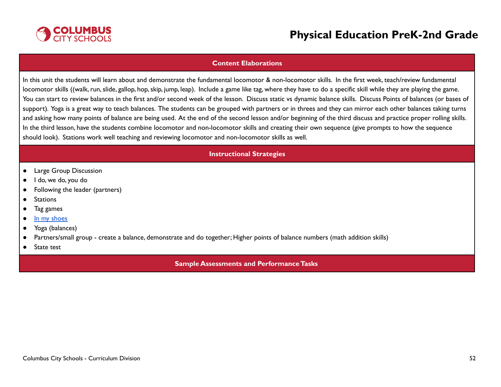

#### **Content Elaborations**

In this unit the students will learn about and demonstrate the fundamental locomotor & non-locomotor skills. In the first week, teach/review fundamental locomotor skills ((walk, run, slide, gallop, hop, skip, jump, leap). Include a game like tag, where they have to do a specific skill while they are playing the game. You can start to review balances in the first and/or second week of the lesson. Discuss static vs dynamic balance skills. Discuss Points of balances (or bases of support). Yoga is a great way to teach balances. The students can be grouped with partners or in threes and they can mirror each other balances taking turns and asking how many points of balance are being used. At the end of the second lesson and/or beginning of the third discuss and practice proper rolling skills. In the third lesson, have the students combine locomotor and non-locomotor skills and creating their own sequence (give prompts to how the sequence should look). Stations work well teaching and reviewing locomotor and non-locomotor skills as well.

#### **Instructional Strategies**

- Large Group Discussion
- I do, we do, you do
- Following the leader (partners)
- Stations
- Tag games
- In my [shoes](https://www.actionforhealthykids.org/activity/exploring-empathy-with-physical-activity/)
- Yoga (balances)
- Partners/small group create a balance, demonstrate and do together; Higher points of balance numbers (math addition skills)
- State test

#### **Sample Assessments and PerformanceTasks**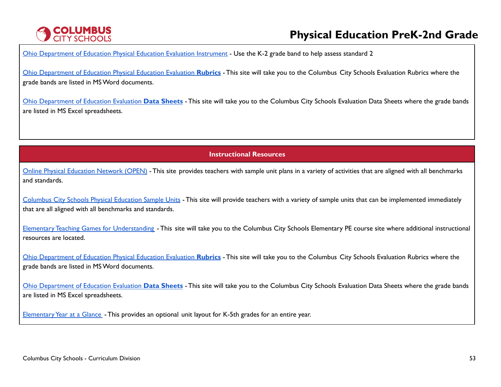# **COLUMBUS**<br>CITY SCHOOLS

# **Physical Education PreK-2nd Grade**

Ohio [Department](http://education.ohio.gov/Topics/Learning-in-Ohio/Physical-Education/Physical-Education-Evaluation-updated) of Education Physical Education Evaluation Instrument - Use the K-2 grade band to help assess standard 2

Ohio [Department](https://www.ccsoh.us/Page/2271) of Education Physical Education Evaluation **Rubrics** - This site will take you to the Columbus City Schools Evaluation Rubrics where the grade bands are listed in MSWord documents.

Ohio [Department](https://www.ccsoh.us/Page/2272) of Education Evaluation **Data Sheets** - This site will take you to the Columbus City Schools Evaluation Data Sheets where the grade bands are listed in MS Excel spreadsheets.

**Instructional Resources**

Online Physical [Education](https://openphysed.org/) Network (OPEN) - This site provides teachers with sample unit plans in a variety of activities that are aligned with all benchmarks and standards.

[Columbus](https://www.ccsoh.us/Page/6766) City Schools Physical Education Sample Units - This site will provide teachers with a variety of sample units that can be implemented immediately that are all aligned with all benchmarks and standards.

Elementary Teaching Games for [Understanding](https://www.ccsoh.us/Page/2251) - This site will take you to the Columbus City Schools Elementary PE course site where additional instructional resources are located.

Ohio [Department](https://www.ccsoh.us/Page/2271) of Education Physical Education Evaluation **Rubrics** - This site will take you to the Columbus City Schools Evaluation Rubrics where the grade bands are listed in MSWord documents.

Ohio [Department](https://www.ccsoh.us/Page/2272) of Education Evaluation **Data Sheets** - This site will take you to the Columbus City Schools Evaluation Data Sheets where the grade bands are listed in MS Excel spreadsheets.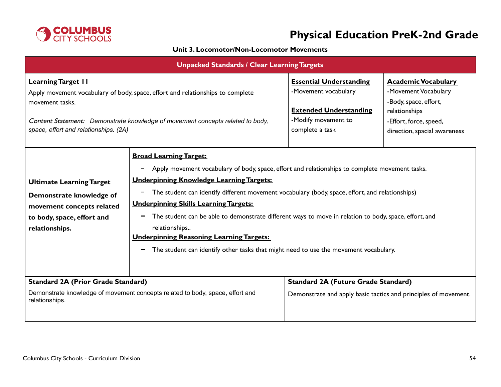

### **Unit 3. Locomotor/Non-Locomotor Movements**

| <b>Unpacked Standards / Clear Learning Targets</b>                                                                                                                                                                                                        |                                                                                                                                                                                                                                                                                                                                                                                                                                                                                                                                                                                                                 |                                                                                                                                   |                                                                                                                                                        |
|-----------------------------------------------------------------------------------------------------------------------------------------------------------------------------------------------------------------------------------------------------------|-----------------------------------------------------------------------------------------------------------------------------------------------------------------------------------------------------------------------------------------------------------------------------------------------------------------------------------------------------------------------------------------------------------------------------------------------------------------------------------------------------------------------------------------------------------------------------------------------------------------|-----------------------------------------------------------------------------------------------------------------------------------|--------------------------------------------------------------------------------------------------------------------------------------------------------|
| <b>Learning Target II</b><br>Apply movement vocabulary of body, space, effort and relationships to complete<br>movement tasks.<br>Content Statement: Demonstrate knowledge of movement concepts related to body,<br>space, effort and relationships. (2A) |                                                                                                                                                                                                                                                                                                                                                                                                                                                                                                                                                                                                                 | <b>Essential Understanding</b><br>-Movement vocabulary<br><b>Extended Understanding</b><br>-Modify movement to<br>complete a task | <b>Academic Vocabulary</b><br>-Movement Vocabulary<br>-Body, space, effort,<br>relationships<br>-Effort, force, speed,<br>direction, spacial awareness |
| <b>Ultimate Learning Target</b><br>Demonstrate knowledge of<br>movement concepts related<br>to body, space, effort and<br>relationships.                                                                                                                  | <b>Broad Learning Target:</b><br>Apply movement vocabulary of body, space, effort and relationships to complete movement tasks.<br><b>Underpinning Knowledge Learning Targets:</b><br>The student can identify different movement vocabulary (body, space, effort, and relationships)<br>-<br><b>Underpinning Skills Learning Targets:</b><br>The student can be able to demonstrate different ways to move in relation to body, space, effort, and<br>relationships<br><b>Underpinning Reasoning Learning Targets:</b><br>The student can identify other tasks that might need to use the movement vocabulary. |                                                                                                                                   |                                                                                                                                                        |
| <b>Standard 2A (Prior Grade Standard)</b><br>Demonstrate knowledge of movement concepts related to body, space, effort and<br>relationships.                                                                                                              |                                                                                                                                                                                                                                                                                                                                                                                                                                                                                                                                                                                                                 | <b>Standard 2A (Future Grade Standard)</b><br>Demonstrate and apply basic tactics and principles of movement.                     |                                                                                                                                                        |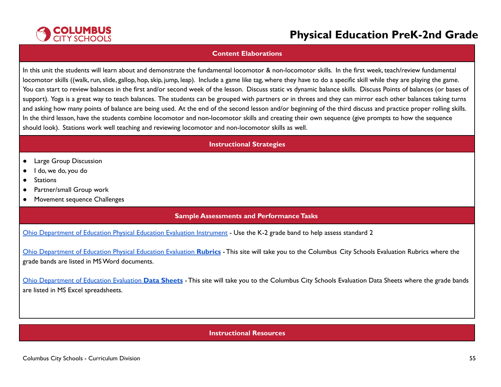

#### **Content Elaborations**

In this unit the students will learn about and demonstrate the fundamental locomotor & non-locomotor skills. In the first week, teach/review fundamental locomotor skills ((walk, run, slide, gallop, hop, skip, jump, leap). Include a game like tag, where they have to do a specific skill while they are playing the game. You can start to review balances in the first and/or second week of the lesson. Discuss static vs dynamic balance skills. Discuss Points of balances (or bases of support). Yoga is a great way to teach balances. The students can be grouped with partners or in threes and they can mirror each other balances taking turns and asking how many points of balance are being used. At the end of the second lesson and/or beginning of the third discuss and practice proper rolling skills. In the third lesson, have the students combine locomotor and non-locomotor skills and creating their own sequence (give prompts to how the sequence should look). Stations work well teaching and reviewing locomotor and non-locomotor skills as well.

#### **Instructional Strategies**

- Large Group Discussion
- I do, we do, you do
- Stations
- Partner/small Group work
- Movement sequence Challenges

#### **Sample Assessments and PerformanceTasks**

Ohio [Department](http://education.ohio.gov/Topics/Learning-in-Ohio/Physical-Education/Physical-Education-Evaluation-updated) of Education Physical Education Evaluation Instrument - Use the K-2 grade band to help assess standard 2

Ohio [Department](https://www.ccsoh.us/Page/2271) of Education Physical Education Evaluation **Rubrics** - This site will take you to the Columbus City Schools Evaluation Rubrics where the grade bands are listed in MSWord documents.

Ohio [Department](https://www.ccsoh.us/Page/2272) of Education Evaluation **Data Sheets** - This site will take you to the Columbus City Schools Evaluation Data Sheets where the grade bands are listed in MS Excel spreadsheets.

#### **Instructional Resources**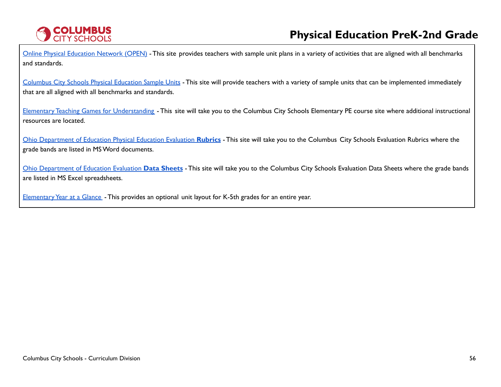

Online Physical [Education](https://openphysed.org/) Network (OPEN) - This site provides teachers with sample unit plans in a variety of activities that are aligned with all benchmarks and standards.

[Columbus](https://www.ccsoh.us/Page/6766) City Schools Physical Education Sample Units - This site will provide teachers with a variety of sample units that can be implemented immediately that are all aligned with all benchmarks and standards.

Elementary Teaching Games for [Understanding](https://www.ccsoh.us/Page/2251) - This site will take you to the Columbus City Schools Elementary PE course site where additional instructional resources are located.

Ohio [Department](https://www.ccsoh.us/Page/2271) of Education Physical Education Evaluation **Rubrics** - This site will take you to the Columbus City Schools Evaluation Rubrics where the grade bands are listed in MSWord documents.

Ohio [Department](https://www.ccsoh.us/Page/2272) of Education Evaluation **Data Sheets** - This site will take you to the Columbus City Schools Evaluation Data Sheets where the grade bands are listed in MS Excel spreadsheets.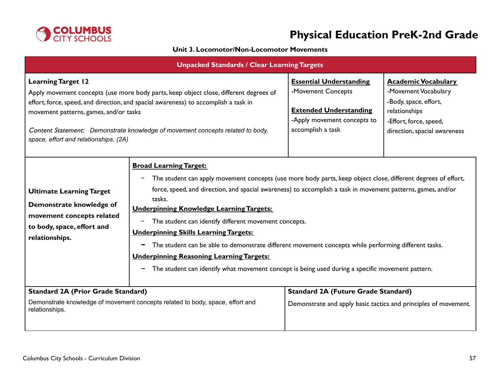

### **Unit 3. Locomotor/Non-Locomotor Movements**

| <b>Unpacked Standards / Clear Learning Targets</b>                                                                                                                                                                                                                                                                                                                             |                                                                                                                                                                                                                                                                                                                                                                                                                                                                                                                                                                                                                                                                                                                                                           |                                                                                                                                           |                                                                                                                                                        |
|--------------------------------------------------------------------------------------------------------------------------------------------------------------------------------------------------------------------------------------------------------------------------------------------------------------------------------------------------------------------------------|-----------------------------------------------------------------------------------------------------------------------------------------------------------------------------------------------------------------------------------------------------------------------------------------------------------------------------------------------------------------------------------------------------------------------------------------------------------------------------------------------------------------------------------------------------------------------------------------------------------------------------------------------------------------------------------------------------------------------------------------------------------|-------------------------------------------------------------------------------------------------------------------------------------------|--------------------------------------------------------------------------------------------------------------------------------------------------------|
| <b>Learning Target 12</b><br>Apply movement concepts (use more body parts, keep object close, different degrees of<br>effort, force, speed, and direction, and spacial awareness) to accomplish a task in<br>movement patterns, games, and/or tasks<br>Content Statement: Demonstrate knowledge of movement concepts related to body,<br>space, effort and relationships. (2A) |                                                                                                                                                                                                                                                                                                                                                                                                                                                                                                                                                                                                                                                                                                                                                           | <b>Essential Understanding</b><br>-Movement Concepts<br><b>Extended Understanding</b><br>-Apply movement concepts to<br>accomplish a task | <b>Academic Vocabulary</b><br>-Movement Vocabulary<br>-Body, space, effort,<br>relationships<br>-Effort, force, speed,<br>direction, spacial awareness |
| <b>Ultimate Learning Target</b><br>Demonstrate knowledge of<br>movement concepts related<br>to body, space, effort and<br>relationships.                                                                                                                                                                                                                                       | <b>Broad Learning Target:</b><br>The student can apply movement concepts (use more body parts, keep object close, different degrees of effort,<br>$\qquad \qquad -$<br>force, speed, and direction, and spacial awareness) to accomplish a task in movement patterns, games, and/or<br>tasks.<br><b>Underpinning Knowledge Learning Targets:</b><br>The student can identify different movement concepts.<br>$\overline{\phantom{a}}$<br><b>Underpinning Skills Learning Targets:</b><br>The student can be able to demonstrate different movement concepts while performing different tasks.<br>-<br><b>Underpinning Reasoning Learning Targets:</b><br>The student can identify what movement concept is being used during a specific movement pattern. |                                                                                                                                           |                                                                                                                                                        |
| <b>Standard 2A (Prior Grade Standard)</b><br>Demonstrate knowledge of movement concepts related to body, space, effort and<br>relationships.                                                                                                                                                                                                                                   |                                                                                                                                                                                                                                                                                                                                                                                                                                                                                                                                                                                                                                                                                                                                                           | <b>Standard 2A (Future Grade Standard)</b><br>Demonstrate and apply basic tactics and principles of movement.                             |                                                                                                                                                        |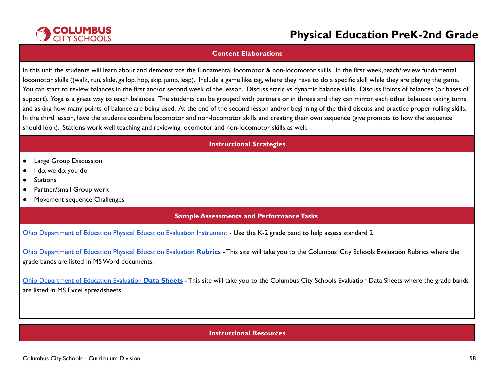

#### **Content Elaborations**

In this unit the students will learn about and demonstrate the fundamental locomotor & non-locomotor skills. In the first week, teach/review fundamental locomotor skills ((walk, run, slide, gallop, hop, skip, jump, leap). Include a game like tag, where they have to do a specific skill while they are playing the game. You can start to review balances in the first and/or second week of the lesson. Discuss static vs dynamic balance skills. Discuss Points of balances (or bases of support). Yoga is a great way to teach balances. The students can be grouped with partners or in threes and they can mirror each other balances taking turns and asking how many points of balance are being used. At the end of the second lesson and/or beginning of the third discuss and practice proper rolling skills. In the third lesson, have the students combine locomotor and non-locomotor skills and creating their own sequence (give prompts to how the sequence should look). Stations work well teaching and reviewing locomotor and non-locomotor skills as well.

#### **Instructional Strategies**

- Large Group Discussion
- I do, we do, you do
- Stations
- Partner/small Group work
- Movement sequence Challenges

#### **Sample Assessments and PerformanceTasks**

Ohio [Department](http://education.ohio.gov/Topics/Learning-in-Ohio/Physical-Education/Physical-Education-Evaluation-updated) of Education Physical Education Evaluation Instrument - Use the K-2 grade band to help assess standard 2

Ohio [Department](https://www.ccsoh.us/Page/2271) of Education Physical Education Evaluation **Rubrics** - This site will take you to the Columbus City Schools Evaluation Rubrics where the grade bands are listed in MSWord documents.

Ohio [Department](https://www.ccsoh.us/Page/2272) of Education Evaluation **Data Sheets** - This site will take you to the Columbus City Schools Evaluation Data Sheets where the grade bands are listed in MS Excel spreadsheets.

#### **Instructional Resources**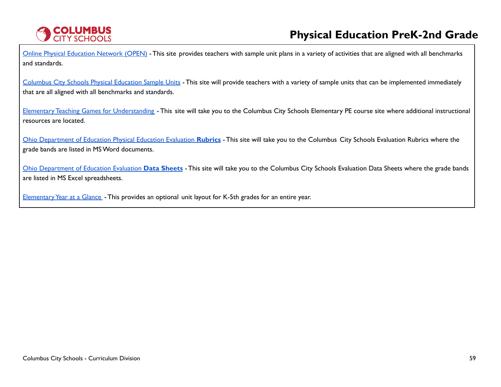

Online Physical [Education](https://openphysed.org/) Network (OPEN) - This site provides teachers with sample unit plans in a variety of activities that are aligned with all benchmarks and standards.

[Columbus](https://www.ccsoh.us/Page/6766) City Schools Physical Education Sample Units - This site will provide teachers with a variety of sample units that can be implemented immediately that are all aligned with all benchmarks and standards.

Elementary Teaching Games for [Understanding](https://www.ccsoh.us/Page/2251) - This site will take you to the Columbus City Schools Elementary PE course site where additional instructional resources are located.

Ohio [Department](https://www.ccsoh.us/Page/2271) of Education Physical Education Evaluation **Rubrics** - This site will take you to the Columbus City Schools Evaluation Rubrics where the grade bands are listed in MSWord documents.

Ohio [Department](https://www.ccsoh.us/Page/2272) of Education Evaluation **Data Sheets** - This site will take you to the Columbus City Schools Evaluation Data Sheets where the grade bands are listed in MS Excel spreadsheets.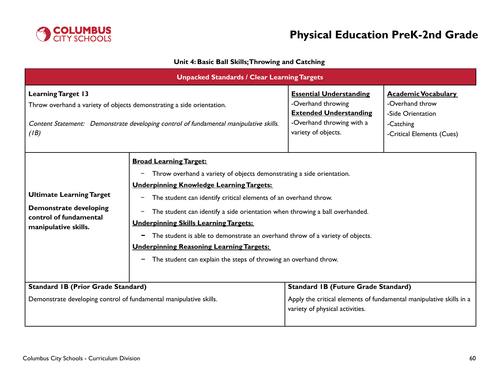

### **Unit 4: Basic Ball Skills;Throwing and Catching**

| <b>Unpacked Standards / Clear Learning Targets</b>                                                                                                                                                  |                                                                                                                                                                                                                                                                                                                                                                                                                                                                                                                                                                                                                                  |                                                                                                                                           |                                                                                                              |
|-----------------------------------------------------------------------------------------------------------------------------------------------------------------------------------------------------|----------------------------------------------------------------------------------------------------------------------------------------------------------------------------------------------------------------------------------------------------------------------------------------------------------------------------------------------------------------------------------------------------------------------------------------------------------------------------------------------------------------------------------------------------------------------------------------------------------------------------------|-------------------------------------------------------------------------------------------------------------------------------------------|--------------------------------------------------------------------------------------------------------------|
| <b>Learning Target 13</b><br>Throw overhand a variety of objects demonstrating a side orientation.<br>Content Statement: Demonstrate developing control of fundamental manipulative skills.<br>(IB) |                                                                                                                                                                                                                                                                                                                                                                                                                                                                                                                                                                                                                                  | <b>Essential Understanding</b><br>-Overhand throwing<br><b>Extended Understanding</b><br>-Overhand throwing with a<br>variety of objects. | <b>Academic Vocabulary</b><br>-Overhand throw<br>-Side Orientation<br>-Catching<br>-Critical Elements (Cues) |
| <b>Ultimate Learning Target</b><br><b>Demonstrate developing</b><br>control of fundamental<br>manipulative skills.                                                                                  | <b>Broad Learning Target:</b><br>Throw overhand a variety of objects demonstrating a side orientation.<br>-<br><b>Underpinning Knowledge Learning Targets:</b><br>The student can identify critical elements of an overhand throw.<br>$\overline{\phantom{m}}$<br>The student can identify a side orientation when throwing a ball overhanded.<br>$\qquad \qquad -$<br><b>Underpinning Skills Learning Targets:</b><br>The student is able to demonstrate an overhand throw of a variety of objects.<br>-<br><b>Underpinning Reasoning Learning Targets:</b><br>The student can explain the steps of throwing an overhand throw. |                                                                                                                                           |                                                                                                              |
| <b>Standard IB (Prior Grade Standard)</b>                                                                                                                                                           |                                                                                                                                                                                                                                                                                                                                                                                                                                                                                                                                                                                                                                  | <b>Standard IB (Future Grade Standard)</b>                                                                                                |                                                                                                              |
| Demonstrate developing control of fundamental manipulative skills.                                                                                                                                  |                                                                                                                                                                                                                                                                                                                                                                                                                                                                                                                                                                                                                                  | Apply the critical elements of fundamental manipulative skills in a<br>variety of physical activities.                                    |                                                                                                              |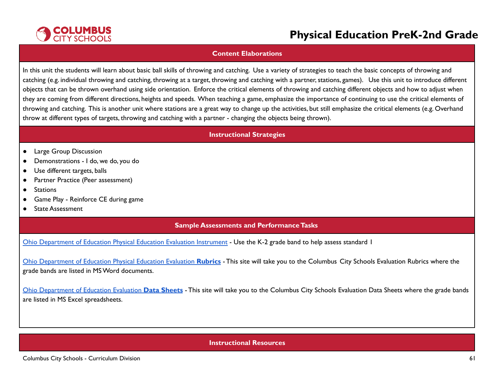

#### **Content Elaborations**

In this unit the students will learn about basic ball skills of throwing and catching. Use a variety of strategies to teach the basic concepts of throwing and catching (e.g. individual throwing and catching, throwing at a target, throwing and catching with a partner, stations, games). Use this unit to introduce different objects that can be thrown overhand using side orientation. Enforce the critical elements of throwing and catching different objects and how to adjust when they are coming from different directions, heights and speeds. When teaching a game, emphasize the importance of continuing to use the critical elements of throwing and catching. This is another unit where stations are a great way to change up the activities, but still emphasize the critical elements (e.g. Overhand throw at different types of targets, throwing and catching with a partner - changing the objects being thrown).

#### **Instructional Strategies**

- Large Group Discussion
- Demonstrations I do, we do, you do
- Use different targets, balls
- Partner Practice (Peer assessment)
- Stations
- Game Play Reinforce CE during game
- State Assessment

### **Sample Assessments and Performance Tasks**

Ohio [Department](http://education.ohio.gov/Topics/Learning-in-Ohio/Physical-Education/Physical-Education-Evaluation-updated) of Education Physical Education Evaluation Instrument - Use the K-2 grade band to help assess standard I

Ohio [Department](https://www.ccsoh.us/Page/2271) of Education Physical Education Evaluation **Rubrics** - This site will take you to the Columbus City Schools Evaluation Rubrics where the grade bands are listed in MSWord documents.

Ohio [Department](https://www.ccsoh.us/Page/2272) of Education Evaluation **Data Sheets** - This site will take you to the Columbus City Schools Evaluation Data Sheets where the grade bands are listed in MS Excel spreadsheets.

### **Instructional Resources**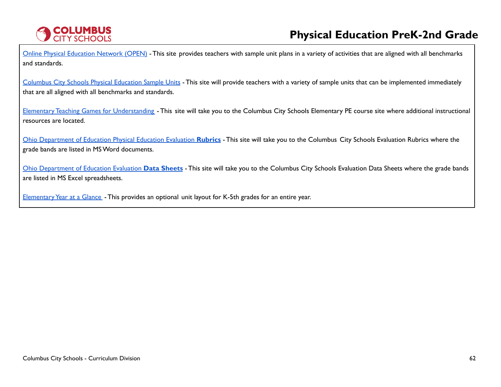

Online Physical [Education](https://openphysed.org/) Network (OPEN) - This site provides teachers with sample unit plans in a variety of activities that are aligned with all benchmarks and standards.

[Columbus](https://www.ccsoh.us/Page/6766) City Schools Physical Education Sample Units - This site will provide teachers with a variety of sample units that can be implemented immediately that are all aligned with all benchmarks and standards.

Elementary Teaching Games for [Understanding](https://www.ccsoh.us/Page/2251) - This site will take you to the Columbus City Schools Elementary PE course site where additional instructional resources are located.

Ohio [Department](https://www.ccsoh.us/Page/2271) of Education Physical Education Evaluation **Rubrics** - This site will take you to the Columbus City Schools Evaluation Rubrics where the grade bands are listed in MSWord documents.

Ohio [Department](https://www.ccsoh.us/Page/2272) of Education Evaluation **Data Sheets** - This site will take you to the Columbus City Schools Evaluation Data Sheets where the grade bands are listed in MS Excel spreadsheets.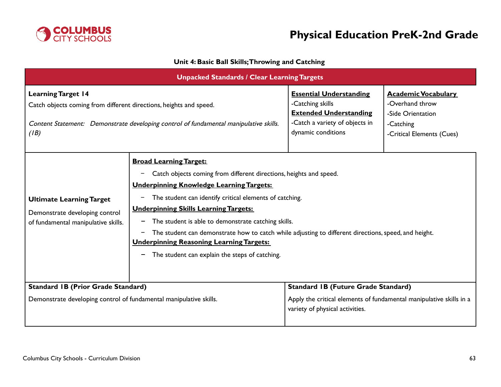

### **Unit 4: Basic Ball Skills;Throwing and Catching**

| <b>Unpacked Standards / Clear Learning Targets</b>                                                                                                                                               |                                                                                                                                                                                                                                                                                                                                                                                                                                                                                                                                                 |                                                                                                                                                      |                                                                                                              |  |
|--------------------------------------------------------------------------------------------------------------------------------------------------------------------------------------------------|-------------------------------------------------------------------------------------------------------------------------------------------------------------------------------------------------------------------------------------------------------------------------------------------------------------------------------------------------------------------------------------------------------------------------------------------------------------------------------------------------------------------------------------------------|------------------------------------------------------------------------------------------------------------------------------------------------------|--------------------------------------------------------------------------------------------------------------|--|
| <b>Learning Target 14</b><br>Catch objects coming from different directions, heights and speed.<br>Content Statement: Demonstrate developing control of fundamental manipulative skills.<br>(IB) |                                                                                                                                                                                                                                                                                                                                                                                                                                                                                                                                                 | <b>Essential Understanding</b><br>-Catching skills<br><b>Extended Understanding</b><br>-Catch a variety of objects in<br>dynamic conditions          | <b>Academic Vocabulary</b><br>-Overhand throw<br>-Side Orientation<br>-Catching<br>-Critical Elements (Cues) |  |
| <b>Ultimate Learning Target</b><br>Demonstrate developing control<br>of fundamental manipulative skills.                                                                                         | <b>Broad Learning Target:</b><br>Catch objects coming from different directions, heights and speed.<br>-<br><b>Underpinning Knowledge Learning Targets:</b><br>The student can identify critical elements of catching.<br>-<br><b>Underpinning Skills Learning Targets:</b><br>The student is able to demonstrate catching skills.<br>The student can demonstrate how to catch while adjusting to different directions, speed, and height.<br><b>Underpinning Reasoning Learning Targets:</b><br>The student can explain the steps of catching. |                                                                                                                                                      |                                                                                                              |  |
| <b>Standard IB (Prior Grade Standard)</b><br>Demonstrate developing control of fundamental manipulative skills.                                                                                  |                                                                                                                                                                                                                                                                                                                                                                                                                                                                                                                                                 | <b>Standard IB (Future Grade Standard)</b><br>Apply the critical elements of fundamental manipulative skills in a<br>variety of physical activities. |                                                                                                              |  |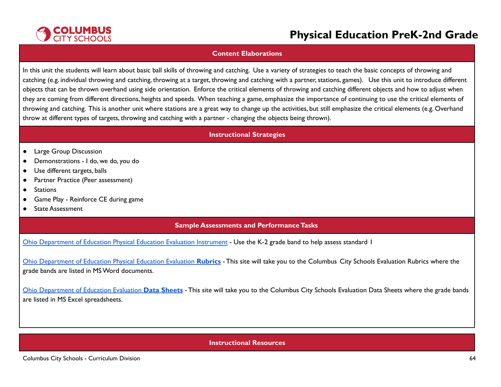

#### **Content Elaborations**

In this unit the students will learn about basic ball skills of throwing and catching. Use a variety of strategies to teach the basic concepts of throwing and catching (e.g. individual throwing and catching, throwing at a target, throwing and catching with a partner, stations, games). Use this unit to introduce different objects that can be thrown overhand using side orientation. Enforce the critical elements of throwing and catching different objects and how to adjust when they are coming from different directions, heights and speeds. When teaching a game, emphasize the importance of continuing to use the critical elements of throwing and catching. This is another unit where stations are a great way to change up the activities, but still emphasize the critical elements (e.g. Overhand throw at different types of targets, throwing and catching with a partner - changing the objects being thrown).

#### **Instructional Strategies**

- Large Group Discussion
- Demonstrations I do, we do, you do
- Use different targets, balls
- Partner Practice (Peer assessment)
- Stations
- Game Play Reinforce CE during game
- State Assessment

### **Sample Assessments and Performance Tasks**

Ohio [Department](http://education.ohio.gov/Topics/Learning-in-Ohio/Physical-Education/Physical-Education-Evaluation-updated) of Education Physical Education Evaluation Instrument - Use the K-2 grade band to help assess standard I

Ohio [Department](https://www.ccsoh.us/Page/2271) of Education Physical Education Evaluation **Rubrics** - This site will take you to the Columbus City Schools Evaluation Rubrics where the grade bands are listed in MSWord documents.

Ohio [Department](https://www.ccsoh.us/Page/2272) of Education Evaluation **Data Sheets** - This site will take you to the Columbus City Schools Evaluation Data Sheets where the grade bands are listed in MS Excel spreadsheets.

### **Instructional Resources**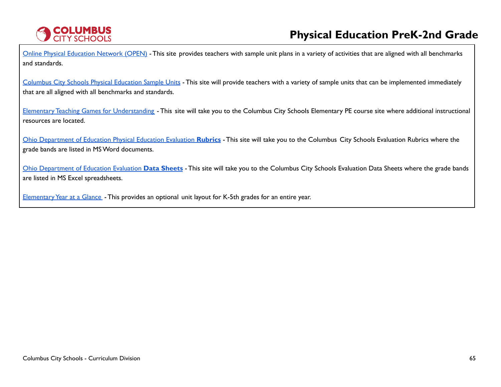

Online Physical [Education](https://openphysed.org/) Network (OPEN) - This site provides teachers with sample unit plans in a variety of activities that are aligned with all benchmarks and standards.

[Columbus](https://www.ccsoh.us/Page/6766) City Schools Physical Education Sample Units - This site will provide teachers with a variety of sample units that can be implemented immediately that are all aligned with all benchmarks and standards.

Elementary Teaching Games for [Understanding](https://www.ccsoh.us/Page/2251) - This site will take you to the Columbus City Schools Elementary PE course site where additional instructional resources are located.

Ohio [Department](https://www.ccsoh.us/Page/2271) of Education Physical Education Evaluation **Rubrics** - This site will take you to the Columbus City Schools Evaluation Rubrics where the grade bands are listed in MSWord documents.

Ohio [Department](https://www.ccsoh.us/Page/2272) of Education Evaluation **Data Sheets** - This site will take you to the Columbus City Schools Evaluation Data Sheets where the grade bands are listed in MS Excel spreadsheets.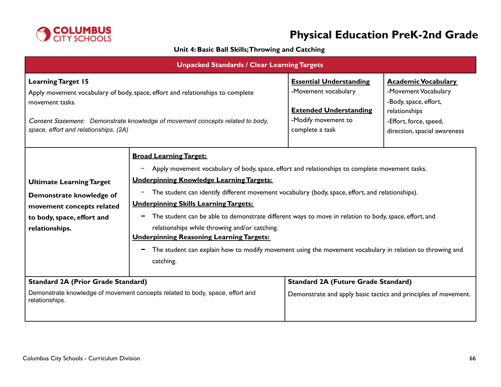

### **Unit 4: Basic Ball Skills;Throwing and Catching**

| <b>Unpacked Standards / Clear Learning Targets</b>                                                                                                                                                                                                        |                                                                                                                                                                                                                                                                                                                                                                                                                                                                                                                                                                                                                                                                                                     |                                                                                                                                   |                                                                                                                                                        |
|-----------------------------------------------------------------------------------------------------------------------------------------------------------------------------------------------------------------------------------------------------------|-----------------------------------------------------------------------------------------------------------------------------------------------------------------------------------------------------------------------------------------------------------------------------------------------------------------------------------------------------------------------------------------------------------------------------------------------------------------------------------------------------------------------------------------------------------------------------------------------------------------------------------------------------------------------------------------------------|-----------------------------------------------------------------------------------------------------------------------------------|--------------------------------------------------------------------------------------------------------------------------------------------------------|
| <b>Learning Target 15</b><br>Apply movement vocabulary of body, space, effort and relationships to complete<br>movement tasks.<br>Content Statement: Demonstrate knowledge of movement concepts related to body,<br>space, effort and relationships. (2A) |                                                                                                                                                                                                                                                                                                                                                                                                                                                                                                                                                                                                                                                                                                     | <b>Essential Understanding</b><br>-Movement vocabulary<br><b>Extended Understanding</b><br>-Modify movement to<br>complete a task | <b>Academic Vocabulary</b><br>-Movement Vocabulary<br>-Body, space, effort,<br>relationships<br>-Effort, force, speed,<br>direction, spacial awareness |
| <b>Ultimate Learning Target</b><br>Demonstrate knowledge of<br>movement concepts related<br>to body, space, effort and<br>relationships.                                                                                                                  | <b>Broad Learning Target:</b><br>Apply movement vocabulary of body, space, effort and relationships to complete movement tasks.<br><b>Underpinning Knowledge Learning Targets:</b><br>The student can identify different movement vocabulary (body, space, effort, and relationships).<br>-<br><b>Underpinning Skills Learning Targets:</b><br>The student can be able to demonstrate different ways to move in relation to body, space, effort, and<br>relationships while throwing and/or catching.<br><b>Underpinning Reasoning Learning Targets:</b><br>The student can explain how to modify movement using the movement vocabulary in relation to throwing and<br>$\blacksquare$<br>catching. |                                                                                                                                   |                                                                                                                                                        |
| <b>Standard 2A (Prior Grade Standard)</b><br>Demonstrate knowledge of movement concepts related to body, space, effort and<br>relationships.                                                                                                              |                                                                                                                                                                                                                                                                                                                                                                                                                                                                                                                                                                                                                                                                                                     | <b>Standard 2A (Future Grade Standard)</b><br>Demonstrate and apply basic tactics and principles of movement.                     |                                                                                                                                                        |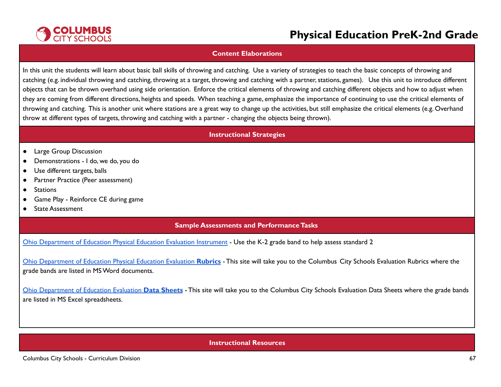

#### **Content Elaborations**

In this unit the students will learn about basic ball skills of throwing and catching. Use a variety of strategies to teach the basic concepts of throwing and catching (e.g. individual throwing and catching, throwing at a target, throwing and catching with a partner, stations, games). Use this unit to introduce different objects that can be thrown overhand using side orientation. Enforce the critical elements of throwing and catching different objects and how to adjust when they are coming from different directions, heights and speeds. When teaching a game, emphasize the importance of continuing to use the critical elements of throwing and catching. This is another unit where stations are a great way to change up the activities, but still emphasize the critical elements (e.g. Overhand throw at different types of targets, throwing and catching with a partner - changing the objects being thrown).

#### **Instructional Strategies**

- Large Group Discussion
- Demonstrations I do, we do, you do
- Use different targets, balls
- Partner Practice (Peer assessment)
- Stations
- Game Play Reinforce CE during game
- State Assessment

### **Sample Assessments and Performance Tasks**

Ohio [Department](http://education.ohio.gov/Topics/Learning-in-Ohio/Physical-Education/Physical-Education-Evaluation-updated) of Education Physical Education Evaluation Instrument - Use the K-2 grade band to help assess standard 2

Ohio [Department](https://www.ccsoh.us/Page/2271) of Education Physical Education Evaluation **Rubrics** - This site will take you to the Columbus City Schools Evaluation Rubrics where the grade bands are listed in MSWord documents.

Ohio [Department](https://www.ccsoh.us/Page/2272) of Education Evaluation **Data Sheets** - This site will take you to the Columbus City Schools Evaluation Data Sheets where the grade bands are listed in MS Excel spreadsheets.

### **Instructional Resources**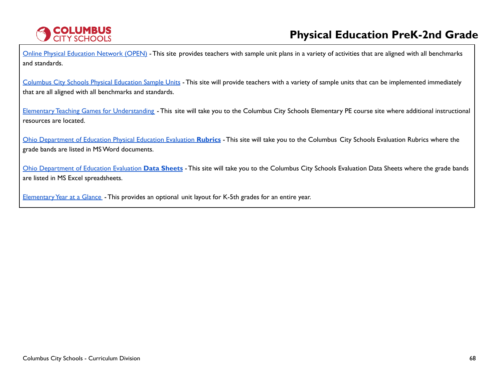

Online Physical [Education](https://openphysed.org/) Network (OPEN) - This site provides teachers with sample unit plans in a variety of activities that are aligned with all benchmarks and standards.

[Columbus](https://www.ccsoh.us/Page/6766) City Schools Physical Education Sample Units - This site will provide teachers with a variety of sample units that can be implemented immediately that are all aligned with all benchmarks and standards.

Elementary Teaching Games for [Understanding](https://www.ccsoh.us/Page/2251) - This site will take you to the Columbus City Schools Elementary PE course site where additional instructional resources are located.

Ohio [Department](https://www.ccsoh.us/Page/2271) of Education Physical Education Evaluation **Rubrics** - This site will take you to the Columbus City Schools Evaluation Rubrics where the grade bands are listed in MSWord documents.

Ohio [Department](https://www.ccsoh.us/Page/2272) of Education Evaluation **Data Sheets** - This site will take you to the Columbus City Schools Evaluation Data Sheets where the grade bands are listed in MS Excel spreadsheets.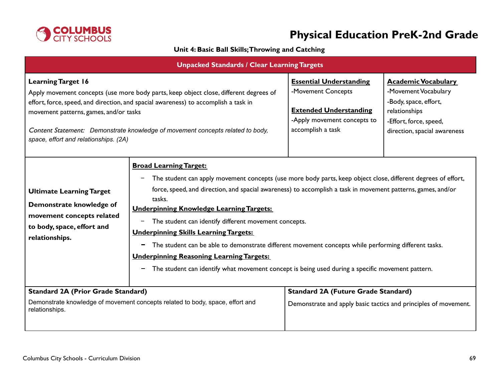

### **Unit 4: Basic Ball Skills;Throwing and Catching**

| <b>Unpacked Standards / Clear Learning Targets</b>                                                                                                                                                                                                                                                                                                                             |                                                                                                                                                                                                                                                                                                                                                                                                                                                                                                                                                                                                                                                                                                                                                |                                                                                                                                           |                                                                                                                                                        |
|--------------------------------------------------------------------------------------------------------------------------------------------------------------------------------------------------------------------------------------------------------------------------------------------------------------------------------------------------------------------------------|------------------------------------------------------------------------------------------------------------------------------------------------------------------------------------------------------------------------------------------------------------------------------------------------------------------------------------------------------------------------------------------------------------------------------------------------------------------------------------------------------------------------------------------------------------------------------------------------------------------------------------------------------------------------------------------------------------------------------------------------|-------------------------------------------------------------------------------------------------------------------------------------------|--------------------------------------------------------------------------------------------------------------------------------------------------------|
| <b>Learning Target 16</b><br>Apply movement concepts (use more body parts, keep object close, different degrees of<br>effort, force, speed, and direction, and spacial awareness) to accomplish a task in<br>movement patterns, games, and/or tasks<br>Content Statement: Demonstrate knowledge of movement concepts related to body,<br>space, effort and relationships. (2A) |                                                                                                                                                                                                                                                                                                                                                                                                                                                                                                                                                                                                                                                                                                                                                | <b>Essential Understanding</b><br>-Movement Concepts<br><b>Extended Understanding</b><br>-Apply movement concepts to<br>accomplish a task | <b>Academic Vocabulary</b><br>-Movement Vocabulary<br>-Body, space, effort,<br>relationships<br>-Effort, force, speed,<br>direction, spacial awareness |
| <b>Ultimate Learning Target</b><br>Demonstrate knowledge of<br>movement concepts related<br>to body, space, effort and<br>relationships.                                                                                                                                                                                                                                       | <b>Broad Learning Target:</b><br>The student can apply movement concepts (use more body parts, keep object close, different degrees of effort,<br>-<br>force, speed, and direction, and spacial awareness) to accomplish a task in movement patterns, games, and/or<br>tasks.<br><b>Underpinning Knowledge Learning Targets:</b><br>The student can identify different movement concepts.<br>-<br><b>Underpinning Skills Learning Targets:</b><br>The student can be able to demonstrate different movement concepts while performing different tasks.<br>-<br><b>Underpinning Reasoning Learning Targets:</b><br>The student can identify what movement concept is being used during a specific movement pattern.<br>$\overline{\phantom{0}}$ |                                                                                                                                           |                                                                                                                                                        |
| <b>Standard 2A (Prior Grade Standard)</b><br>Demonstrate knowledge of movement concepts related to body, space, effort and<br>relationships.                                                                                                                                                                                                                                   |                                                                                                                                                                                                                                                                                                                                                                                                                                                                                                                                                                                                                                                                                                                                                | <b>Standard 2A (Future Grade Standard)</b><br>Demonstrate and apply basic tactics and principles of movement.                             |                                                                                                                                                        |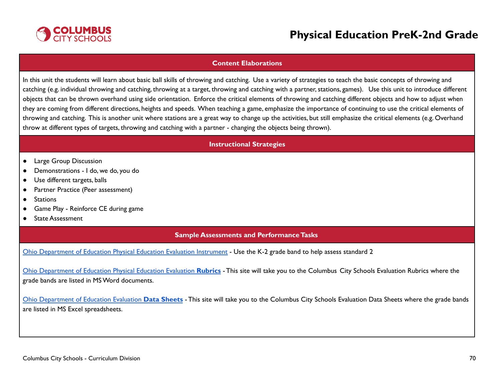

#### **Content Elaborations**

In this unit the students will learn about basic ball skills of throwing and catching. Use a variety of strategies to teach the basic concepts of throwing and catching (e.g. individual throwing and catching, throwing at a target, throwing and catching with a partner, stations, games). Use this unit to introduce different objects that can be thrown overhand using side orientation. Enforce the critical elements of throwing and catching different objects and how to adjust when they are coming from different directions, heights and speeds. When teaching a game, emphasize the importance of continuing to use the critical elements of throwing and catching. This is another unit where stations are a great way to change up the activities, but still emphasize the critical elements (e.g. Overhand throw at different types of targets, throwing and catching with a partner - changing the objects being thrown).

#### **Instructional Strategies**

- Large Group Discussion
- Demonstrations I do, we do, you do
- Use different targets, balls
- Partner Practice (Peer assessment)
- Stations
- Game Play Reinforce CE during game
- State Assessment

#### **Sample Assessments and PerformanceTasks**

Ohio [Department](http://education.ohio.gov/Topics/Learning-in-Ohio/Physical-Education/Physical-Education-Evaluation-updated) of Education Physical Education Evaluation Instrument - Use the K-2 grade band to help assess standard 2

Ohio [Department](https://www.ccsoh.us/Page/2271) of Education Physical Education Evaluation **Rubrics** - This site will take you to the Columbus City Schools Evaluation Rubrics where the grade bands are listed in MSWord documents.

Ohio [Department](https://www.ccsoh.us/Page/2272) of Education Evaluation **Data Sheets** - This site will take you to the Columbus City Schools Evaluation Data Sheets where the grade bands are listed in MS Excel spreadsheets.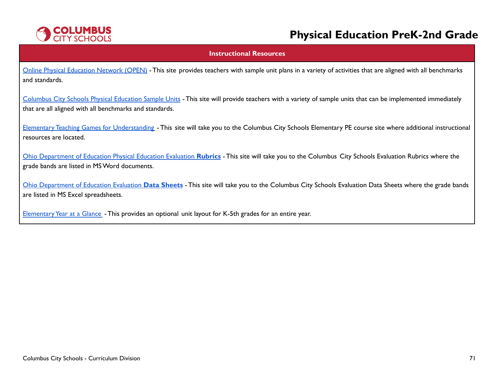

#### **Instructional Resources**

Online Physical [Education](https://openphysed.org/) Network (OPEN) - This site provides teachers with sample unit plans in a variety of activities that are aligned with all benchmarks and standards.

[Columbus](https://www.ccsoh.us/Page/6766) City Schools Physical Education Sample Units - This site will provide teachers with a variety of sample units that can be implemented immediately that are all aligned with all benchmarks and standards.

Elementary Teaching Games for [Understanding](https://www.ccsoh.us/Page/2251) - This site will take you to the Columbus City Schools Elementary PE course site where additional instructional resources are located.

Ohio [Department](https://www.ccsoh.us/Page/2271) of Education Physical Education Evaluation **Rubrics** - This site will take you to the Columbus City Schools Evaluation Rubrics where the grade bands are listed in MSWord documents.

Ohio [Department](https://www.ccsoh.us/Page/2272) of Education Evaluation **Data Sheets** - This site will take you to the Columbus City Schools Evaluation Data Sheets where the grade bands are listed in MS Excel spreadsheets.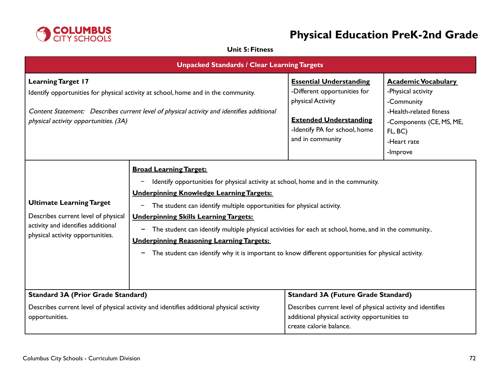

### **Unit 5: Fitness**

| <b>Unpacked Standards / Clear Learning Targets</b>                                                                                                                                                                                                    |                                                                                                                                                                                                                                                                                                                                                                                                                                                                                                                                                                                                |                                                                                                                                                                                       |                                                                                                                                                             |
|-------------------------------------------------------------------------------------------------------------------------------------------------------------------------------------------------------------------------------------------------------|------------------------------------------------------------------------------------------------------------------------------------------------------------------------------------------------------------------------------------------------------------------------------------------------------------------------------------------------------------------------------------------------------------------------------------------------------------------------------------------------------------------------------------------------------------------------------------------------|---------------------------------------------------------------------------------------------------------------------------------------------------------------------------------------|-------------------------------------------------------------------------------------------------------------------------------------------------------------|
| <b>Learning Target 17</b><br>Identify opportunities for physical activity at school, home and in the community.<br>Content Statement: Describes current level of physical activity and identifies additional<br>physical activity opportunities. (3A) |                                                                                                                                                                                                                                                                                                                                                                                                                                                                                                                                                                                                | <b>Essential Understanding</b><br>-Different opportunities for<br>physical Activity<br><b>Extended Understanding</b><br>-Identify PA for school, home<br>and in community             | <b>Academic Vocabulary</b><br>-Physical activity<br>-Community<br>-Health-related fitness<br>-Components (CE, MS, ME,<br>FL, BC)<br>-Heart rate<br>-Improve |
| <b>Ultimate Learning Target</b><br>Describes current level of physical<br>activity and identifies additional<br>physical activity opportunities.                                                                                                      | <b>Broad Learning Target:</b><br>Identify opportunities for physical activity at school, home and in the community.<br><b>Underpinning Knowledge Learning Targets:</b><br>The student can identify multiple opportunities for physical activity.<br>-<br><b>Underpinning Skills Learning Targets:</b><br>The student can identify multiple physical activities for each at school, home, and in the community<br>-<br><b>Underpinning Reasoning Learning Targets:</b><br>The student can identify why it is important to know different opportunities for physical activity.<br>$\blacksquare$ |                                                                                                                                                                                       |                                                                                                                                                             |
| <b>Standard 3A (Prior Grade Standard)</b><br>Describes current level of physical activity and identifies additional physical activity<br>opportunities.                                                                                               |                                                                                                                                                                                                                                                                                                                                                                                                                                                                                                                                                                                                | <b>Standard 3A (Future Grade Standard)</b><br>Describes current level of physical activity and identifies<br>additional physical activity opportunities to<br>create calorie balance. |                                                                                                                                                             |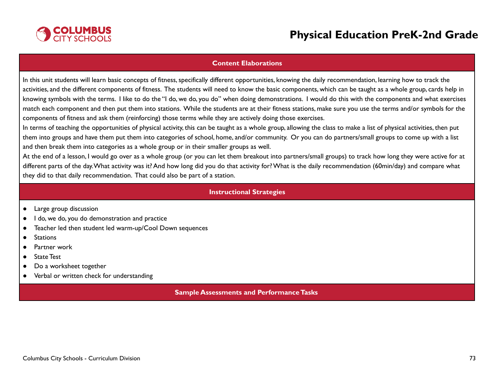

### **Content Elaborations**

In this unit students will learn basic concepts of fitness, specifically different opportunities, knowing the daily recommendation, learning how to track the activities, and the different components of fitness. The students will need to know the basic components, which can be taught as a whole group, cards help in knowing symbols with the terms. I like to do the "I do, we do, you do" when doing demonstrations. I would do this with the components and what exercises match each component and then put them into stations. While the students are at their fitness stations, make sure you use the terms and/or symbols for the components of fitness and ask them (reinforcing) those terms while they are actively doing those exercises.

In terms of teaching the opportunities of physical activity, this can be taught as a whole group, allowing the class to make a list of physical activities, then put them into groups and have them put them into categories of school, home, and/or community. Or you can do partners/small groups to come up with a list and then break them into categories as a whole group or in their smaller groups as well.

At the end of a lesson, I would go over as a whole group (or you can let them breakout into partners/small groups) to track how long they were active for at different parts of the day.What activity was it? And how long did you do that activity for?What is the daily recommendation (60min/day) and compare what they did to that daily recommendation. That could also be part of a station.

#### **Instructional Strategies**

- Large group discussion
- I do, we do, you do demonstration and practice
- Teacher led then student led warm-up/Cool Down sequences
- Stations
- Partner work
- State Test
- Do a worksheet together
- Verbal or written check for understanding

#### **Sample Assessments and Performance Tasks**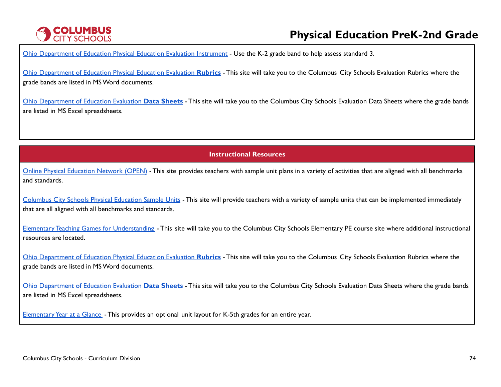# **COLUMBUS**<br>CITY SCHOOLS

# **Physical Education PreK-2nd Grade**

Ohio [Department](http://education.ohio.gov/Topics/Learning-in-Ohio/Physical-Education/Physical-Education-Evaluation-updated) of Education Physical Education Evaluation Instrument - Use the K-2 grade band to help assess standard 3.

Ohio [Department](https://www.ccsoh.us/Page/2271) of Education Physical Education Evaluation **Rubrics** - This site will take you to the Columbus City Schools Evaluation Rubrics where the grade bands are listed in MSWord documents.

Ohio [Department](https://www.ccsoh.us/Page/2272) of Education Evaluation **Data Sheets** - This site will take you to the Columbus City Schools Evaluation Data Sheets where the grade bands are listed in MS Excel spreadsheets.

**Instructional Resources**

Online Physical [Education](https://openphysed.org/) Network (OPEN) - This site provides teachers with sample unit plans in a variety of activities that are aligned with all benchmarks and standards.

[Columbus](https://www.ccsoh.us/Page/6766) City Schools Physical Education Sample Units - This site will provide teachers with a variety of sample units that can be implemented immediately that are all aligned with all benchmarks and standards.

Elementary Teaching Games for [Understanding](https://www.ccsoh.us/Page/2251) - This site will take you to the Columbus City Schools Elementary PE course site where additional instructional resources are located.

Ohio [Department](https://www.ccsoh.us/Page/2271) of Education Physical Education Evaluation **Rubrics** - This site will take you to the Columbus City Schools Evaluation Rubrics where the grade bands are listed in MSWord documents.

Ohio [Department](https://www.ccsoh.us/Page/2272) of Education Evaluation **Data Sheets** - This site will take you to the Columbus City Schools Evaluation Data Sheets where the grade bands are listed in MS Excel spreadsheets.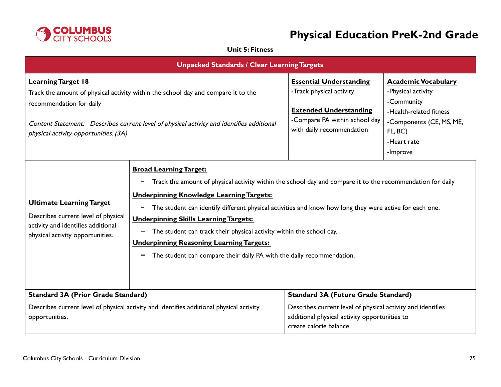

## **Unit 5: Fitness**

| <b>Unpacked Standards / Clear Learning Targets</b>                                                                                                                                                                                                                               |                                                                                                                                                                                                                                                                                                                                                                                                                                                                                                                                                                                                                |                                                                                                                                                           |                                                                                                                                                             |
|----------------------------------------------------------------------------------------------------------------------------------------------------------------------------------------------------------------------------------------------------------------------------------|----------------------------------------------------------------------------------------------------------------------------------------------------------------------------------------------------------------------------------------------------------------------------------------------------------------------------------------------------------------------------------------------------------------------------------------------------------------------------------------------------------------------------------------------------------------------------------------------------------------|-----------------------------------------------------------------------------------------------------------------------------------------------------------|-------------------------------------------------------------------------------------------------------------------------------------------------------------|
| <b>Learning Target 18</b><br>Track the amount of physical activity within the school day and compare it to the<br>recommendation for daily<br>Content Statement: Describes current level of physical activity and identifies additional<br>physical activity opportunities. (3A) |                                                                                                                                                                                                                                                                                                                                                                                                                                                                                                                                                                                                                | <b>Essential Understanding</b><br>-Track physical activity<br><b>Extended Understanding</b><br>-Compare PA within school day<br>with daily recommendation | <b>Academic Vocabulary</b><br>-Physical activity<br>-Community<br>-Health-related fitness<br>-Components (CE, MS, ME,<br>FL, BC)<br>-Heart rate<br>-Improve |
| <b>Ultimate Learning Target</b><br>Describes current level of physical<br>activity and identifies additional<br>physical activity opportunities.                                                                                                                                 | <b>Broad Learning Target:</b><br>Track the amount of physical activity within the school day and compare it to the recommendation for daily<br>$\qquad \qquad -$<br><b>Underpinning Knowledge Learning Targets:</b><br>The student can identify different physical activities and know how long they were active for each one.<br>$\overline{\phantom{m}}$<br><b>Underpinning Skills Learning Targets:</b><br>The student can track their physical activity within the school day.<br><b>Underpinning Reasoning Learning Targets:</b><br>The student can compare their daily PA with the daily recommendation. |                                                                                                                                                           |                                                                                                                                                             |
| <b>Standard 3A (Prior Grade Standard)</b>                                                                                                                                                                                                                                        |                                                                                                                                                                                                                                                                                                                                                                                                                                                                                                                                                                                                                | <b>Standard 3A (Future Grade Standard)</b>                                                                                                                |                                                                                                                                                             |
| Describes current level of physical activity and identifies additional physical activity<br>opportunities.                                                                                                                                                                       |                                                                                                                                                                                                                                                                                                                                                                                                                                                                                                                                                                                                                | Describes current level of physical activity and identifies<br>additional physical activity opportunities to<br>create calorie balance.                   |                                                                                                                                                             |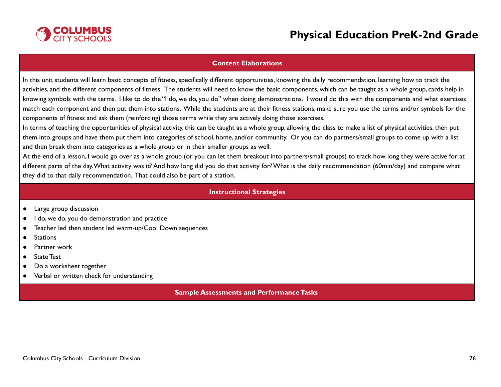

### **Content Elaborations**

In this unit students will learn basic concepts of fitness, specifically different opportunities, knowing the daily recommendation, learning how to track the activities, and the different components of fitness. The students will need to know the basic components, which can be taught as a whole group, cards help in knowing symbols with the terms. I like to do the "I do, we do, you do" when doing demonstrations. I would do this with the components and what exercises match each component and then put them into stations. While the students are at their fitness stations, make sure you use the terms and/or symbols for the components of fitness and ask them (reinforcing) those terms while they are actively doing those exercises.

In terms of teaching the opportunities of physical activity, this can be taught as a whole group, allowing the class to make a list of physical activities, then put them into groups and have them put them into categories of school, home, and/or community. Or you can do partners/small groups to come up with a list and then break them into categories as a whole group or in their smaller groups as well.

At the end of a lesson, I would go over as a whole group (or you can let them breakout into partners/small groups) to track how long they were active for at different parts of the day.What activity was it? And how long did you do that activity for?What is the daily recommendation (60min/day) and compare what they did to that daily recommendation. That could also be part of a station.

#### **Instructional Strategies**

- Large group discussion
- I do, we do, you do demonstration and practice
- Teacher led then student led warm-up/Cool Down sequences
- Stations
- Partner work
- State Test
- Do a worksheet together
- Verbal or written check for understanding

#### **Sample Assessments and Performance Tasks**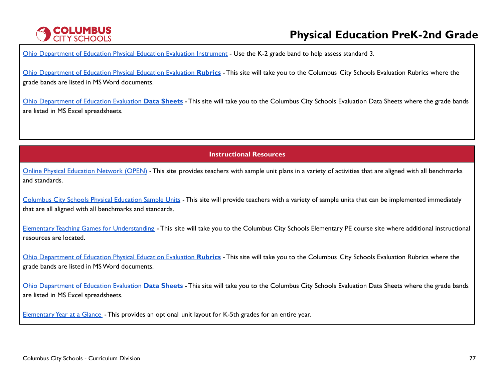# **COLUMBUS**<br>CITY SCHOOLS

# **Physical Education PreK-2nd Grade**

Ohio [Department](http://education.ohio.gov/Topics/Learning-in-Ohio/Physical-Education/Physical-Education-Evaluation-updated) of Education Physical Education Evaluation Instrument - Use the K-2 grade band to help assess standard 3.

Ohio [Department](https://www.ccsoh.us/Page/2271) of Education Physical Education Evaluation **Rubrics** - This site will take you to the Columbus City Schools Evaluation Rubrics where the grade bands are listed in MSWord documents.

Ohio [Department](https://www.ccsoh.us/Page/2272) of Education Evaluation **Data Sheets** - This site will take you to the Columbus City Schools Evaluation Data Sheets where the grade bands are listed in MS Excel spreadsheets.

**Instructional Resources**

Online Physical [Education](https://openphysed.org/) Network (OPEN) - This site provides teachers with sample unit plans in a variety of activities that are aligned with all benchmarks and standards.

[Columbus](https://www.ccsoh.us/Page/6766) City Schools Physical Education Sample Units - This site will provide teachers with a variety of sample units that can be implemented immediately that are all aligned with all benchmarks and standards.

Elementary Teaching Games for [Understanding](https://www.ccsoh.us/Page/2251) - This site will take you to the Columbus City Schools Elementary PE course site where additional instructional resources are located.

Ohio [Department](https://www.ccsoh.us/Page/2271) of Education Physical Education Evaluation **Rubrics** - This site will take you to the Columbus City Schools Evaluation Rubrics where the grade bands are listed in MSWord documents.

Ohio [Department](https://www.ccsoh.us/Page/2272) of Education Evaluation **Data Sheets** - This site will take you to the Columbus City Schools Evaluation Data Sheets where the grade bands are listed in MS Excel spreadsheets.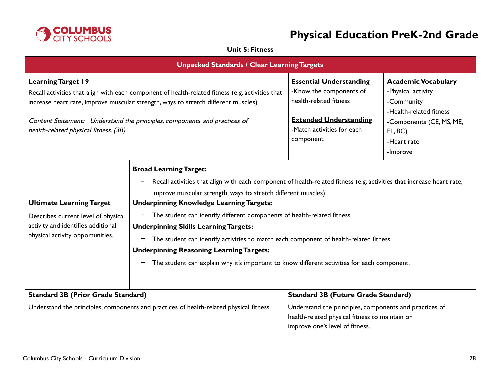

## **Unit 5: Fitness**

| <b>Unpacked Standards / Clear Learning Targets</b>                                                                                                                                                                                                                                                                                        |                                                                                                                                                                                                                                                                                                                                                                                                                                                                                                                                                                                                                                                                                  |                                                                                                                                                                 |                                                                                                                                                             |
|-------------------------------------------------------------------------------------------------------------------------------------------------------------------------------------------------------------------------------------------------------------------------------------------------------------------------------------------|----------------------------------------------------------------------------------------------------------------------------------------------------------------------------------------------------------------------------------------------------------------------------------------------------------------------------------------------------------------------------------------------------------------------------------------------------------------------------------------------------------------------------------------------------------------------------------------------------------------------------------------------------------------------------------|-----------------------------------------------------------------------------------------------------------------------------------------------------------------|-------------------------------------------------------------------------------------------------------------------------------------------------------------|
| <b>Learning Target 19</b><br>Recall activities that align with each component of health-related fitness (e.g. activities that<br>increase heart rate, improve muscular strength, ways to stretch different muscles)<br>Content Statement: Understand the principles, components and practices of<br>health-related physical fitness. (3B) |                                                                                                                                                                                                                                                                                                                                                                                                                                                                                                                                                                                                                                                                                  | <b>Essential Understanding</b><br>-Know the components of<br>health-related fitness<br><b>Extended Understanding</b><br>-Match activities for each<br>component | <b>Academic Vocabulary</b><br>-Physical activity<br>-Community<br>-Health-related fitness<br>-Components (CE, MS, ME,<br>FL, BC)<br>-Heart rate<br>-Improve |
| <b>Ultimate Learning Target</b><br>Describes current level of physical<br>activity and identifies additional<br>physical activity opportunities.                                                                                                                                                                                          | <b>Broad Learning Target:</b><br>Recall activities that align with each component of health-related fitness (e.g. activities that increase heart rate,<br>$\qquad \qquad -$<br>improve muscular strength, ways to stretch different muscles)<br><b>Underpinning Knowledge Learning Targets:</b><br>The student can identify different components of health-related fitness<br>-<br><b>Underpinning Skills Learning Targets:</b><br>The student can identify activities to match each component of health-related fitness.<br>-<br><b>Underpinning Reasoning Learning Targets:</b><br>The student can explain why it's important to know different activities for each component. |                                                                                                                                                                 |                                                                                                                                                             |
| <b>Standard 3B (Prior Grade Standard)</b>                                                                                                                                                                                                                                                                                                 |                                                                                                                                                                                                                                                                                                                                                                                                                                                                                                                                                                                                                                                                                  | <b>Standard 3B (Future Grade Standard)</b>                                                                                                                      |                                                                                                                                                             |
| Understand the principles, components and practices of health-related physical fitness.                                                                                                                                                                                                                                                   |                                                                                                                                                                                                                                                                                                                                                                                                                                                                                                                                                                                                                                                                                  | Understand the principles, components and practices of<br>health-related physical fitness to maintain or<br>improve one's level of fitness.                     |                                                                                                                                                             |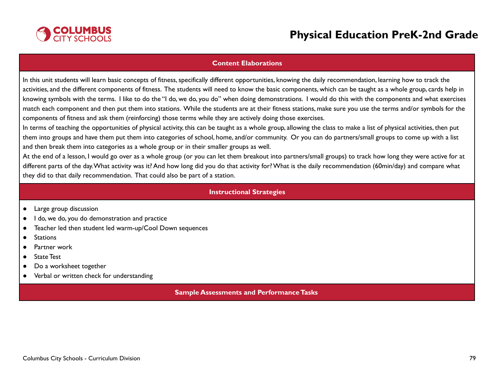

### **Content Elaborations**

In this unit students will learn basic concepts of fitness, specifically different opportunities, knowing the daily recommendation, learning how to track the activities, and the different components of fitness. The students will need to know the basic components, which can be taught as a whole group, cards help in knowing symbols with the terms. I like to do the "I do, we do, you do" when doing demonstrations. I would do this with the components and what exercises match each component and then put them into stations. While the students are at their fitness stations, make sure you use the terms and/or symbols for the components of fitness and ask them (reinforcing) those terms while they are actively doing those exercises.

In terms of teaching the opportunities of physical activity, this can be taught as a whole group, allowing the class to make a list of physical activities, then put them into groups and have them put them into categories of school, home, and/or community. Or you can do partners/small groups to come up with a list and then break them into categories as a whole group or in their smaller groups as well.

At the end of a lesson, I would go over as a whole group (or you can let them breakout into partners/small groups) to track how long they were active for at different parts of the day.What activity was it? And how long did you do that activity for?What is the daily recommendation (60min/day) and compare what they did to that daily recommendation. That could also be part of a station.

#### **Instructional Strategies**

- Large group discussion
- I do, we do, you do demonstration and practice
- Teacher led then student led warm-up/Cool Down sequences
- Stations
- Partner work
- State Test
- Do a worksheet together
- Verbal or written check for understanding

#### **Sample Assessments and Performance Tasks**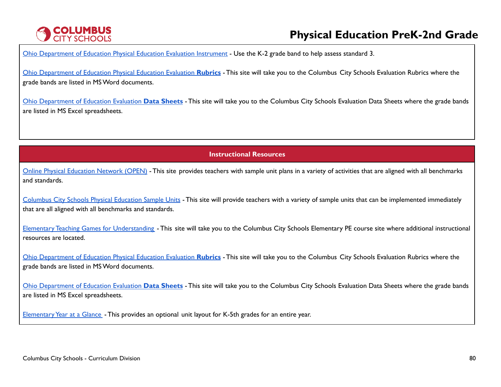# **COLUMBUS**<br>CITY SCHOOLS

# **Physical Education PreK-2nd Grade**

Ohio [Department](http://education.ohio.gov/Topics/Learning-in-Ohio/Physical-Education/Physical-Education-Evaluation-updated) of Education Physical Education Evaluation Instrument - Use the K-2 grade band to help assess standard 3.

Ohio [Department](https://www.ccsoh.us/Page/2271) of Education Physical Education Evaluation **Rubrics** - This site will take you to the Columbus City Schools Evaluation Rubrics where the grade bands are listed in MSWord documents.

Ohio [Department](https://www.ccsoh.us/Page/2272) of Education Evaluation **Data Sheets** - This site will take you to the Columbus City Schools Evaluation Data Sheets where the grade bands are listed in MS Excel spreadsheets.

**Instructional Resources**

Online Physical [Education](https://openphysed.org/) Network (OPEN) - This site provides teachers with sample unit plans in a variety of activities that are aligned with all benchmarks and standards.

[Columbus](https://www.ccsoh.us/Page/6766) City Schools Physical Education Sample Units - This site will provide teachers with a variety of sample units that can be implemented immediately that are all aligned with all benchmarks and standards.

Elementary Teaching Games for [Understanding](https://www.ccsoh.us/Page/2251) - This site will take you to the Columbus City Schools Elementary PE course site where additional instructional resources are located.

Ohio [Department](https://www.ccsoh.us/Page/2271) of Education Physical Education Evaluation **Rubrics** - This site will take you to the Columbus City Schools Evaluation Rubrics where the grade bands are listed in MSWord documents.

Ohio [Department](https://www.ccsoh.us/Page/2272) of Education Evaluation **Data Sheets** - This site will take you to the Columbus City Schools Evaluation Data Sheets where the grade bands are listed in MS Excel spreadsheets.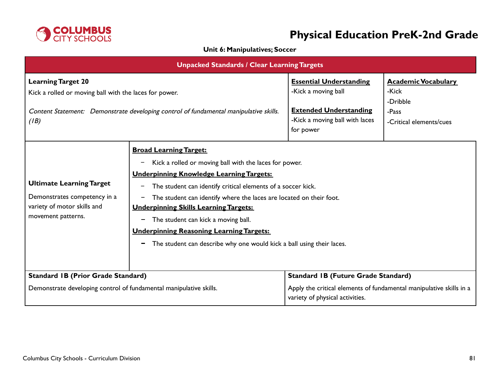

### **Unit 6: Manipulatives; Soccer**

| <b>Unpacked Standards / Clear Learning Targets</b>                                                                                                                                   |                                                                                                                                                                                                                                                                                                                                                                                                                                                                                                                                                                     |                                                                                                                                                      |                                                                                     |
|--------------------------------------------------------------------------------------------------------------------------------------------------------------------------------------|---------------------------------------------------------------------------------------------------------------------------------------------------------------------------------------------------------------------------------------------------------------------------------------------------------------------------------------------------------------------------------------------------------------------------------------------------------------------------------------------------------------------------------------------------------------------|------------------------------------------------------------------------------------------------------------------------------------------------------|-------------------------------------------------------------------------------------|
| <b>Learning Target 20</b><br>Kick a rolled or moving ball with the laces for power.<br>Content Statement: Demonstrate developing control of fundamental manipulative skills.<br>(IB) |                                                                                                                                                                                                                                                                                                                                                                                                                                                                                                                                                                     | <b>Essential Understanding</b><br>-Kick a moving ball<br><b>Extended Understanding</b><br>-Kick a moving ball with laces<br>for power                | <b>Academic Vocabulary</b><br>-Kick<br>-Dribble<br>-Pass<br>-Critical elements/cues |
| <b>Ultimate Learning Target</b><br>Demonstrates competency in a<br>variety of motor skills and<br>movement patterns.                                                                 | <b>Broad Learning Target:</b><br>Kick a rolled or moving ball with the laces for power.<br><b>Underpinning Knowledge Learning Targets:</b><br>The student can identify critical elements of a soccer kick.<br>$\qquad \qquad -$<br>The student can identify where the laces are located on their foot.<br>-<br><b>Underpinning Skills Learning Targets:</b><br>The student can kick a moving ball.<br>-<br><b>Underpinning Reasoning Learning Targets:</b><br>The student can describe why one would kick a ball using their laces.<br>$\qquad \qquad \blacksquare$ |                                                                                                                                                      |                                                                                     |
| <b>Standard IB (Prior Grade Standard)</b><br>Demonstrate developing control of fundamental manipulative skills.                                                                      |                                                                                                                                                                                                                                                                                                                                                                                                                                                                                                                                                                     | <b>Standard IB (Future Grade Standard)</b><br>Apply the critical elements of fundamental manipulative skills in a<br>variety of physical activities. |                                                                                     |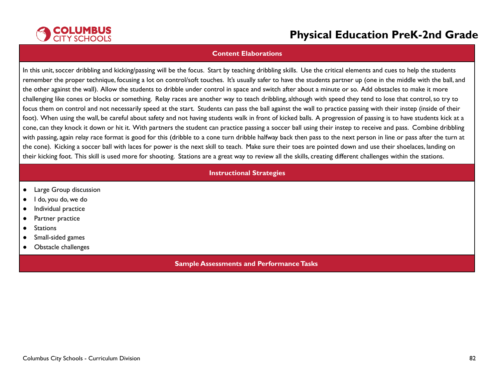

#### **Content Elaborations**

In this unit, soccer dribbling and kicking/passing will be the focus. Start by teaching dribbling skills. Use the critical elements and cues to help the students remember the proper technique, focusing a lot on control/soft touches. It's usually safer to have the students partner up (one in the middle with the ball, and the other against the wall). Allow the students to dribble under control in space and switch after about a minute or so. Add obstacles to make it more challenging like cones or blocks or something. Relay races are another way to teach dribbling, although with speed they tend to lose that control,so try to focus them on control and not necessarily speed at the start. Students can pass the ball against the wall to practice passing with their instep (inside of their foot). When using the wall, be careful about safety and not having students walk in front of kicked balls. A progression of passing is to have students kick at a cone, can they knock it down or hit it. With partners the student can practice passing a soccer ball using their instep to receive and pass. Combine dribbling with passing, again relay race format is good for this (dribble to a cone turn dribble halfway back then pass to the next person in line or pass after the turn at the cone). Kicking a soccer ball with laces for power is the next skill to teach. Make sure their toes are pointed down and use their shoelaces, landing on their kicking foot. This skill is used more for shooting. Stations are a great way to review all the skills, creating different challenges within the stations.

### **Instructional Strategies**

- Large Group discussion
- I do, you do, we do
- Individual practice
- Partner practice
- Stations
- Small-sided games
- Obstacle challenges

#### **Sample Assessments and PerformanceTasks**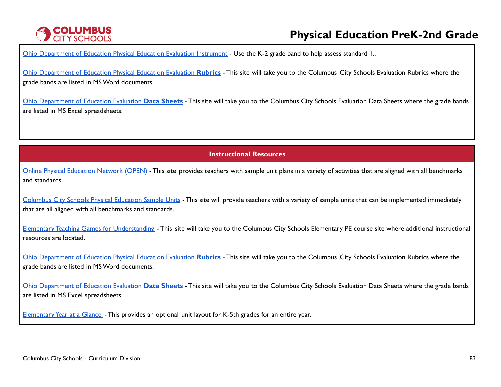# **COLUMBUS**<br>CITY SCHOOLS

# **Physical Education PreK-2nd Grade**

Ohio [Department](http://education.ohio.gov/Topics/Learning-in-Ohio/Physical-Education/Physical-Education-Evaluation-updated) of Education Physical Education Evaluation Instrument - Use the K-2 grade band to help assess standard 1..

Ohio [Department](https://www.ccsoh.us/Page/2271) of Education Physical Education Evaluation **Rubrics** - This site will take you to the Columbus City Schools Evaluation Rubrics where the grade bands are listed in MSWord documents.

Ohio [Department](https://www.ccsoh.us/Page/2272) of Education Evaluation **Data Sheets** - This site will take you to the Columbus City Schools Evaluation Data Sheets where the grade bands are listed in MS Excel spreadsheets.

**Instructional Resources**

Online Physical [Education](https://openphysed.org/) Network (OPEN) - This site provides teachers with sample unit plans in a variety of activities that are aligned with all benchmarks and standards.

[Columbus](https://www.ccsoh.us/Page/6766) City Schools Physical Education Sample Units - This site will provide teachers with a variety of sample units that can be implemented immediately that are all aligned with all benchmarks and standards.

Elementary Teaching Games for [Understanding](https://www.ccsoh.us/Page/2251) - This site will take you to the Columbus City Schools Elementary PE course site where additional instructional resources are located.

Ohio [Department](https://www.ccsoh.us/Page/2271) of Education Physical Education Evaluation **Rubrics** - This site will take you to the Columbus City Schools Evaluation Rubrics where the grade bands are listed in MSWord documents.

Ohio [Department](https://www.ccsoh.us/Page/2272) of Education Evaluation **Data Sheets** - This site will take you to the Columbus City Schools Evaluation Data Sheets where the grade bands are listed in MS Excel spreadsheets.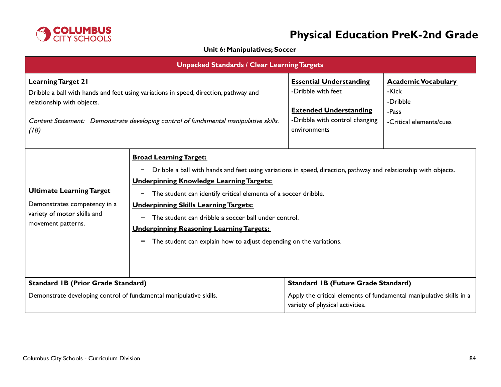

### **Unit 6: Manipulatives; Soccer**

| <b>Unpacked Standards / Clear Learning Targets</b>                                                                                                                                                                                               |                                                                                                                                                                                                                                                                                                                                                                                                                                                                                                                        |                                                                                                                                         |                                                                                     |
|--------------------------------------------------------------------------------------------------------------------------------------------------------------------------------------------------------------------------------------------------|------------------------------------------------------------------------------------------------------------------------------------------------------------------------------------------------------------------------------------------------------------------------------------------------------------------------------------------------------------------------------------------------------------------------------------------------------------------------------------------------------------------------|-----------------------------------------------------------------------------------------------------------------------------------------|-------------------------------------------------------------------------------------|
| <b>Learning Target 21</b><br>Dribble a ball with hands and feet using variations in speed, direction, pathway and<br>relationship with objects.<br>Content Statement: Demonstrate developing control of fundamental manipulative skills.<br>(IB) |                                                                                                                                                                                                                                                                                                                                                                                                                                                                                                                        | <b>Essential Understanding</b><br>-Dribble with feet<br><b>Extended Understanding</b><br>-Dribble with control changing<br>environments | <b>Academic Vocabulary</b><br>-Kick<br>-Dribble<br>-Pass<br>-Critical elements/cues |
| <b>Ultimate Learning Target</b><br>Demonstrates competency in a<br>variety of motor skills and<br>movement patterns.                                                                                                                             | <b>Broad Learning Target:</b><br>Dribble a ball with hands and feet using variations in speed, direction, pathway and relationship with objects.<br>-<br><b>Underpinning Knowledge Learning Targets:</b><br>The student can identify critical elements of a soccer dribble.<br>-<br><b>Underpinning Skills Learning Targets:</b><br>The student can dribble a soccer ball under control.<br>-<br><b>Underpinning Reasoning Learning Targets:</b><br>The student can explain how to adjust depending on the variations. |                                                                                                                                         |                                                                                     |
| <b>Standard IB (Prior Grade Standard)</b><br>Demonstrate developing control of fundamental manipulative skills.                                                                                                                                  |                                                                                                                                                                                                                                                                                                                                                                                                                                                                                                                        | <b>Standard IB (Future Grade Standard)</b><br>Apply the critical elements of fundamental manipulative skills in a                       |                                                                                     |
|                                                                                                                                                                                                                                                  |                                                                                                                                                                                                                                                                                                                                                                                                                                                                                                                        | variety of physical activities.                                                                                                         |                                                                                     |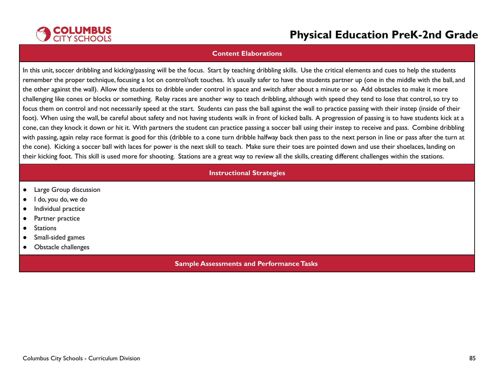

#### **Content Elaborations**

In this unit, soccer dribbling and kicking/passing will be the focus. Start by teaching dribbling skills. Use the critical elements and cues to help the students remember the proper technique, focusing a lot on control/soft touches. It's usually safer to have the students partner up (one in the middle with the ball, and the other against the wall). Allow the students to dribble under control in space and switch after about a minute or so. Add obstacles to make it more challenging like cones or blocks or something. Relay races are another way to teach dribbling, although with speed they tend to lose that control,so try to focus them on control and not necessarily speed at the start. Students can pass the ball against the wall to practice passing with their instep (inside of their foot). When using the wall, be careful about safety and not having students walk in front of kicked balls. A progression of passing is to have students kick at a cone, can they knock it down or hit it. With partners the student can practice passing a soccer ball using their instep to receive and pass. Combine dribbling with passing, again relay race format is good for this (dribble to a cone turn dribble halfway back then pass to the next person in line or pass after the turn at the cone). Kicking a soccer ball with laces for power is the next skill to teach. Make sure their toes are pointed down and use their shoelaces, landing on their kicking foot. This skill is used more for shooting. Stations are a great way to review all the skills, creating different challenges within the stations.

### **Instructional Strategies**

- Large Group discussion
- I do, you do, we do
- Individual practice
- Partner practice
- Stations
- Small-sided games
- Obstacle challenges

#### **Sample Assessments and PerformanceTasks**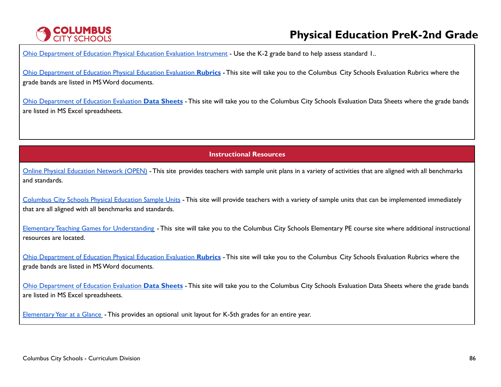# **COLUMBUS**<br>CITY SCHOOLS

# **Physical Education PreK-2nd Grade**

Ohio [Department](http://education.ohio.gov/Topics/Learning-in-Ohio/Physical-Education/Physical-Education-Evaluation-updated) of Education Physical Education Evaluation Instrument - Use the K-2 grade band to help assess standard 1..

Ohio [Department](https://www.ccsoh.us/Page/2271) of Education Physical Education Evaluation **Rubrics** - This site will take you to the Columbus City Schools Evaluation Rubrics where the grade bands are listed in MSWord documents.

Ohio [Department](https://www.ccsoh.us/Page/2272) of Education Evaluation **Data Sheets** - This site will take you to the Columbus City Schools Evaluation Data Sheets where the grade bands are listed in MS Excel spreadsheets.

**Instructional Resources**

Online Physical [Education](https://openphysed.org/) Network (OPEN) - This site provides teachers with sample unit plans in a variety of activities that are aligned with all benchmarks and standards.

[Columbus](https://www.ccsoh.us/Page/6766) City Schools Physical Education Sample Units - This site will provide teachers with a variety of sample units that can be implemented immediately that are all aligned with all benchmarks and standards.

Elementary Teaching Games for [Understanding](https://www.ccsoh.us/Page/2251) - This site will take you to the Columbus City Schools Elementary PE course site where additional instructional resources are located.

Ohio [Department](https://www.ccsoh.us/Page/2271) of Education Physical Education Evaluation **Rubrics** - This site will take you to the Columbus City Schools Evaluation Rubrics where the grade bands are listed in MSWord documents.

Ohio [Department](https://www.ccsoh.us/Page/2272) of Education Evaluation **Data Sheets** - This site will take you to the Columbus City Schools Evaluation Data Sheets where the grade bands are listed in MS Excel spreadsheets.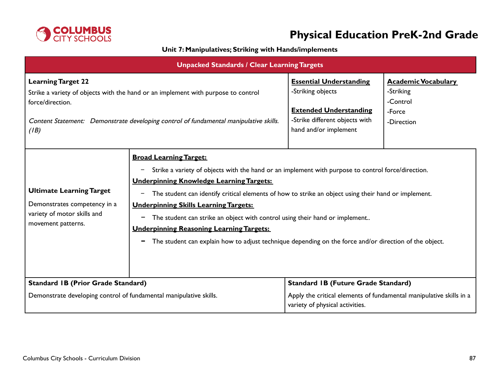

## **Unit 7: Manipulatives; Striking with Hands/implements**

| <b>Unpacked Standards / Clear Learning Targets</b>                                                                                                                                                                                  |                                                                                                                                                                                                                                                                                                                                                                                                                                                                                                                                                                                                                                           |                                                                                                                                                 |                                                                             |  |
|-------------------------------------------------------------------------------------------------------------------------------------------------------------------------------------------------------------------------------------|-------------------------------------------------------------------------------------------------------------------------------------------------------------------------------------------------------------------------------------------------------------------------------------------------------------------------------------------------------------------------------------------------------------------------------------------------------------------------------------------------------------------------------------------------------------------------------------------------------------------------------------------|-------------------------------------------------------------------------------------------------------------------------------------------------|-----------------------------------------------------------------------------|--|
| <b>Learning Target 22</b><br>Strike a variety of objects with the hand or an implement with purpose to control<br>force/direction.<br>Content Statement: Demonstrate developing control of fundamental manipulative skills.<br>(IB) |                                                                                                                                                                                                                                                                                                                                                                                                                                                                                                                                                                                                                                           | <b>Essential Understanding</b><br>-Striking objects<br><b>Extended Understanding</b><br>-Strike different objects with<br>hand and/or implement | <b>Academic Vocabulary</b><br>-Striking<br>-Control<br>-Force<br>-Direction |  |
| <b>Ultimate Learning Target</b><br>Demonstrates competency in a<br>variety of motor skills and<br>movement patterns.                                                                                                                | <b>Broad Learning Target:</b><br>Strike a variety of objects with the hand or an implement with purpose to control force/direction.<br>-<br><b>Underpinning Knowledge Learning Targets:</b><br>The student can identify critical elements of how to strike an object using their hand or implement.<br>$\qquad \qquad$<br><b>Underpinning Skills Learning Targets:</b><br>The student can strike an object with control using their hand or implement<br>$\blacksquare$<br><b>Underpinning Reasoning Learning Targets:</b><br>The student can explain how to adjust technique depending on the force and/or direction of the object.<br>- |                                                                                                                                                 |                                                                             |  |
| <b>Standard IB (Prior Grade Standard)</b>                                                                                                                                                                                           |                                                                                                                                                                                                                                                                                                                                                                                                                                                                                                                                                                                                                                           | <b>Standard IB (Future Grade Standard)</b>                                                                                                      |                                                                             |  |
| Demonstrate developing control of fundamental manipulative skills.                                                                                                                                                                  |                                                                                                                                                                                                                                                                                                                                                                                                                                                                                                                                                                                                                                           | Apply the critical elements of fundamental manipulative skills in a<br>variety of physical activities.                                          |                                                                             |  |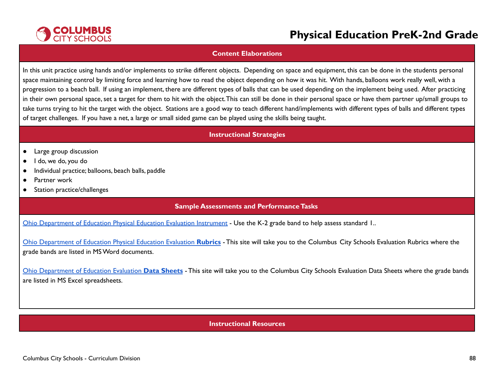

### **Content Elaborations**

In this unit practice using hands and/or implements to strike different objects. Depending on space and equipment, this can be done in the students personal space maintaining control by limiting force and learning how to read the object depending on how it was hit. With hands, balloons work really well, with a progression to a beach ball. If using an implement, there are different types of balls that can be used depending on the implement being used. After practicing in their own personal space,set a target for them to hit with the object.This can still be done in their personal space or have them partner up/small groups to take turns trying to hit the target with the object. Stations are a good way to teach different hand/implements with different types of balls and different types of target challenges. If you have a net, a large or small sided game can be played using the skills being taught.

### **Instructional Strategies**

- Large group discussion
- I do, we do, you do
- Individual practice; balloons, beach balls, paddle
- Partner work
- Station practice/challenges

### **Sample Assessments and PerformanceTasks**

Ohio [Department](http://education.ohio.gov/Topics/Learning-in-Ohio/Physical-Education/Physical-Education-Evaluation-updated) of Education Physical Education Evaluation Instrument - Use the K-2 grade band to help assess standard 1..

Ohio [Department](https://www.ccsoh.us/Page/2271) of Education Physical Education Evaluation **Rubrics** - This site will take you to the Columbus City Schools Evaluation Rubrics where the grade bands are listed in MSWord documents.

Ohio [Department](https://www.ccsoh.us/Page/2272) of Education Evaluation **Data Sheets** - This site will take you to the Columbus City Schools Evaluation Data Sheets where the grade bands are listed in MS Excel spreadsheets.

### **Instructional Resources**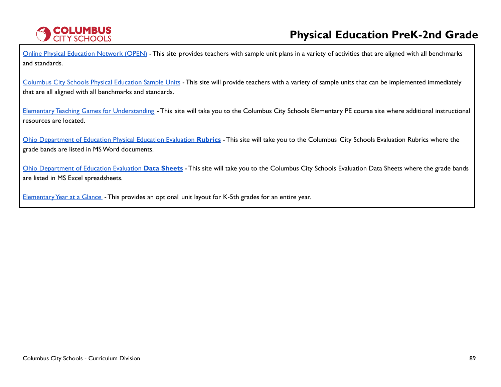

Online Physical [Education](https://openphysed.org/) Network (OPEN) - This site provides teachers with sample unit plans in a variety of activities that are aligned with all benchmarks and standards.

[Columbus](https://www.ccsoh.us/Page/6766) City Schools Physical Education Sample Units - This site will provide teachers with a variety of sample units that can be implemented immediately that are all aligned with all benchmarks and standards.

Elementary Teaching Games for [Understanding](https://www.ccsoh.us/Page/2251) - This site will take you to the Columbus City Schools Elementary PE course site where additional instructional resources are located.

Ohio [Department](https://www.ccsoh.us/Page/2271) of Education Physical Education Evaluation **Rubrics** - This site will take you to the Columbus City Schools Evaluation Rubrics where the grade bands are listed in MSWord documents.

Ohio [Department](https://www.ccsoh.us/Page/2272) of Education Evaluation **Data Sheets** - This site will take you to the Columbus City Schools Evaluation Data Sheets where the grade bands are listed in MS Excel spreadsheets.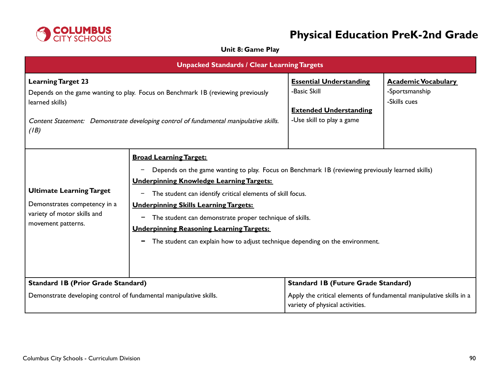

## **Unit 8: Game Play**

| <b>Unpacked Standards / Clear Learning Targets</b>                                                                                                                                                                                |                                                                                                                                                                                                                                                                                                                                                                                                                                                                                                                                                              |                                                                                                              |                                                              |
|-----------------------------------------------------------------------------------------------------------------------------------------------------------------------------------------------------------------------------------|--------------------------------------------------------------------------------------------------------------------------------------------------------------------------------------------------------------------------------------------------------------------------------------------------------------------------------------------------------------------------------------------------------------------------------------------------------------------------------------------------------------------------------------------------------------|--------------------------------------------------------------------------------------------------------------|--------------------------------------------------------------|
| <b>Learning Target 23</b><br>Depends on the game wanting to play. Focus on Benchmark IB (reviewing previously<br>learned skills)<br>Content Statement: Demonstrate developing control of fundamental manipulative skills.<br>(IB) |                                                                                                                                                                                                                                                                                                                                                                                                                                                                                                                                                              | <b>Essential Understanding</b><br>-Basic Skill<br><b>Extended Understanding</b><br>-Use skill to play a game | <b>Academic Vocabulary</b><br>-Sportsmanship<br>-Skills cues |
| <b>Ultimate Learning Target</b><br>Demonstrates competency in a<br>variety of motor skills and<br>movement patterns.                                                                                                              | <b>Broad Learning Target:</b><br>Depends on the game wanting to play. Focus on Benchmark IB (reviewing previously learned skills)<br>$\overline{\phantom{m}}$<br><b>Underpinning Knowledge Learning Targets:</b><br>The student can identify critical elements of skill focus.<br>$\qquad \qquad -$<br><b>Underpinning Skills Learning Targets:</b><br>The student can demonstrate proper technique of skills.<br>-<br><b>Underpinning Reasoning Learning Targets:</b><br>The student can explain how to adjust technique depending on the environment.<br>- |                                                                                                              |                                                              |
| <b>Standard IB (Prior Grade Standard)</b>                                                                                                                                                                                         |                                                                                                                                                                                                                                                                                                                                                                                                                                                                                                                                                              | <b>Standard IB (Future Grade Standard)</b>                                                                   |                                                              |
| Demonstrate developing control of fundamental manipulative skills.                                                                                                                                                                |                                                                                                                                                                                                                                                                                                                                                                                                                                                                                                                                                              | Apply the critical elements of fundamental manipulative skills in a<br>variety of physical activities.       |                                                              |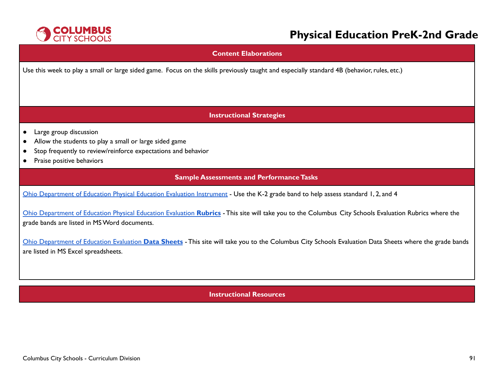

### **Content Elaborations**

Use this week to play a small or large sided game. Focus on the skills previously taught and especially standard 4B (behavior, rules, etc.)

### **Instructional Strategies**

- Large group discussion
- Allow the students to play a small or large sided game
- Stop frequently to review/reinforce expectations and behavior
- Praise positive behaviors

### **Sample Assessments and Performance Tasks**

Ohio [Department](http://education.ohio.gov/Topics/Learning-in-Ohio/Physical-Education/Physical-Education-Evaluation-updated) of Education Physical Education Evaluation Instrument - Use the K-2 grade band to help assess standard 1, 2, and 4

Ohio [Department](https://www.ccsoh.us/Page/2271) of Education Physical Education Evaluation **Rubrics** - This site will take you to the Columbus City Schools Evaluation Rubrics where the grade bands are listed in MSWord documents.

Ohio [Department](https://www.ccsoh.us/Page/2272) of Education Evaluation **Data Sheets** - This site will take you to the Columbus City Schools Evaluation Data Sheets where the grade bands are listed in MS Excel spreadsheets.

**Instructional Resources**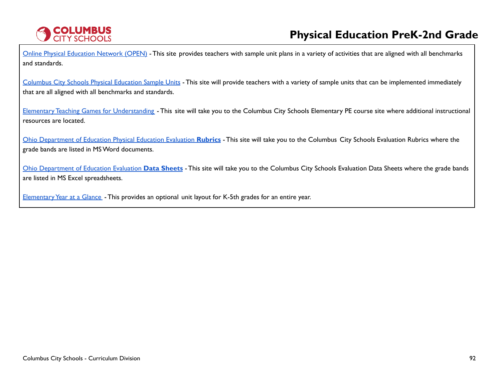

Online Physical [Education](https://openphysed.org/) Network (OPEN) - This site provides teachers with sample unit plans in a variety of activities that are aligned with all benchmarks and standards.

[Columbus](https://www.ccsoh.us/Page/6766) City Schools Physical Education Sample Units - This site will provide teachers with a variety of sample units that can be implemented immediately that are all aligned with all benchmarks and standards.

Elementary Teaching Games for [Understanding](https://www.ccsoh.us/Page/2251) - This site will take you to the Columbus City Schools Elementary PE course site where additional instructional resources are located.

Ohio [Department](https://www.ccsoh.us/Page/2271) of Education Physical Education Evaluation **Rubrics** - This site will take you to the Columbus City Schools Evaluation Rubrics where the grade bands are listed in MSWord documents.

Ohio [Department](https://www.ccsoh.us/Page/2272) of Education Evaluation **Data Sheets** - This site will take you to the Columbus City Schools Evaluation Data Sheets where the grade bands are listed in MS Excel spreadsheets.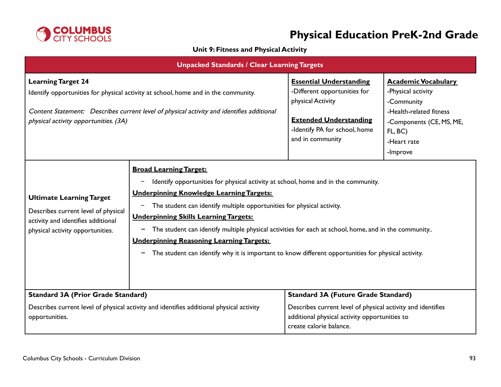

## **Unit 9: Fitness and Physical Activity**

| <b>Unpacked Standards / Clear Learning Targets</b>                                                                                                                                                                                                    |                                                                                                                                                                                                                                                                                                                                                                                                                                                                                                                                                                         |                                                                                                                                                                           |                                                                                                                                                             |
|-------------------------------------------------------------------------------------------------------------------------------------------------------------------------------------------------------------------------------------------------------|-------------------------------------------------------------------------------------------------------------------------------------------------------------------------------------------------------------------------------------------------------------------------------------------------------------------------------------------------------------------------------------------------------------------------------------------------------------------------------------------------------------------------------------------------------------------------|---------------------------------------------------------------------------------------------------------------------------------------------------------------------------|-------------------------------------------------------------------------------------------------------------------------------------------------------------|
| <b>Learning Target 24</b><br>Identify opportunities for physical activity at school, home and in the community.<br>Content Statement: Describes current level of physical activity and identifies additional<br>physical activity opportunities. (3A) |                                                                                                                                                                                                                                                                                                                                                                                                                                                                                                                                                                         | <b>Essential Understanding</b><br>-Different opportunities for<br>physical Activity<br><b>Extended Understanding</b><br>-Identify PA for school, home<br>and in community | <b>Academic Vocabulary</b><br>-Physical activity<br>-Community<br>-Health-related fitness<br>-Components (CE, MS, ME,<br>FL, BC)<br>-Heart rate<br>-Improve |
| <b>Ultimate Learning Target</b><br>Describes current level of physical<br>activity and identifies additional<br>physical activity opportunities.                                                                                                      | <b>Broad Learning Target:</b><br>Identify opportunities for physical activity at school, home and in the community.<br><b>Underpinning Knowledge Learning Targets:</b><br>The student can identify multiple opportunities for physical activity.<br>-<br><b>Underpinning Skills Learning Targets:</b><br>The student can identify multiple physical activities for each at school, home, and in the community<br><b>Underpinning Reasoning Learning Targets:</b><br>The student can identify why it is important to know different opportunities for physical activity. |                                                                                                                                                                           |                                                                                                                                                             |
| <b>Standard 3A (Prior Grade Standard)</b>                                                                                                                                                                                                             |                                                                                                                                                                                                                                                                                                                                                                                                                                                                                                                                                                         | <b>Standard 3A (Future Grade Standard)</b>                                                                                                                                |                                                                                                                                                             |
| Describes current level of physical activity and identifies additional physical activity<br>opportunities.                                                                                                                                            |                                                                                                                                                                                                                                                                                                                                                                                                                                                                                                                                                                         | Describes current level of physical activity and identifies<br>additional physical activity opportunities to<br>create calorie balance.                                   |                                                                                                                                                             |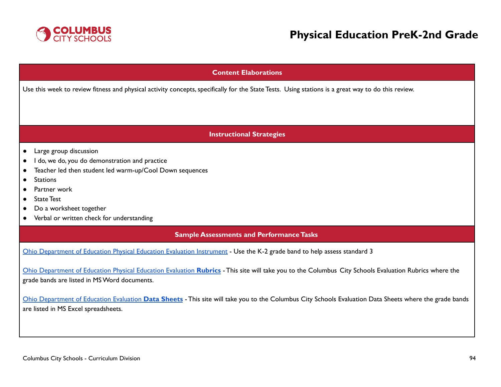

## **Content Elaborations**

Use this week to review fitness and physical activity concepts, specifically for the State Tests. Using stations is a great way to do this review.

### **Instructional Strategies**

- Large group discussion
- I do, we do, you do demonstration and practice
- Teacher led then student led warm-up/Cool Down sequences
- Stations
- Partner work
- State Test
- Do a worksheet together
- Verbal or written check for understanding

### **Sample Assessments and PerformanceTasks**

Ohio [Department](http://education.ohio.gov/Topics/Learning-in-Ohio/Physical-Education/Physical-Education-Evaluation-updated) of Education Physical Education Evaluation Instrument - Use the K-2 grade band to help assess standard 3

Ohio [Department](https://www.ccsoh.us/Page/2271) of Education Physical Education Evaluation **Rubrics** - This site will take you to the Columbus City Schools Evaluation Rubrics where the grade bands are listed in MSWord documents.

Ohio [Department](https://www.ccsoh.us/Page/2272) of Education Evaluation **Data Sheets** - This site will take you to the Columbus City Schools Evaluation Data Sheets where the grade bands are listed in MS Excel spreadsheets.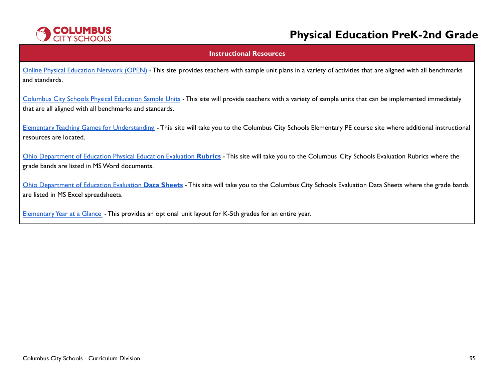

#### **Instructional Resources**

Online Physical [Education](https://openphysed.org/) Network (OPEN) - This site provides teachers with sample unit plans in a variety of activities that are aligned with all benchmarks and standards.

[Columbus](https://www.ccsoh.us/Page/6766) City Schools Physical Education Sample Units - This site will provide teachers with a variety of sample units that can be implemented immediately that are all aligned with all benchmarks and standards.

Elementary Teaching Games for [Understanding](https://www.ccsoh.us/Page/2251) - This site will take you to the Columbus City Schools Elementary PE course site where additional instructional resources are located.

Ohio [Department](https://www.ccsoh.us/Page/2271) of Education Physical Education Evaluation **Rubrics** - This site will take you to the Columbus City Schools Evaluation Rubrics where the grade bands are listed in MSWord documents.

Ohio [Department](https://www.ccsoh.us/Page/2272) of Education Evaluation **Data Sheets** - This site will take you to the Columbus City Schools Evaluation Data Sheets where the grade bands are listed in MS Excel spreadsheets.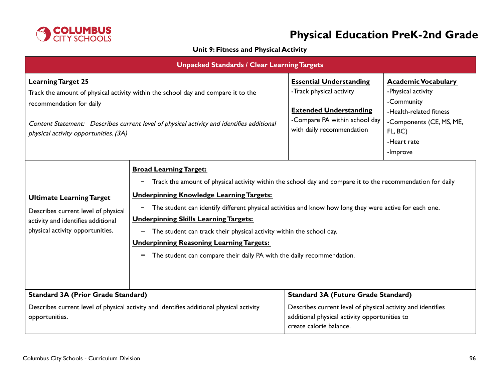

## **Unit 9: Fitness and Physical Activity**

| <b>Unpacked Standards / Clear Learning Targets</b>                                                                                                                                                                                                                               |                                                                                                                                                                                                                                                                                                                                                                                                                                                                                                                                                                              |                                                                                                                                                           |                                                                                                                                                             |
|----------------------------------------------------------------------------------------------------------------------------------------------------------------------------------------------------------------------------------------------------------------------------------|------------------------------------------------------------------------------------------------------------------------------------------------------------------------------------------------------------------------------------------------------------------------------------------------------------------------------------------------------------------------------------------------------------------------------------------------------------------------------------------------------------------------------------------------------------------------------|-----------------------------------------------------------------------------------------------------------------------------------------------------------|-------------------------------------------------------------------------------------------------------------------------------------------------------------|
| <b>Learning Target 25</b><br>Track the amount of physical activity within the school day and compare it to the<br>recommendation for daily<br>Content Statement: Describes current level of physical activity and identifies additional<br>physical activity opportunities. (3A) |                                                                                                                                                                                                                                                                                                                                                                                                                                                                                                                                                                              | <b>Essential Understanding</b><br>-Track physical activity<br><b>Extended Understanding</b><br>-Compare PA within school day<br>with daily recommendation | <b>Academic Vocabulary</b><br>-Physical activity<br>-Community<br>-Health-related fitness<br>-Components (CE, MS, ME,<br>FL, BC)<br>-Heart rate<br>-Improve |
| <b>Ultimate Learning Target</b><br>Describes current level of physical<br>activity and identifies additional<br>physical activity opportunities.                                                                                                                                 | <b>Broad Learning Target:</b><br>Track the amount of physical activity within the school day and compare it to the recommendation for daily<br><b>Underpinning Knowledge Learning Targets:</b><br>The student can identify different physical activities and know how long they were active for each one.<br>-<br><b>Underpinning Skills Learning Targets:</b><br>The student can track their physical activity within the school day.<br>-<br><b>Underpinning Reasoning Learning Targets:</b><br>The student can compare their daily PA with the daily recommendation.<br>- |                                                                                                                                                           |                                                                                                                                                             |
| <b>Standard 3A (Prior Grade Standard)</b>                                                                                                                                                                                                                                        |                                                                                                                                                                                                                                                                                                                                                                                                                                                                                                                                                                              | <b>Standard 3A (Future Grade Standard)</b>                                                                                                                |                                                                                                                                                             |
| Describes current level of physical activity and identifies additional physical activity<br>opportunities.                                                                                                                                                                       |                                                                                                                                                                                                                                                                                                                                                                                                                                                                                                                                                                              | Describes current level of physical activity and identifies<br>additional physical activity opportunities to<br>create calorie balance.                   |                                                                                                                                                             |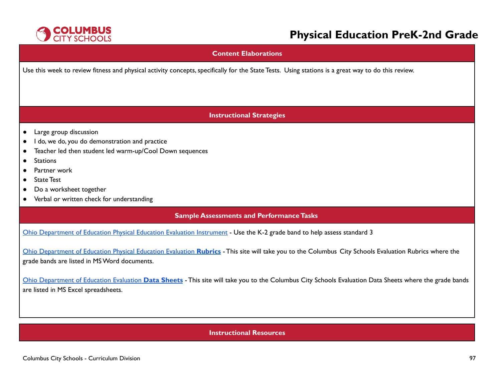

### **Content Elaborations**

Use this week to review fitness and physical activity concepts, specifically for the State Tests. Using stations is a great way to do this review.

### **Instructional Strategies**

- Large group discussion
- I do, we do, you do demonstration and practice
- Teacher led then student led warm-up/Cool Down sequences
- Stations
- Partner work
- State Test
- Do a worksheet together
- Verbal or written check for understanding

### **Sample Assessments and Performance Tasks**

Ohio [Department](http://education.ohio.gov/Topics/Learning-in-Ohio/Physical-Education/Physical-Education-Evaluation-updated) of Education Physical Education Evaluation Instrument - Use the K-2 grade band to help assess standard 3

Ohio [Department](https://www.ccsoh.us/Page/2271) of Education Physical Education Evaluation **Rubrics** - This site will take you to the Columbus City Schools Evaluation Rubrics where the grade bands are listed in MSWord documents.

Ohio [Department](https://www.ccsoh.us/Page/2272) of Education Evaluation **Data Sheets** - This site will take you to the Columbus City Schools Evaluation Data Sheets where the grade bands are listed in MS Excel spreadsheets.

### **Instructional Resources**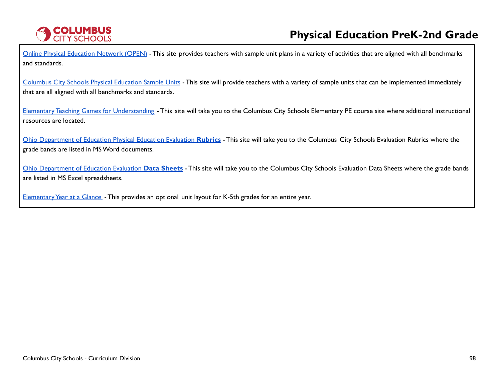

Online Physical [Education](https://openphysed.org/) Network (OPEN) - This site provides teachers with sample unit plans in a variety of activities that are aligned with all benchmarks and standards.

[Columbus](https://www.ccsoh.us/Page/6766) City Schools Physical Education Sample Units - This site will provide teachers with a variety of sample units that can be implemented immediately that are all aligned with all benchmarks and standards.

Elementary Teaching Games for [Understanding](https://www.ccsoh.us/Page/2251) - This site will take you to the Columbus City Schools Elementary PE course site where additional instructional resources are located.

Ohio [Department](https://www.ccsoh.us/Page/2271) of Education Physical Education Evaluation **Rubrics** - This site will take you to the Columbus City Schools Evaluation Rubrics where the grade bands are listed in MSWord documents.

Ohio [Department](https://www.ccsoh.us/Page/2272) of Education Evaluation **Data Sheets** - This site will take you to the Columbus City Schools Evaluation Data Sheets where the grade bands are listed in MS Excel spreadsheets.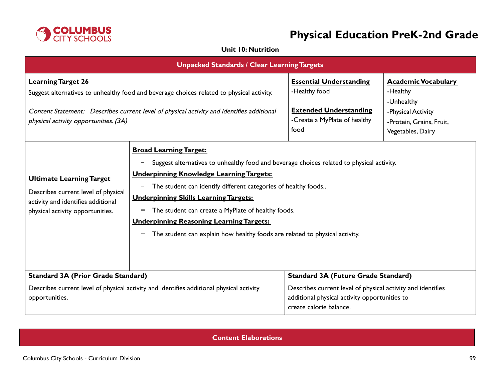

## **Unit 10: Nutrition**

| <b>Unpacked Standards / Clear Learning Targets</b>                                                                                                                                                                                                           |                                                                                                                                                                                                                                                                                                                                                                                                                                                                                              |                                                                                                                                                                                       |                                                                                                                             |
|--------------------------------------------------------------------------------------------------------------------------------------------------------------------------------------------------------------------------------------------------------------|----------------------------------------------------------------------------------------------------------------------------------------------------------------------------------------------------------------------------------------------------------------------------------------------------------------------------------------------------------------------------------------------------------------------------------------------------------------------------------------------|---------------------------------------------------------------------------------------------------------------------------------------------------------------------------------------|-----------------------------------------------------------------------------------------------------------------------------|
| <b>Learning Target 26</b><br>Suggest alternatives to unhealthy food and beverage choices related to physical activity.<br>Content Statement: Describes current level of physical activity and identifies additional<br>physical activity opportunities. (3A) |                                                                                                                                                                                                                                                                                                                                                                                                                                                                                              | <b>Essential Understanding</b><br>-Healthy food<br><b>Extended Understanding</b><br>-Create a MyPlate of healthy<br>food                                                              | <b>Academic Vocabulary</b><br>-Healthy<br>-Unhealthy<br>-Physical Activity<br>-Protein, Grains, Fruit,<br>Vegetables, Dairy |
| <b>Ultimate Learning Target</b><br>Describes current level of physical<br>activity and identifies additional<br>physical activity opportunities.                                                                                                             | <b>Broad Learning Target:</b><br>Suggest alternatives to unhealthy food and beverage choices related to physical activity.<br><b>Underpinning Knowledge Learning Targets:</b><br>The student can identify different categories of healthy foods<br><b>Underpinning Skills Learning Targets:</b><br>The student can create a MyPlate of healthy foods.<br>-<br><b>Underpinning Reasoning Learning Targets:</b><br>The student can explain how healthy foods are related to physical activity. |                                                                                                                                                                                       |                                                                                                                             |
| <b>Standard 3A (Prior Grade Standard)</b><br>Describes current level of physical activity and identifies additional physical activity<br>opportunities.                                                                                                      |                                                                                                                                                                                                                                                                                                                                                                                                                                                                                              | <b>Standard 3A (Future Grade Standard)</b><br>Describes current level of physical activity and identifies<br>additional physical activity opportunities to<br>create calorie balance. |                                                                                                                             |

## **Content Elaborations**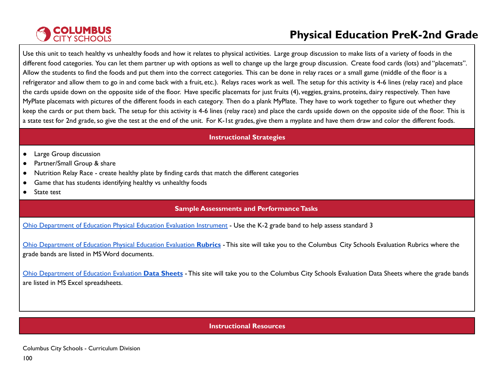# **COLUMBUS**<br>CITY SCHOOLS

# **Physical Education PreK-2nd Grade**

Use this unit to teach healthy vs unhealthy foods and how it relates to physical activities. Large group discussion to make lists of a variety of foods in the different food categories. You can let them partner up with options as well to change up the large group discussion. Create food cards (lots) and "placemats". Allow the students to find the foods and put them into the correct categories. This can be done in relay races or a small game (middle of the floor is a refrigerator and allow them to go in and come back with a fruit, etc.). Relays races work as well. The setup for this activity is 4-6 lines (relay race) and place the cards upside down on the opposite side of the floor. Have specific placemats for just fruits (4), veggies, grains, proteins, dairy respectively. Then have MyPlate placemats with pictures of the different foods in each category. Then do a plank MyPlate. They have to work together to figure out whether they keep the cards or put them back. The setup for this activity is 4-6 lines (relay race) and place the cards upside down on the opposite side of the floor. This is a state test for 2nd grade, so give the test at the end of the unit. For K-1st grades, give them a myplate and have them draw and color the different foods.

### **Instructional Strategies**

- Large Group discussion
- Partner/Small Group & share
- Nutrition Relay Race create healthy plate by finding cards that match the different categories
- Game that has students identifying healthy vs unhealthy foods
- State test

## **Sample Assessments and PerformanceTasks**

Ohio [Department](http://education.ohio.gov/Topics/Learning-in-Ohio/Physical-Education/Physical-Education-Evaluation-updated) of Education Physical Education Evaluation Instrument - Use the K-2 grade band to help assess standard 3

Ohio [Department](https://www.ccsoh.us/Page/2271) of Education Physical Education Evaluation **Rubrics** - This site will take you to the Columbus City Schools Evaluation Rubrics where the grade bands are listed in MSWord documents.

Ohio [Department](https://www.ccsoh.us/Page/2272) of Education Evaluation **Data Sheets** - This site will take you to the Columbus City Schools Evaluation Data Sheets where the grade bands are listed in MS Excel spreadsheets.

### **Instructional Resources**

Columbus City Schools - Curriculum Division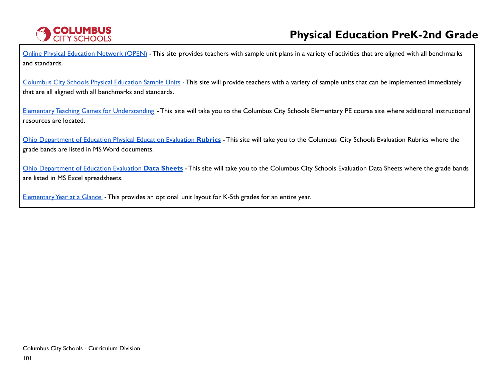

Online Physical [Education](https://openphysed.org/) Network (OPEN) - This site provides teachers with sample unit plans in a variety of activities that are aligned with all benchmarks and standards.

[Columbus](https://www.ccsoh.us/Page/6766) City Schools Physical Education Sample Units - This site will provide teachers with a variety of sample units that can be implemented immediately that are all aligned with all benchmarks and standards.

Elementary Teaching Games for [Understanding](https://www.ccsoh.us/Page/2251) - This site will take you to the Columbus City Schools Elementary PE course site where additional instructional resources are located.

Ohio [Department](https://www.ccsoh.us/Page/2271) of Education Physical Education Evaluation **Rubrics** - This site will take you to the Columbus City Schools Evaluation Rubrics where the grade bands are listed in MSWord documents.

Ohio [Department](https://www.ccsoh.us/Page/2272) of Education Evaluation **Data Sheets** - This site will take you to the Columbus City Schools Evaluation Data Sheets where the grade bands are listed in MS Excel spreadsheets.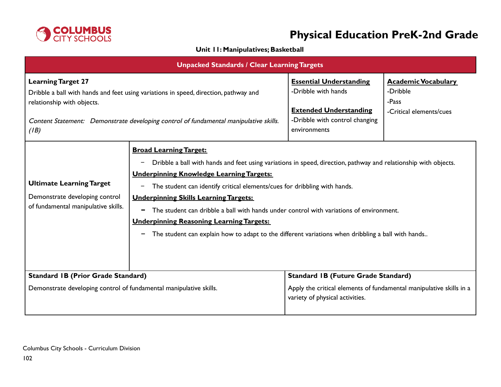

## **Unit 11: Manipulatives; Basketball**

| <b>Unpacked Standards / Clear Learning Targets</b>                                                                                                                                                                                               |                                                                                                                                                                                                                                                                                                                                                                                                                                                                                                                                                                                                    |                                                                                                                                          |                                                                            |
|--------------------------------------------------------------------------------------------------------------------------------------------------------------------------------------------------------------------------------------------------|----------------------------------------------------------------------------------------------------------------------------------------------------------------------------------------------------------------------------------------------------------------------------------------------------------------------------------------------------------------------------------------------------------------------------------------------------------------------------------------------------------------------------------------------------------------------------------------------------|------------------------------------------------------------------------------------------------------------------------------------------|----------------------------------------------------------------------------|
| <b>Learning Target 27</b><br>Dribble a ball with hands and feet using variations in speed, direction, pathway and<br>relationship with objects.<br>Content Statement: Demonstrate developing control of fundamental manipulative skills.<br>(IB) |                                                                                                                                                                                                                                                                                                                                                                                                                                                                                                                                                                                                    | <b>Essential Understanding</b><br>-Dribble with hands<br><b>Extended Understanding</b><br>-Dribble with control changing<br>environments | <b>Academic Vocabulary</b><br>-Dribble<br>-Pass<br>-Critical elements/cues |
| <b>Ultimate Learning Target</b><br>Demonstrate developing control<br>of fundamental manipulative skills.                                                                                                                                         | <b>Broad Learning Target:</b><br>Dribble a ball with hands and feet using variations in speed, direction, pathway and relationship with objects.<br>-<br><b>Underpinning Knowledge Learning Targets:</b><br>The student can identify critical elements/cues for dribbling with hands.<br>-<br><b>Underpinning Skills Learning Targets:</b><br>The student can dribble a ball with hands under control with variations of environment.<br>-<br><b>Underpinning Reasoning Learning Targets:</b><br>The student can explain how to adapt to the different variations when dribbling a ball with hands |                                                                                                                                          |                                                                            |
| <b>Standard IB (Prior Grade Standard)</b>                                                                                                                                                                                                        |                                                                                                                                                                                                                                                                                                                                                                                                                                                                                                                                                                                                    | <b>Standard IB (Future Grade Standard)</b>                                                                                               |                                                                            |
| Demonstrate developing control of fundamental manipulative skills.                                                                                                                                                                               |                                                                                                                                                                                                                                                                                                                                                                                                                                                                                                                                                                                                    | Apply the critical elements of fundamental manipulative skills in a<br>variety of physical activities.                                   |                                                                            |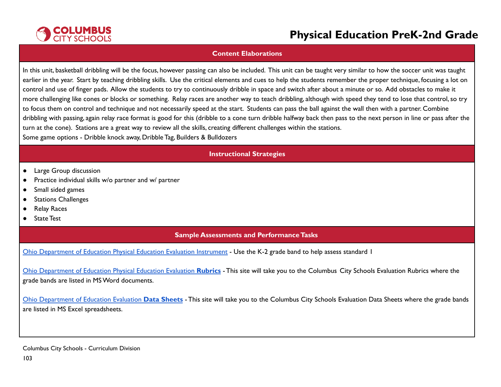

#### **Content Elaborations**

In this unit, basketball dribbling will be the focus, however passing can also be included. This unit can be taught very similar to how the soccer unit was taught earlier in the year. Start by teaching dribbling skills. Use the critical elements and cues to help the students remember the proper technique, focusing a lot on control and use of finger pads. Allow the students to try to continuously dribble in space and switch after about a minute or so. Add obstacles to make it more challenging like cones or blocks or something. Relay races are another way to teach dribbling, although with speed they tend to lose that control,so try to focus them on control and technique and not necessarily speed at the start. Students can pass the ball against the wall then with a partner. Combine dribbling with passing, again relay race format is good for this (dribble to a cone turn dribble halfway back then pass to the next person in line or pass after the turn at the cone). Stations are a great way to review all the skills, creating different challenges within the stations. Some game options - Dribble knock away, Dribble Tag, Builders & Bulldozers

### **Instructional Strategies**

- Large Group discussion
- Practice individual skills w/o partner and w/ partner
- Small sided games
- Stations Challenges
- Relay Races
- State Test

### **Sample Assessments and PerformanceTasks**

Ohio [Department](http://education.ohio.gov/Topics/Learning-in-Ohio/Physical-Education/Physical-Education-Evaluation-updated) of Education Physical Education Evaluation Instrument - Use the K-2 grade band to help assess standard 1

Ohio [Department](https://www.ccsoh.us/Page/2271) of Education Physical Education Evaluation **Rubrics** - This site will take you to the Columbus City Schools Evaluation Rubrics where the grade bands are listed in MSWord documents.

Ohio [Department](https://www.ccsoh.us/Page/2272) of Education Evaluation **Data Sheets** - This site will take you to the Columbus City Schools Evaluation Data Sheets where the grade bands are listed in MS Excel spreadsheets.

Columbus City Schools - Curriculum Division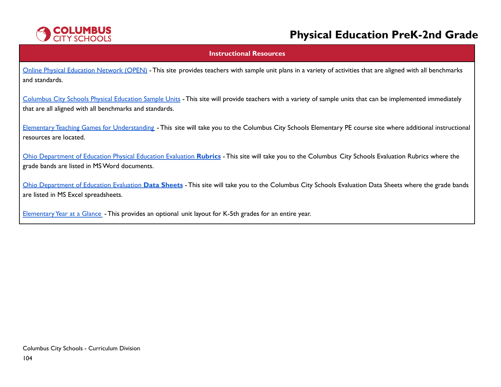

#### **Instructional Resources**

Online Physical [Education](https://openphysed.org/) Network (OPEN) - This site provides teachers with sample unit plans in a variety of activities that are aligned with all benchmarks and standards.

[Columbus](https://www.ccsoh.us/Page/6766) City Schools Physical Education Sample Units - This site will provide teachers with a variety of sample units that can be implemented immediately that are all aligned with all benchmarks and standards.

Elementary Teaching Games for [Understanding](https://www.ccsoh.us/Page/2251) - This site will take you to the Columbus City Schools Elementary PE course site where additional instructional resources are located.

Ohio [Department](https://www.ccsoh.us/Page/2271) of Education Physical Education Evaluation **Rubrics** - This site will take you to the Columbus City Schools Evaluation Rubrics where the grade bands are listed in MSWord documents.

Ohio [Department](https://www.ccsoh.us/Page/2272) of Education Evaluation **Data Sheets** - This site will take you to the Columbus City Schools Evaluation Data Sheets where the grade bands are listed in MS Excel spreadsheets.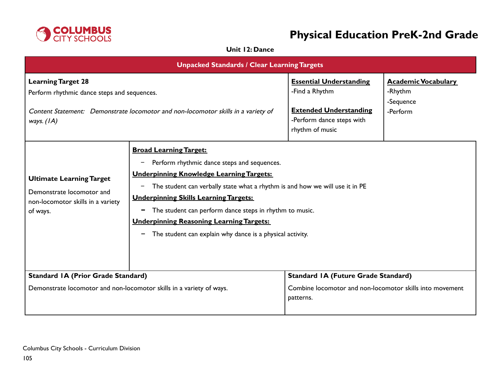

## **Unit 12: Dance**

| <b>Unpacked Standards / Clear Learning Targets</b>                                                                                                                            |                                                                                                                                                                                                                                                                                                                                                                                                                                                                                   |                                                                                                                                   |                                                                |
|-------------------------------------------------------------------------------------------------------------------------------------------------------------------------------|-----------------------------------------------------------------------------------------------------------------------------------------------------------------------------------------------------------------------------------------------------------------------------------------------------------------------------------------------------------------------------------------------------------------------------------------------------------------------------------|-----------------------------------------------------------------------------------------------------------------------------------|----------------------------------------------------------------|
| <b>Learning Target 28</b><br>Perform rhythmic dance steps and sequences.<br>Content Statement: Demonstrate locomotor and non-locomotor skills in a variety of<br>ways. $(IA)$ |                                                                                                                                                                                                                                                                                                                                                                                                                                                                                   | <b>Essential Understanding</b><br>-Find a Rhythm<br><b>Extended Understanding</b><br>-Perform dance steps with<br>rhythm of music | <b>Academic Vocabulary</b><br>-Rhythm<br>-Sequence<br>-Perform |
| <b>Ultimate Learning Target</b><br>Demonstrate locomotor and<br>non-locomotor skills in a variety<br>of ways.                                                                 | <b>Broad Learning Target:</b><br>Perform rhythmic dance steps and sequences.<br>$\qquad \qquad -$<br><b>Underpinning Knowledge Learning Targets:</b><br>The student can verbally state what a rhythm is and how we will use it in PE<br><b>Underpinning Skills Learning Targets:</b><br>The student can perform dance steps in rhythm to music.<br>$\blacksquare$<br><b>Underpinning Reasoning Learning Targets:</b><br>The student can explain why dance is a physical activity. |                                                                                                                                   |                                                                |
| <b>Standard IA (Prior Grade Standard)</b>                                                                                                                                     |                                                                                                                                                                                                                                                                                                                                                                                                                                                                                   | <b>Standard IA (Future Grade Standard)</b>                                                                                        |                                                                |
| Demonstrate locomotor and non-locomotor skills in a variety of ways.                                                                                                          |                                                                                                                                                                                                                                                                                                                                                                                                                                                                                   | Combine locomotor and non-locomotor skills into movement<br>patterns.                                                             |                                                                |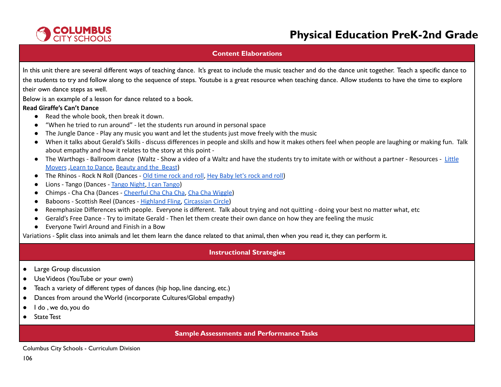

### **Content Elaborations**

In this unit there are several different ways of teaching dance. It's great to include the music teacher and do the dance unit together. Teach a specific dance to the students to try and follow along to the sequence of steps. Youtube is a great resource when teaching dance. Allow students to have the time to explore their own dance steps as well.

Below is an example of a lesson for dance related to a book.

### **Read Giraffe's Can't Dance**

- Read the whole book, then break it down.
- "When he tried to run around" let the students run around in personal space
- The Jungle Dance Play any music you want and let the students just move freely with the music
- When it talks about Gerald's Skills discuss differences in people and skills and how it makes others feel when people are laughing or making fun. Talk about empathy and how it relates to the story at this point -
- The Warthogs Ballroom dance (Waltz Show a video of a Waltz and have the students try to imitate with or without a partner Resources [Little](https://youtu.be/5b7WCxf0Cdc) [Movers](https://youtu.be/5b7WCxf0Cdc) ,Learn to [Dance,](https://youtu.be/esbgtNun3dY) [Beauty](https://youtu.be/9qtTPTxvoPA) and the Beast)
- The Rhinos Rock N Roll (Dances Old [time](https://youtu.be/oUYSYLC1UIA) rock and roll, Hey [Baby](https://youtu.be/7z-mxXP4eP4) let's rock and roll)
- Lions Tango (Dances [Tango](https://youtu.be/Sn_6mwwmQkg) Night, I can [Tango](https://youtu.be/Vhfx2D7Q0qI))
- Chimps Cha Cha (Dances [Cheerful](https://youtu.be/NkO_YFasvFk) Cha Cha Cha, Cha Cha [Wiggle\)](https://youtu.be/VD7pqhKNJDI)
- Baboons Scottish Reel (Dances [Highland](https://youtu.be/2ln3P_L8mX8) Fling, [Circassian](https://youtu.be/MKROoYwBr6c) Circle)
- Reemphasize Differences with people. Everyone is different. Talk about trying and not quitting doing your best no matter what, etc
- Gerald's Free Dance Try to imitate Gerald Then let them create their own dance on how they are feeling the music
- Everyone Twirl Around and Finish in a Bow

Variations - Split class into animals and let them learn the dance related to that animal, then when you read it, they can perform it.

### **Instructional Strategies**

- Large Group discussion
- UseVideos (YouTube or your own)
- Teach a variety of different types of dances (hip hop, line dancing, etc.)
- Dances from around theWorld (incorporate Cultures/Global empathy)
- I do , we do, you do
- State Test

### **Sample Assessments and Performance Tasks**

Columbus City Schools - Curriculum Division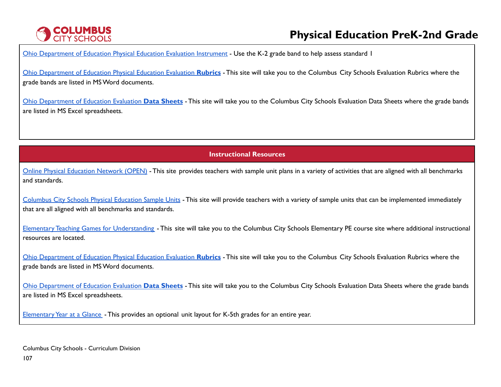# **COLUMBUS**<br>CITY SCHOOLS

# **Physical Education PreK-2nd Grade**

Ohio [Department](http://education.ohio.gov/Topics/Learning-in-Ohio/Physical-Education/Physical-Education-Evaluation-updated) of Education Physical Education Evaluation Instrument - Use the K-2 grade band to help assess standard I

Ohio [Department](https://www.ccsoh.us/Page/2271) of Education Physical Education Evaluation **Rubrics** - This site will take you to the Columbus City Schools Evaluation Rubrics where the grade bands are listed in MSWord documents.

Ohio [Department](https://www.ccsoh.us/Page/2272) of Education Evaluation **Data Sheets** - This site will take you to the Columbus City Schools Evaluation Data Sheets where the grade bands are listed in MS Excel spreadsheets.

**Instructional Resources**

Online Physical [Education](https://openphysed.org/) Network (OPEN) - This site provides teachers with sample unit plans in a variety of activities that are aligned with all benchmarks and standards.

[Columbus](https://www.ccsoh.us/Page/6766) City Schools Physical Education Sample Units - This site will provide teachers with a variety of sample units that can be implemented immediately that are all aligned with all benchmarks and standards.

Elementary Teaching Games for [Understanding](https://www.ccsoh.us/Page/2251) - This site will take you to the Columbus City Schools Elementary PE course site where additional instructional resources are located.

Ohio [Department](https://www.ccsoh.us/Page/2271) of Education Physical Education Evaluation **Rubrics** - This site will take you to the Columbus City Schools Evaluation Rubrics where the grade bands are listed in MSWord documents.

Ohio [Department](https://www.ccsoh.us/Page/2272) of Education Evaluation **Data Sheets** - This site will take you to the Columbus City Schools Evaluation Data Sheets where the grade bands are listed in MS Excel spreadsheets.

Elementary Year at a Glance - This provides an optional unit layout for K-5th grades for an entire year.

Columbus City Schools - Curriculum Division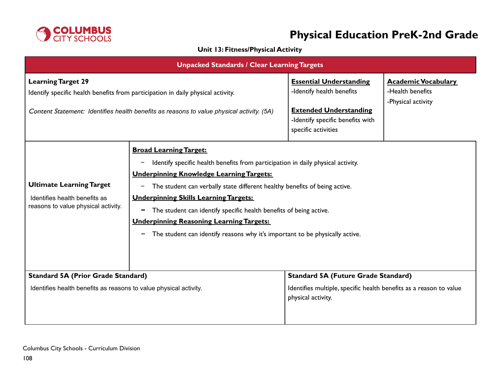

## **Unit 13: Fitness/Physical Activity**

| <b>Unpacked Standards / Clear Learning Targets</b>                                                                                                                                                         |                                                                                                                                                                                                                                                                                                                                                                                                                                                                                                                  |                                                                                                                                                         |                                                                      |
|------------------------------------------------------------------------------------------------------------------------------------------------------------------------------------------------------------|------------------------------------------------------------------------------------------------------------------------------------------------------------------------------------------------------------------------------------------------------------------------------------------------------------------------------------------------------------------------------------------------------------------------------------------------------------------------------------------------------------------|---------------------------------------------------------------------------------------------------------------------------------------------------------|----------------------------------------------------------------------|
| <b>Learning Target 29</b><br>Identify specific health benefits from participation in daily physical activity.<br>Content Statement: Identifies health benefits as reasons to value physical activity. (5A) |                                                                                                                                                                                                                                                                                                                                                                                                                                                                                                                  | <b>Essential Understanding</b><br>-Identify health benefits<br><b>Extended Understanding</b><br>-Identify specific benefits with<br>specific activities | <b>Academic Vocabulary</b><br>-Health benefits<br>-Physical activity |
| <b>Ultimate Learning Target</b><br>Identifies health benefits as<br>reasons to value physical activity.                                                                                                    | <b>Broad Learning Target:</b><br>Identify specific health benefits from participation in daily physical activity.<br><b>Underpinning Knowledge Learning Targets:</b><br>The student can verbally state different healthy benefits of being active.<br><b>Underpinning Skills Learning Targets:</b><br>The student can identify specific health benefits of being active.<br>-<br><b>Underpinning Reasoning Learning Targets:</b><br>The student can identify reasons why it's important to be physically active. |                                                                                                                                                         |                                                                      |
| <b>Standard 5A (Prior Grade Standard)</b><br>Identifies health benefits as reasons to value physical activity.                                                                                             |                                                                                                                                                                                                                                                                                                                                                                                                                                                                                                                  | <b>Standard 5A (Future Grade Standard)</b><br>Identifies multiple, specific health benefits as a reason to value<br>physical activity.                  |                                                                      |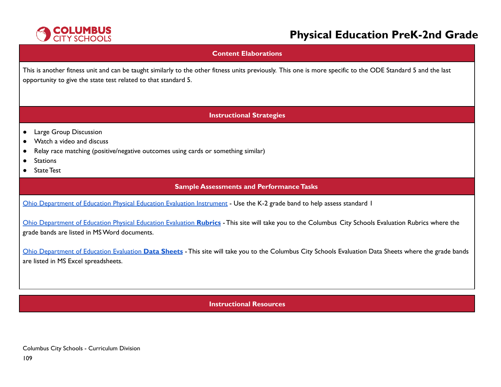

# **Physical Education PreK-2nd Grade**

#### **Content Elaborations**

This is another fitness unit and can be taught similarly to the other fitness units previously. This one is more specific to the ODE Standard 5 and the last opportunity to give the state test related to that standard 5.

## **Instructional Strategies**

- Large Group Discussion
- Watch a video and discuss
- Relay race matching (positive/negative outcomes using cards or something similar)
- Stations
- **State Test**

## **Sample Assessments and PerformanceTasks**

Ohio [Department](http://education.ohio.gov/Topics/Learning-in-Ohio/Physical-Education/Physical-Education-Evaluation-updated) of Education Physical Education Evaluation Instrument - Use the K-2 grade band to help assess standard 1

Ohio [Department](https://www.ccsoh.us/Page/2271) of Education Physical Education Evaluation **Rubrics** - This site will take you to the Columbus City Schools Evaluation Rubrics where the grade bands are listed in MSWord documents.

Ohio [Department](https://www.ccsoh.us/Page/2272) of Education Evaluation **Data Sheets** - This site will take you to the Columbus City Schools Evaluation Data Sheets where the grade bands are listed in MS Excel spreadsheets.

**Instructional Resources**

Columbus City Schools - Curriculum Division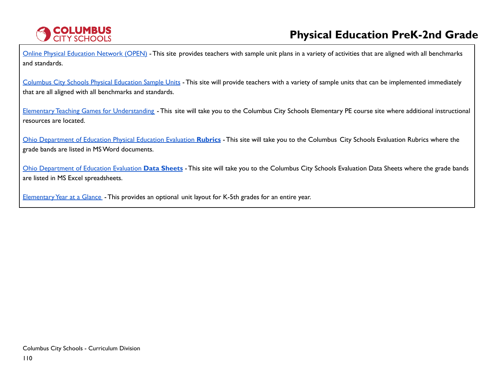

Online Physical [Education](https://openphysed.org/) Network (OPEN) - This site provides teachers with sample unit plans in a variety of activities that are aligned with all benchmarks and standards.

[Columbus](https://www.ccsoh.us/Page/6766) City Schools Physical Education Sample Units - This site will provide teachers with a variety of sample units that can be implemented immediately that are all aligned with all benchmarks and standards.

Elementary Teaching Games for [Understanding](https://www.ccsoh.us/Page/2251) - This site will take you to the Columbus City Schools Elementary PE course site where additional instructional resources are located.

Ohio [Department](https://www.ccsoh.us/Page/2271) of Education Physical Education Evaluation **Rubrics** - This site will take you to the Columbus City Schools Evaluation Rubrics where the grade bands are listed in MSWord documents.

Ohio [Department](https://www.ccsoh.us/Page/2272) of Education Evaluation **Data Sheets** - This site will take you to the Columbus City Schools Evaluation Data Sheets where the grade bands are listed in MS Excel spreadsheets.

Elementary Year at a Glance - This provides an optional unit layout for K-5th grades for an entire year.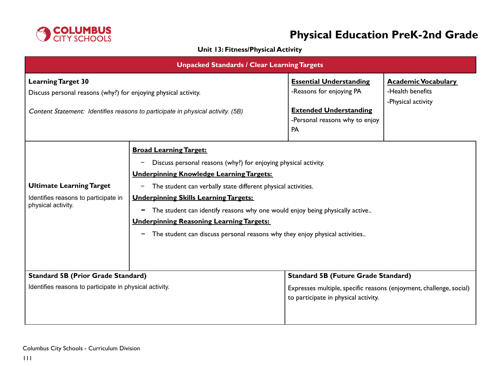

# **Physical Education PreK-2nd Grade**

## **Unit 13: Fitness/Physical Activity**

| <b>Unpacked Standards / Clear Learning Targets</b>                                                                                                                              |                                                                                                                                                                                                                                                                                                                                                                                                                                                                                                  |                                                                                                                                                           |                                                                      |
|---------------------------------------------------------------------------------------------------------------------------------------------------------------------------------|--------------------------------------------------------------------------------------------------------------------------------------------------------------------------------------------------------------------------------------------------------------------------------------------------------------------------------------------------------------------------------------------------------------------------------------------------------------------------------------------------|-----------------------------------------------------------------------------------------------------------------------------------------------------------|----------------------------------------------------------------------|
| <b>Learning Target 30</b><br>Discuss personal reasons (why?) for enjoying physical activity.<br>Content Statement: Identifies reasons to participate in physical activity. (5B) |                                                                                                                                                                                                                                                                                                                                                                                                                                                                                                  | <b>Essential Understanding</b><br>-Reasons for enjoying PA<br><b>Extended Understanding</b><br>-Personal reasons why to enjoy<br><b>PA</b>                | <b>Academic Vocabulary</b><br>-Health benefits<br>-Physical activity |
| <b>Ultimate Learning Target</b><br>Identifies reasons to participate in<br>physical activity.                                                                                   | <b>Broad Learning Target:</b><br>Discuss personal reasons (why?) for enjoying physical activity.<br><b>Underpinning Knowledge Learning Targets:</b><br>The student can verbally state different physical activities.<br>-<br><b>Underpinning Skills Learning Targets:</b><br>The student can identify reasons why one would enjoy being physically active<br>-<br><b>Underpinning Reasoning Learning Targets:</b><br>The student can discuss personal reasons why they enjoy physical activities |                                                                                                                                                           |                                                                      |
| <b>Standard 5B (Prior Grade Standard)</b><br>Identifies reasons to participate in physical activity.                                                                            |                                                                                                                                                                                                                                                                                                                                                                                                                                                                                                  | <b>Standard 5B (Future Grade Standard)</b><br>Expresses multiple, specific reasons (enjoyment, challenge, social)<br>to participate in physical activity. |                                                                      |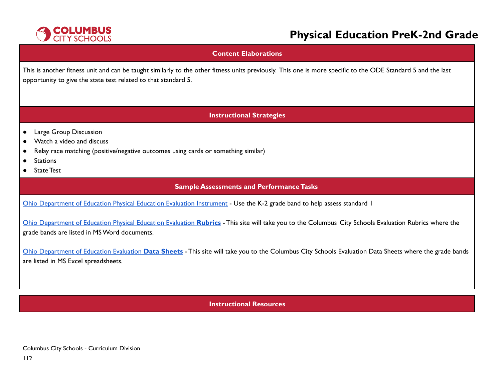

# **Physical Education PreK-2nd Grade**

### **Content Elaborations**

This is another fitness unit and can be taught similarly to the other fitness units previously. This one is more specific to the ODE Standard 5 and the last opportunity to give the state test related to that standard 5.

## **Instructional Strategies**

- Large Group Discussion
- Watch a video and discuss
- Relay race matching (positive/negative outcomes using cards or something similar)
- Stations
- **State Test**

## **Sample Assessments and PerformanceTasks**

Ohio [Department](http://education.ohio.gov/Topics/Learning-in-Ohio/Physical-Education/Physical-Education-Evaluation-updated) of Education Physical Education Evaluation Instrument - Use the K-2 grade band to help assess standard 1

Ohio [Department](https://www.ccsoh.us/Page/2271) of Education Physical Education Evaluation **Rubrics** - This site will take you to the Columbus City Schools Evaluation Rubrics where the grade bands are listed in MSWord documents.

Ohio [Department](https://www.ccsoh.us/Page/2272) of Education Evaluation **Data Sheets** - This site will take you to the Columbus City Schools Evaluation Data Sheets where the grade bands are listed in MS Excel spreadsheets.

**Instructional Resources**

Columbus City Schools - Curriculum Division